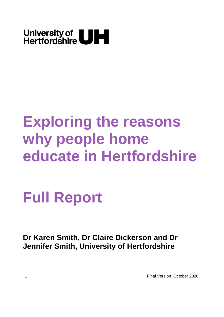

# **Exploring the reasons why people home educate in Hertfordshire**

**Full Report**

**Dr Karen Smith, Dr Claire Dickerson and Dr Jennifer Smith, University of Hertfordshire**

1 Final Version, October 2020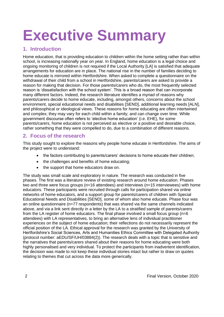# **Executive Summary**

# **1. Introduction**

Home education, that is providing education to children within the home setting rather than within school, is increasing nationally year on year. In England, home education is a legal choice and ongoing monitoring of children is not required if the Local Authority [LA] is satisfied that adequate arrangements for education are in place. The national rise in the number of families deciding to home educate is mirrored within Hertfordshire. When asked to complete a questionnaire on the withdrawal of their child from a school in Hertfordshire, parents/carers are asked to provide a reason for making that decision. For those parents/carers who do, the most frequently selected reason is 'dissatisfaction with the school system'. This is a broad reason that can incorporate many different factors. Indeed, the research literature identifies a myriad of reasons why parents/carers decide to home educate, including, amongst others, concerns about the school environment, special educational needs and disabilities [SEND], additional learning needs [ALN], and philosophical or ideological views. These reasons for home educating are often intertwined and complex; they may vary for each child within a family; and can change over time. While government discourse often refers to 'elective home education' (i.e. EHE), for some parents/carers, home education is not perceived as elective or a positive and desirable choice, rather something that they were compelled to do, due to a combination of different reasons.

# **2. Focus of the research**

This study sought to explore the reasons why people home educate in Hertfordshire. The aims of the project were to understand:

- the factors contributing to parents/carers' decisions to home educate their children;
- the challenges and benefits of home educating;
- the support that home educators draw on.

The study was small scale and exploratory in nature. The research was conducted in five phases. The first was a literature review of existing research around home education. Phases two and three were focus groups (n=16 attendees) and interviews (n=15 interviewees) with home educators. These participants were recruited through calls for participation shared via online networks of home educators, and a support group for parents/carers of children with Special Educational Needs and Disabilities [SEND], some of whom also home educate. Phase four was an online questionnaire (n=77 respondents) that was shared via the same channels indicated above, and via a link sent directly in a letter by the LA to a stratified sample of parents/carers from the LA register of home educators. The final phase involved a small focus group ( $n=6$ ) attendees) with LA representatives, to bring an alternative lens of individual practitioner experiences on the subject of home education; their reflections do not necessarily represent the official position of the LA. Ethical approval for the research was granted by the University of Hertfordshire's Social Sciences, Arts and Humanities Ethics Committee with Delegated Authority (protocol number: aEDU/SF/UH/03884(2)). The research deals with a topic that is sensitive and the narratives that parents/carers shared about their reasons for home educating were both highly personalised and very individual. To protect the participants from inadvertent identification, the decision was made to not keep these individual stories intact but rather to draw on quotes relating to themes that cut across the data more generically.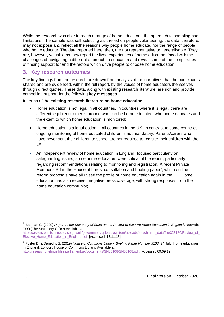While the research was able to reach a range of home educators, the approach to sampling had limitations. The sample was self-selecting as it relied on people volunteering; the data, therefore, may not expose and reflect all the reasons why people home educate, nor the range of people who home educate. The data reported here, then, are not representative or generalisable. They are, however, valuable as they report the lived experiences of home educators faced with the challenges of navigating a different approach to education and reveal some of the complexities of finding support for and the factors which drive people to choose home education.

# **3. Key research outcomes**

The key findings from the research are drawn from analysis of the narratives that the participants shared and are evidenced, within the full report, by the voices of home educators themselves through direct quotes. These data, along with existing research literature, are rich and provide compelling support for the following **key messages**.

In terms of the **existing research literature on home education**:

- Home education is not legal in all countries. In countries where it is legal, there are different legal requirements around who can be home educated, who home educates and the extent to which home education is monitored;
- Home education is a legal option in all countries in the UK. In contrast to some countries, ongoing monitoring of home educated children is not mandatory. Parents/carers who have never sent their children to school are not required to register their children with the LA;
- An independent review of home education in England<sup>1</sup> focused particularly on safeguarding issues; some home educators were critical of the report, particularly regarding recommendations relating to monitoring and registration. A recent Private Member's Bill in the House of Lords, consultation and briefing paper<sup>2</sup>, which outline reform proposals have all raised the profile of home education again in the UK. Home education has also received negative press coverage, with strong responses from the home education community;

<sup>1</sup> Badman G. (2009) *Report to the Secretary of State on the Review of Elective Home Education in England*. Norwich: TSO (The Stationery Office) Available at:

[https://assets.publishing.service.gov.uk/government/uploads/system/uploads/attachment\\_data/file/328186/Review\\_of\\_](https://assets.publishing.service.gov.uk/government/uploads/system/uploads/attachment_data/file/328186/Review_of_Elective_Home_Education_in_England.pdf) Elective Home Education in England.pdf [Accessed: 13.11.18]

<sup>2</sup> Foster D. & Danechi, S. (2019) *House of Commons Library. Briefing Paper Number 5108*, 24 July, Home education in England. London: House of Commons Library. Available at: [http://researchbriefings.files.parliament.uk/documents/SN05108/SN05108.pdf. \[](http://researchbriefings.files.parliament.uk/documents/SN05108/SN05108.pdf.)Accessed 09.09.19]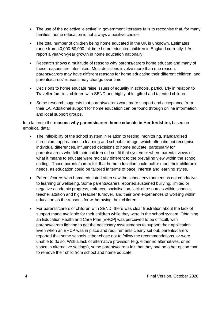- The use of the adjective 'elective' in government literature fails to recognise that, for many families, home education is not always a positive choice;
- The total number of children being home educated in the UK is unknown. Estimates range from 40,000-50,000 full-time home educated children in England currently. LAs report a year-on-year growth in home education nationally;
- Research shows a multitude of reasons why parents/carers home educate and many of these reasons are interlinked. Most decisions involve more than one reason, parents/carers may have different reasons for home educating their different children, and parents/carers' reasons may change over time;
- Decisions to home educate raise issues of equality in schools, particularly in relation to Traveller families, children with SEND and highly able, gifted and talented children;
- Some research suggests that parents/carers want more support and acceptance from their LA. Additional support for home education can be found through online information and local support groups.

In relation to the **reasons why parents/carers home educate in Hertfordshire,** based on empirical data:

- The inflexibility of the school system in relation to testing, monitoring, standardised curriculum, approaches to learning and school-start age, which often did not recognise individual differences, influenced decisions to home educate, particularly for parents/carers who felt their children did not fit that system or where parental views of what it means to educate were radically different to the prevailing view within the school setting. These parents/carers felt that home education could better meet their children's needs, as education could be tailored in terms of pace, interest and learning styles.
- Parents/carers who home educated often saw the school environment as not conducive to learning or wellbeing. Some parents/carers reported sustained bullying, limited or negative academic progress, enforced socialisation, lack of resources within schools, teacher attrition and high teacher turnover, and their own experiences of working within education as the reasons for withdrawing their children.
- For parents/carers of children with SEND, there was clear frustration about the lack of support made available for their children while they were in the school system. Obtaining an Education Health and Care Plan [EHCP] was perceived to be difficult, with parents/carers fighting to get the necessary assessments to support their application. Even when an EHCP was in place and requirements clearly set out, parents/carers reported that some schools either chose not to follow the recommendations, or were unable to do so. With a lack of alternative provision (e.g. either no alternatives, or no space in alternative settings), some parents/carers felt that they had no other option than to remove their child from school and home educate.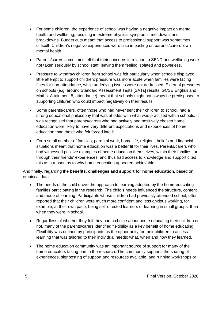- For some children, the experience of school was having a negative impact on mental health and wellbeing, resulting in extreme physical symptoms, meltdowns and breakdowns. Budget cuts meant that access to professional support was sometimes difficult. Children's negative experiences were also impacting on parents/carers' own mental health.
- Parents/carers sometimes felt that their concerns in relation to SEND and wellbeing were not taken seriously by school staff, leaving them feeling isolated and powerless.
- Pressure to withdraw children from school was felt particularly when schools displayed little attempt to support children; pressure was more acute when families were facing fines for non-attendance, while underlying issues were not addressed. External pressures on schools (e.g. around Standard Assessment Tests [SATs] results, GCSE English and Maths, Attainment 8, attendance) meant that schools might not always be predisposed to supporting children who could impact negatively on their results.
- Some parents/carers, often those who had never sent their children to school, had a strong educational philosophy that was at odds with what was practised within schools. It was recognised that parents/carers who had actively and positively chosen home education were likely to have very different expectations and experiences of home education than those who felt forced into it.
- For a small number of families, parental work, home life, religious beliefs and financial situations meant that home education was a better fit for their lives. Parents/carers who had witnessed positive examples of home education themselves, within their families, or through their friends' experiences, and thus had access to knowledge and support cited this as a reason as to why home education appeared achievable.

And finally, regarding the **benefits, challenges and support for home education,** based on empirical data:

- The needs of the child drove the approach to learning adopted by the home-educating families participating in the research. The child's needs influenced the structure, content and mode of learning. Participants whose children had previously attended school, often reported that their children were much more confident and less anxious working, for example, at their own pace, being self-directed learners or learning in small groups, than when they were in school.
- Regardless of whether they felt they had a choice about home educating their children or not, many of the parents/carers identified flexibility as a key benefit of home educating. Flexibility was defined by participants as the opportunity for their children to access learning that was tailored to their individual needs: what, when and how they learned.
- The home education community was an important source of support for many of the home educators taking part in the research. The community supports the sharing of experiences, signposting of support and resources available, and running workshops or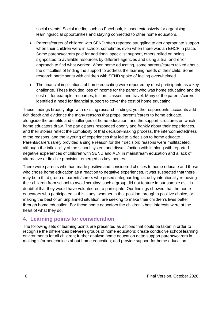social events. Social media, such as Facebook, is used extensively for organising learning/social opportunities and staying connected to other home educators.

- Parents/carers of children with SEND often reported struggling to get appropriate support when their children were in school, sometimes even when there was an EHCP in place. Some parents/carers paid for additional specialist support, others relied on being signposted to available resources by different agencies and using a trial-and-error approach to find what worked. When home educating, some parents/carers talked about the difficulties of finding the support to address the learning needs of their child. Some research participants with children with SEND spoke of feeling overwhelmed.
- The financial implications of home educating were reported by most participants as a key challenge. These included loss of income for the parent who was home educating and the cost of, for example, resources, tuition, classes, and travel. Many of the parents/carers identified a need for financial support to cover the cost of home educating.

These findings broadly align with existing research findings, yet the respondents' accounts add rich depth and evidence the many reasons that propel parents/carers to home educate, alongside the benefits and challenges of home education, and the support structures on which home educators draw. The participants responded openly and frankly about their experiences, and their stories reflect the complexity of that decision-making process, the interconnectedness of the reasons, and the layering of experiences that led to a decision to home educate. Parents/carers rarely provided a single reason for their decision; reasons were multifaceted, although the inflexibility of the school system and dissatisfaction with it, along with reported negative experiences of children with SEND and ALN in mainstream education and a lack of alternative or flexible provision, emerged as key themes.

There were parents who had made positive and considered choices to home educate and those who chose home education as a reaction to negative experiences. It was suspected that there may be a third group of parents/carers who posed safeguarding issue by intentionally removing their children from school to avoid scrutiny; such a group did not feature in our sample as it is doubtful that they would have volunteered to participate. Our findings showed that the home educators who participated in this study, whether in that position through a positive choice, or making the best of an unplanned situation, are seeking to make their children's lives better through home education. For these home educators the children's best interests were at the heart of what they do.

# **4. Learning points for consideration**

The following sets of learning points are presented as actions that could be taken in order to recognise the differences between groups of home educators; create conducive school learning environments for all children; further analyse home education data; support parents/carers in making informed choices about home education; and provide support for home education.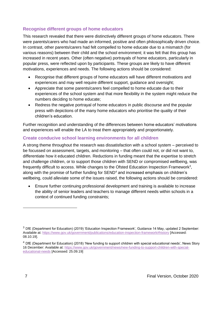# **Recognise different groups of home educators**

This research revealed that there were distinctively different groups of home educators. There were parents/carers who had made an informed, positive and often philosophically driven choice. In contrast, other parents/carers had felt compelled to home educate due to a mismatch (for various reasons) between their child and the school environment; it was felt that this group has increased in recent years. Other (often negative) portrayals of home educators, particularly in popular press, were reflected upon by participants. These groups are likely to have different motivations, experiences and needs. The following actions should be considered:

- Recognise that different groups of home educators will have different motivations and experiences and may well require different support, guidance and oversight;
- Appreciate that some parents/carers feel compelled to home educate due to their experiences of the school system and that more flexibility in the system might reduce the numbers deciding to home educate;
- Redress the negative portrayal of home educators in public discourse and the popular press with depictions of the many home educators who prioritise the quality of their children's education.

Further recognition and understanding of the differences between home educators' motivations and experiences will enable the LA to treat them appropriately and proportionately.

## **Create conducive school learning environments for all children**

A strong theme throughout the research was dissatisfaction with a school system – perceived to be focussed on assessment, targets, and monitoring – that often could not, or did not want to, differentiate how it educated children. Reductions in funding meant that the expertise to stretch and challenge children, or to support those children with SEND or compromised wellbeing, was frequently difficult to access. While changes to the Ofsted Education Inspection Framework<sup>3</sup>, along with the promise of further funding for SEND<sup>4</sup> and increased emphasis on children's wellbeing, could alleviate some of the issues raised, the following actions should be considered:

• Ensure further continuing professional development and training is available to increase the ability of senior leaders and teachers to manage different needs within schools in a context of continued funding constraints;

<sup>3</sup> DfE (Department for Education) (2019) 'Education Inspection Framework', Guidance 14 May, updated 2 September: Available at[: https://www.gov.uk/government/publications/education-inspection-framework#history](https://www.gov.uk/government/publications/education-inspection-framework#history) [Accessed: 08.10.19].

<sup>&</sup>lt;sup>4</sup> DfE (Department for Education) (2018) 'New funding to support children with special educational needs', News Story 16 December: Available at[: https://www.gov.uk/government/news/new-funding-to-support-children-with-special](https://www.gov.uk/government/news/new-funding-to-support-children-with-special-educational-needs)[educational-needs](https://www.gov.uk/government/news/new-funding-to-support-children-with-special-educational-needs) [Accessed: 25.09.19]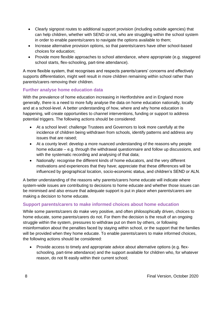- Clearly signpost routes to additional support provision (including outside agencies) that can help children, whether with SEND or not, who are struggling within the school system in order to enable parents/carers to navigate the options available to them;
- Increase alternative provision options, so that parents/carers have other school-based choices for education;
- Provide more flexible approaches to school attendance, where appropriate (e.g. staggered school starts, flex-schooling, part-time attendance).

A more flexible system, that recognises and respects parents/carers' concerns and effectively supports differentiation, might well result in more children remaining within school rather than parents/carers removing their children.

# **Further analyse home education data**

With the prevalence of home education increasing in Hertfordshire and in England more generally, there is a need to more fully analyse the data on home education nationally, locally and at a school-level. A better understanding of how, where and why home education is happening, will create opportunities to channel interventions, funding or support to address potential triggers. The following actions should be considered:

- At a school level: challenge Trustees and Governors to look more carefully at the incidence of children being withdrawn from schools, identify patterns and address any issues that are raised;
- At a county level: develop a more nuanced understanding of the reasons why people home educate – e.g. through the withdrawal questionnaire and follow up discussions, and with the systematic recording and analysing of that data;
- Nationally: recognise the different kinds of home educators, and the very different motivations and experiences that they have; appreciate that these differences will be influenced by geographical location, socio-economic status, and children's SEND or ALN.

A better understanding of the reasons why parents/carers home educate will indicate where system-wide issues are contributing to decisions to home educate and whether those issues can be minimised and also ensure that adequate support is put in place when parents/carers are making a decision to home educate.

# **Support parents/carers to make informed choices about home education**

While some parents/carers do make very positive, and often philosophically driven, choices to home educate, some parents/carers do not. For them the decision is the result of an ongoing struggle within the system, pressures to withdraw put on them by others, or following misinformation about the penalties faced by staying within school, or the support that the families will be provided when they home educate. To enable parents/carers to make informed choices, the following actions should be considered:

• Provide access to timely and appropriate advice about alternative options (e.g. flexschooling, part-time attendance) and the support available for children who, for whatever reason, do not fit easily within their current school;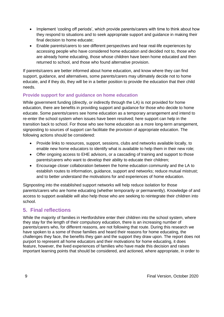- Implement 'cooling off periods', which provide parents/carers with time to think about how they respond to situations and to seek appropriate support and guidance in making their final decision to home educate;
- Enable parents/carers to see different perspectives and hear real-life experiences by accessing people who have considered home education and decided not to, those who are already home educating, those whose children have been home educated and then returned to school, and those who found alternative provision.

If parents/carers are better informed about home education, and know where they can find support, guidance, and alternatives, some parents/carers may ultimately decide not to home educate, and if they do, they will be in a better position to provide the education that their child needs.

# **Provide support for and guidance on home education**

While government funding (directly, or indirectly through the LA) is not provided for home education, there are benefits in providing support and guidance for those who decide to home educate. Some parents/carers see home education as a temporary arrangement and intend to re-enter the school system when issues have been resolved; here support can help in the transition back to school. For those who see home education as a more long-term arrangement, signposting to sources of support can facilitate the provision of appropriate education. The following actions should be considered:

- Provide links to resources, support, sessions, clubs and networks available locally, to enable new home educators to identify what is available to help them in their new role;
- Offer ongoing access to EHE advisors, or a cascading of training and support to those parents/carers who want to develop their ability to educate their children;
- Encourage closer collaboration between the home education community and the LA to establish routes to information, guidance, support and networks; reduce mutual mistrust; and to better understand the motivations for and experiences of home education.

Signposting into the established support networks will help reduce isolation for those parents/carers who are home educating (whether temporarily or permanently). Knowledge of and access to support available will also help those who are seeking to reintegrate their children into school.

# **5. Final reflections**

While the majority of families in Hertfordshire enter their children into the school system, where they stay for the length of their compulsory education, there is an increasing number of parents/carers who, for different reasons, are not following that route. During this research we have spoken to a some of those families and heard their reasons for home educating, the challenges they face, the benefits they gain and the support they draw upon. The report does not purport to represent all home educators and their motivations for home educating, it does feature, however, the lived experiences of families who have made this decision and raises important learning points that should be considered, and actioned, where appropriate, in order to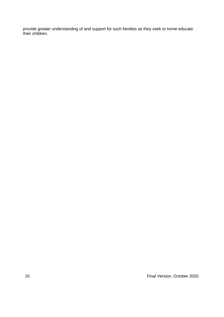provide greater understanding of and support for such families as they seek to home educate their children.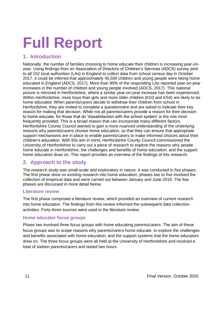# **Full Report**

# **1. Introduction**

Nationally, the number of families choosing to home educate their children is increasing year-onyear. Using findings from an Association of Directors of Children's Services (ADCS) survey sent to all 152 local authorities (LAs) in England to collect data from school census day in October 2017, it could be inferred that approximately 45,500 children and young people were being home educated in England (ADCS, 2017). More than 90% of the responding LAs reported year-on-year increases in the number of children and young people involved (ADCS, 2017). This national picture is mirrored in Hertfordshire, where a similar year-on-year increase has been experienced. Within Hertfordshire, more boys than girls and more older children (KS3 and KS4) are likely to be home educated. When parents/carers decide to withdraw their children from school in Hertfordshire, they are invited to complete a questionnaire and are asked to indicate their key reason for making that decision. While not all parents/carers provide a reason for their decision to home educate, for those that do 'dissatisfaction with the school system' is the one most frequently provided. This is a broad reason that can incorporate many different factors. Hertfordshire County Council wanted to gain a more nuanced understanding of the underlying reasons why parents/carers choose home education, so that they can ensure that appropriate support mechanisms are in place to enable parents/carers to make informed choices about their children's education. With this aim in mind, Hertfordshire County Council commissioned the University of Hertfordshire to carry out a piece of research to explore the reasons why people home educate in Hertfordshire; the challenges and benefits of home education; and the support home educators draw on. This report provides an overview of the findings of this research.

# **2. Approach to the study**

The research study was small-scale and exploratory in nature. It was conducted in five phases. The first phase drew on existing research into home education, phases two to five involved the collection of empirical data and were carried out between January and June 2019. The five phases are discussed in more detail below.

# **Literature review**

The first phase comprised a literature review, which provided an overview of current research into home education. The findings from this review informed the subsequent data collection activities. Forty-three sources were used in the literature review.

# **Home educator focus groups**

Phase two involved three focus groups with home educating parents/carers. The aim of these focus groups was to scope reasons why parents/carers home educate, to explore the challenges and benefits associated with home education, and the support systems that the home educators drew on. The three focus groups were all held at the University of Hertfordshire and involved a total of sixteen parents/carers and lasted two hours.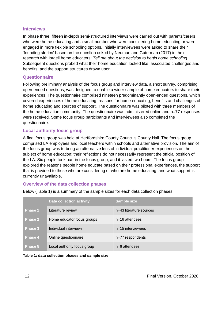#### **Interviews**

In phase three, fifteen in-depth semi-structured interviews were carried out with parents/carers who were home educating and a small number who were considering home educating or were engaged in more flexible schooling options. Initially interviewees were asked to share their 'founding stories' based on the question asked by Neuman and Guterman (2017) in their research with Israeli home educators: *Tell me about the decision to begin home schooling.* Subsequent questions probed what their home education looked like, associated challenges and benefits, and the support structures drawn upon.

## **Questionnaire**

Following preliminary analysis of the focus group and interview data, a short survey, comprising open-ended questions, was designed to enable a wider sample of home educators to share their experiences. The questionnaire comprised nineteen predominantly open-ended questions, which covered experiences of home educating, reasons for home educating, benefits and challenges of home educating and sources of support. The questionnaire was piloted with three members of the home education community. The questionnaire was administered online and n=77 responses were received. Some focus group participants and interviewees also completed the questionnaire.

## **Local authority focus group**

A final focus group was held at Hertfordshire County Council's County Hall. The focus group comprised LA employees and local teachers within schools and alternative provision. The aim of the focus group was to bring an alternative lens of individual practitioner experiences on the subject of home education; their reflections do not necessarily represent the official position of the LA. Six people took part in the focus group, and it lasted two hours. The focus group explored the reasons people home educate based on their professional experiences, the support that is provided to those who are considering or who are home educating, and what support is currently unavailable.

## **Overview of the data collection phases**

|                | <b>Data collection activity</b> | <b>Sample size</b>      |
|----------------|---------------------------------|-------------------------|
| <b>Phase 1</b> | Literature review               | n=43 literature sources |
| Phase 2        | Home educator focus groups      | $n=16$ attendees        |
| <b>Phase 3</b> | Individual interviews           | $n=15$ interviewees     |
| <b>Phase 4</b> | Online questionnaire            | n=77 respondents        |
| Phase 5        | Local authority focus group     | $n=6$ attendees         |

Below (Table 1) is a summary of the sample sizes for each data collection phases

**Table 1: data collection phases and sample size**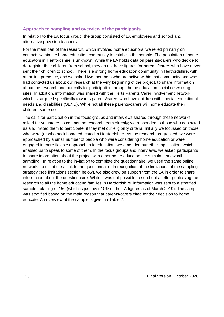### **Approach to sampling and overview of the participants**

In relation to the LA focus group, the group consisted of LA employees and school and alternative provision teachers.

For the main part of the research, which involved home educators, we relied primarily on contacts within the home education community to establish the sample. The population of home educators in Hertfordshire is unknown. While the LA holds data on parents/carers who decide to de-register their children from school, they do not have figures for parents/carers who have never sent their children to school. There is a strong home education community in Hertfordshire, with an online presence, and we asked two members who are active within that community and who had contacted us about our research at the very beginning of the project, to share information about the research and our calls for participation through home education social networking sites. In addition, information was shared with the Herts Parents Carer Involvement network, which is targeted specifically towards parents/carers who have children with special educational needs and disabilities (SEND). While not all these parents/carers will home educate their children, some do.

The calls for participation in the focus groups and interviews shared through these networks asked for volunteers to contact the research team directly; we responded to those who contacted us and invited them to participate, if they met our eligibility criteria. Initially we focussed on those who were (or who had) home educated in Hertfordshire. As the research progressed, we were approached by a small number of people who were considering home education or were engaged in more flexible approaches to education; we amended our ethics application, which enabled us to speak to some of them. In the focus groups and interviews, we asked participants to share information about the project with other home educators, to stimulate snowball sampling. In relation to the invitation to complete the questionnaire, we used the same online networks to distribute a link to the questionnaire. In recognition of the limitations of the sampling strategy (see limitations section below), we also drew on support from the LA in order to share information about the questionnaire. While it was not possible to send out a letter publicising the research to all the home educating families in Hertfordshire, information was sent to a stratified sample, totalling n=150 (which is just over 10% of the LA figures as of March 2019). The sample was stratified based on the main reason that parents/carers cited for their decision to home educate. An overview of the sample is given in Table 2.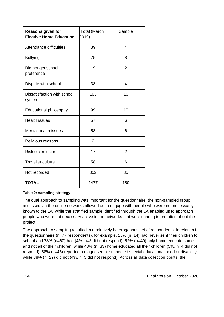| <b>Reasons given for</b><br><b>Elective Home Education</b> | <b>Total (March</b><br>2019) | Sample         |
|------------------------------------------------------------|------------------------------|----------------|
| <b>Attendance difficulties</b>                             | 39                           | 4              |
| <b>Bullying</b>                                            | 75                           | 8              |
| Did not get school<br>preference                           | 19                           | $\overline{2}$ |
| Dispute with school                                        | 38                           | 4              |
| Dissatisfaction with school<br>system                      | 163                          | 16             |
| Educational philosophy                                     | 99                           | 10             |
| <b>Health issues</b>                                       | 57                           | 6              |
| <b>Mental health issues</b>                                | 58                           | 6              |
| Religious reasons                                          | $\overline{2}$               | 1              |
| Risk of exclusion                                          | 17                           | $\overline{2}$ |
| <b>Traveller culture</b>                                   | 58                           | 6              |
| Not recorded                                               | 852                          | 85             |
| <b>TOTAL</b>                                               | 1477                         | 150            |

## **Table 2: sampling strategy**

The dual approach to sampling was important for the questionnaire; the non-sampled group accessed via the online networks allowed us to engage with people who were not necessarily known to the LA, while the stratified sample identified through the LA enabled us to approach people who were not necessary active in the networks that were sharing information about the project.

The approach to sampling resulted in a relatively heterogenous set of respondents. In relation to the questionnaire (n=77 respondents), for example, 18% (n=14) had never sent their children to school and  $78\%$  (n=60) had (4%, n=3 did not respond);  $52\%$  (n=40) only home educate some and not all of their children, while 43% (n=33) home educated all their children (5%, n=4 did not respond); 58% (n=45) reported a diagnosed or suspected special educational need or disability, while 38% (n=29) did not (4%, n=3 did not respond). Across all data collection points, the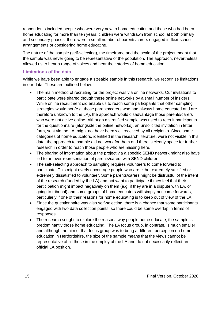respondents included people who were very new to home education and those who had been home educating for more than ten years; children were withdrawn from school at both primary and secondary phases; there were a small number of parents/carers engaged in flexi-school arrangements or considering home educating.

The nature of the sample (self-selecting), the timeframe and the scale of the project meant that the sample was never going to be representative of the population. The approach, nevertheless, allowed us to hear a range of voices and hear their stories of home education.

# **Limitations of the data**

While we have been able to engage a sizeable sample in this research, we recognise limitations in our data. These are outlined below:

- The main method of recruiting for the project was via online networks. Our invitations to participate were shared though these online networks by a small number of insiders. While online recruitment did enable us to reach some participants that other sampling strategies would not (e.g. those parents/carers who had always home educated and are therefore unknown to the LA), the approach would disadvantage those parents/carers who were not active online. Although a stratified sample was used to recruit participants for the questionnaire (alongside the online networks), an unsolicited invitation in letter form, sent via the LA, might not have been well received by all recipients. Since some categories of home educators, identified in the research literature, were not visible in this data, the approach to sample did not work for them and there is clearly space for further research in order to reach those people who are missing here.
- The sharing of information about the project via a specific SEND network might also have led to an over-representation of parents/carers with SEND children.
- The self-selecting approach to sampling requires volunteers to come forward to participate. This might overly encourage people who are either extremely satisfied or extremely dissatisfied to volunteer. Some parents/carers might be distrustful of the intent of the research (funded by the LA) and not want to participate if they feel that their participation might impact negatively on them (e.g. if they are in a dispute with LA, or going to tribunal) and some groups of home educators will simply not come forwards, particularly if one of their reasons for home educating is to keep out of view of the LA.
- Since the questionnaire was also self-selecting, there is a chance that some participants engaged with two data collection points, so there could be some overlap in terms of responses.
- The research sought to explore the reasons why people home educate; the sample is predominantly those home educating. The LA focus group, in contrast, is much smaller and although the aim of that focus group was to bring a different perception on home education in Hertfordshire, the size of the sample means that the views cannot be representative of all those in the employ of the LA and do not necessarily reflect an official LA position.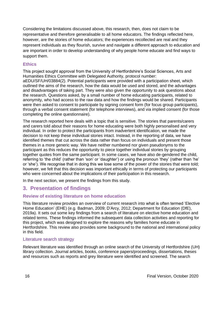Considering the limitations discussed above, this research, then, does not claim to be representative and therefore generalisable to all home educators. The findings reflected here, however, are the stories of home educators; the experiences recollected are real and they represent individuals as they flourish, survive and navigate a different approach to education and are important in order to develop understanding of why people home educate and find ways to support them.

#### **Ethics**

This project sought approval from the University of Hertfordshire's Social Sciences, Arts and Humanities Ethics Committee with Delegated Authority, protocol number: aEDU/SF/UH/03884(2). Potential participants were provided with a participation sheet, which outlined the aims of the research, how the data would be used and stored, and the advantages and disadvantages of taking part. They were also given the opportunity to ask questions about the research. Questions asked, by a small number of home educating participants, related to anonymity, who had access to the raw data and how the findings would be shared. Participants were then asked to consent to participate by signing consent form (for focus group participants), through a verbal consent statement (for telephone interviews), and via implied consent (for those completing the online questionnaire).

The research reported here deals with a topic that is sensitive. The stories that parents/carers and carers told about their reasons for home educating were both highly personalised and very individual. In order to protect the participants from inadvertent identification, we made the decision to not keep these individual stories intact. Instead, in the reporting of data, we have identified themes that cut across the data rather than focus on individuals and present those themes in a more generic way. We have neither numbered nor given pseudonyms to the participant as this reduces the opportunity to piece together individual stories by grouping together quotes from the same participant. In some cases, we have also de-gendered the child, referring to 'the child' (rather than 'son' or 'daughter') or using the pronoun 'they' (rather than 'he' or 'she'). We recognise that in doing this we lose some of the power of the stories that were told; however, we felt that this decision was important ethically in terms of protecting our participants who were concerned about the implications of their participation in this research.

In the next section, we present the findings from this study.

# **3. Presentation of findings**

## **Review of existing literature on home education**

This literature review provides an overview of current research into what is often termed 'Elective Home Education' (EHE) (e.g. Badman, 2009; D'Arcy, 2012; Department for Education (DfE), 2019a). It sets out some key findings from a search of literature on elective home education and related terms. These findings informed the subsequent data collection activities and reporting for this project, which was designed to explore the reasons why families home educate in Hertfordshire. This review also provides some background to the national and international policy in this field.

#### Literature search strategy

Relevant literature was identified through an online search of the University of Hertfordshire (UH) library collection. Journal articles, books, conference papers/proceedings, dissertations, theses and resources such as reports and grey literature were identified and screened. The search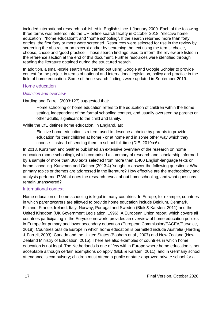included international research published in English since 1 January 2000. Each of the following three terms was entered into the UH online search facility in October 2018: "elective home education"; "home education"; and "home schooling". If the search returned more than forty entries, the first forty or more were screened. Resources were selected for use in the review by screening the abstract or an excerpt and/or by searching the text using the terms: choice, choose, chose and 'good practice'. Those search findings used to inform the review are listed in the reference section at the end of this document. Further resources were identified through reading the literature obtained during the structured search.

In addition, a small-scale search was carried out using Google and Google Scholar to provide context for the project in terms of national and international legislation, policy and practice in the field of home education. Some of these search findings were updated in September 2019.

#### Home education

#### *Definition and overview*

Harding and Farrell (2003:127) suggested that:

Home schooling or home education refers to the education of children within the home setting, independent of the formal schooling context, and usually overseen by parents or other adults, significant to the child and family.

While the DfE defines home education, in England, as:

Elective home education is a term used to describe a choice by parents to provide education for their children at home - or at home and in some other way which they choose - instead of sending them to school full-time (DfE, 2019a:6).

In 2013, Kunzman and Gaither published an extensive overview of the research on home education (home schooling), which comprised a summary of research and scholarship informed by a sample of more than 300 texts selected from more than 1,400 English-language texts on home schooling. Kunzman and Gaither (2013:4) 'sought to answer the following questions: What primary topics or themes are addressed in the literature? How effective are the methodology and analysis performed? What does the research reveal about homeschooling, and what questions remain unanswered?'

#### International context

Home education or home schooling is legal in many countries. In Europe, for example, countries in which parents/carers are allowed to provide home education include Belgium, Denmark, Finland, France, Ireland, Italy, Norway, Portugal and Sweden (Blok & Karsten, 2011) and the United Kingdom (UK Government Legislation, 1996). A European Union report, which covers all countries participating in the Eurydice network, provides an overview of home education policies in Europe for primary and lower secondary education (European Commission/EACEA/Eurydice, 2018). Countries outside Europe in which home education is permitted include Australia (Harding & Farrell, 2003), Canada and the United States (Basham et al., 2007) and New Zealand (New Zealand Ministry of Education, 2015). There are also examples of countries in which home education is not legal. The Netherlands is one of few within Europe where home education is not acceptable although certain exemptions do apply (Blok & Karsten, 2011), and in Germany school attendance is compulsory; children must attend a public or state-approved private school for a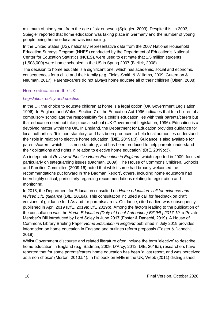minimum of nine years from the age of six or seven (Spiegler, 2003). Despite this, in 2003, Spiegler reported that home education was taking place in Germany and the number of young people being home educated was increasing.

In the United States (US), nationally representative data from the 2007 National Household Education Surveys Program (NHES) conducted by the Department of Education's National Center for Education Statistics (NCES), were used to estimate that 1.5 million students (1,508,000) were home schooled in the US in Spring 2007 (Bielick, 2008).

The decision to home educate is a significant one, which has academic, social and economic consequences for a child and their family (e.g. Fields-Smith & Williams, 2009; Guterman & Neuman, 2017). Parents/carers do not always home educate all of their children (Olsen, 2008).

## Home education in the UK

#### *Legislation, policy and practice*

In the UK the choice to educate children at home is a legal option (UK Government Legislation, 1996). In England and Wales, Section 7 of the Education Act 1996 indicates that for children of a compulsory school age the responsibility for a child's education lies with their parents/carers but that education need not take place at school (UK Government Legislation, 1996). Education is a devolved matter within the UK. In England, the Department for Education provides guidance for local authorities: 'It is non-statutory, and has been produced to help local authorities understand their role in relation to elective home education' (DfE, 2019a:3). Guidance is also available for parents/carers, which '… is non-statutory, and has been produced to help parents understand their obligations and rights in relation to elective home education' (DfE, 2019b:3).

An independent *Review of Elective Home Education in England*, which reported in 2009, focused particularly on safeguarding issues (Badman, 2009). The House of Commons Children, Schools and Families Committee (2009:16) noted that whilst some had broadly welcomed the recommendations put forward in 'the Badman Report', others, including home educators had been highly critical, particularly regarding recommendations relating to registration and monitoring.

In 2018, the Department for Education consulted on *Home education: call for evidence and revised DfE guidance* (DfE, 2018a)*.* This consultation included a call for feedback on draft versions of guidance for LAs and for parents/carers. Guidance, cited earlier, was subsequently published in April 2019 (DfE, 2019a; DfE 2019b). Among the factors leading to the publication of the consultation was the *Home Education (Duty of Local Authorities) Bill [HL] 2017-19*, a Private Member's Bill introduced by Lord Soley in June 2017 (Foster & Danechi, 2019). A House of Commons Library Briefing Paper *Home Education in England* published in July 2019 provides information on home education in England and outlines reform proposals (Foster & Danechi, 2019).

Whilst Government discourse and related literature often include the term 'elective' to describe home education in England (e.g. Badman, 2009; D'Arcy, 2012; DfE, 2019a), researchers have reported that for some parents/carers home education has been 'a last resort, and was perceived as a non-choice' (Morton, 2010:54). In his book on EHE in the UK, Webb (2011) distinguished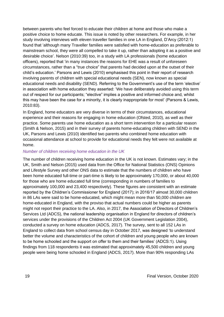between parents who feel forced to educate their children at home and those who make a positive choice to home educate. This issue is noted by other researchers. For example, in her study involving interviews with eleven traveller families in one LA in England, D'Arcy (2012:1) found that 'although many Traveller families were satisfied with home-education as preferable to mainstream school, they were all compelled to take it up, rather than adopting it as a positive and desirable choice'. Nelson (2010:39) too, in a study with LA professionals (home education officers), reported that 'in many instances the reasons for EHE was a result of unforeseen circumstances, rather than a "true choice" that parents had decided upon at the outset of their child's education.' Parsons and Lewis (2010) emphasised this point in their report of research involving parents of children with special educational needs (SEN), now known as special educational needs and disability (SEND). Referring to the Government's use of the term 'elective' in association with home education they asserted: 'We have deliberately avoided using this term out of respect for our participants; "elective" implies a positive and informed choice and, whilst this may have been the case for a minority, it is clearly inappropriate for most' (Parsons & Lewis, 2010:83).

In England, home educators are very diverse in terms of their circumstances, educational experience and their reasons for engaging in home education (Ofsted, 2010), as well as their practice. Some parents use home education as a short term intervention for a particular reason (Smith & Nelson, 2015) and in their survey of parents home-educating children with SEND in the UK, Parsons and Lewis (2010) identified two parents who combined home education with occasional attendance at school to provide for educational needs they felt were not available at home.

#### *Number of children receiving home education in the UK*

The number of children receiving home education in the UK is not known. Estimates vary; in the UK, Smith and Nelson (2015) used data from the Office for National Statistics (ONS) Opinions and Lifestyle Survey and other ONS data to estimate that the numbers of children who have been home educated full-time or part-time is likely to be approximately 170,000, or about 40,000 for those who are home educated full time (corresponding in numbers of families to approximately 100,000 and 23,400 respectively). These figures are consistent with an estimate reported by the Children's Commissioner for England (2017); in 2016/17 almost 30,000 children in 86 LAs were said to be home-educated, which might mean more than 50,000 children are home-educated in England, with the proviso that actual numbers could be higher as parents might not report their practice to the LA. Also, in 2017, the Association of Directors of Children's Services Ltd (ADCS), the national leadership organisation in England for directors of children's services under the provisions of the Children Act 2004 (UK Government Legislation 2004), conducted a survey on home education (ADCS, 2017). The survey, sent to all 152 LAs in England to collect data from school census day in October 2017, was designed 'to understand better the volume and characteristics of the cohort of children and young people who are known to be home schooled and the support on offer to them and their families' (ADCS:1). Using findings from 118 respondents it was estimated that approximately 45,500 children and young people were being home schooled in England (ADCS, 2017). More than 90% responding LAs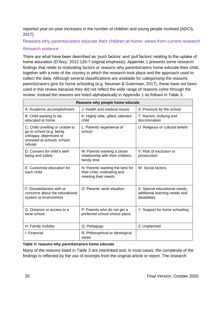reported year-on-year increases in the number of children and young people involved (ADCS, 2017).

Reasons why parents/carers educate their children at home: views from current research

## *Research evidence*

There are what have been described as '*push* factors' and '*pull* factors' relating to the uptake of home education (D'Arcy, 2012:126-7 original emphasis). Appendix 1 presents some research findings that relate to motivating factors or reasons why parents/carers home educate their child, together with a note of the country in which the research took place and the approach used to collect the data. Although several classifications are available for categorising the reasons parents/carers give for home schooling (e.g. Neuman & Guterman, 2017), these have not been used in this review because they did not reflect the wide range of reasons come through the review; instead the reasons are listed alphabetically in Appendix 1 as follows in Table 3.

| Reasons why people home educate                                                                                                |                                                                                       |                                                                                |  |  |  |
|--------------------------------------------------------------------------------------------------------------------------------|---------------------------------------------------------------------------------------|--------------------------------------------------------------------------------|--|--|--|
| A: Academic accomplishment                                                                                                     | J: Health and medical issues                                                          | S: Pressure by the school                                                      |  |  |  |
| B: Child wanting to be<br>educated at home                                                                                     | K: Highly able, gifted, talented<br>child                                             | T: Racism, bullying and<br>discrimination                                      |  |  |  |
| C: Child unwilling or unable to<br>go to school (e.g. being<br>unhappy, depressed or<br>stressed at school); school<br>refusal | L: Parents' experience of<br>school                                                   | U: Religious or cultural beliefs                                               |  |  |  |
| D: Concern for child's well-<br>being and safety                                                                               | M: Parents wanting a closer<br>relationship with their children,<br>family time       | V: Risk of exclusion or<br>prosecution                                         |  |  |  |
| E: Customise education for<br>each child                                                                                       | N: Parents wanting the best for<br>their child, motivating and<br>meeting their needs | W: Social factors                                                              |  |  |  |
| F: Dissatisfaction with or<br>concerns about the educational<br>system or environment                                          | O: Parents' work situation                                                            | X: Special educational needs,<br>additional learning needs and<br>disabilities |  |  |  |
| G: Distance or access to a<br>local school                                                                                     | P: Parents who do not get a<br>preferred school choice place                          | Y: Support for home schooling                                                  |  |  |  |
| H: Family mobility                                                                                                             | Q: Pedagogy                                                                           | Z: Unplanned                                                                   |  |  |  |
| I: Financial                                                                                                                   | R: Philosophical or ideological<br>views                                              |                                                                                |  |  |  |

## **Table 3: reasons why parents/carers home educate**

Many of the reasons listed in Table 3 are interlinked and, in most cases, the complexity of the findings is reflected by the use of excerpts from the original article or report. The research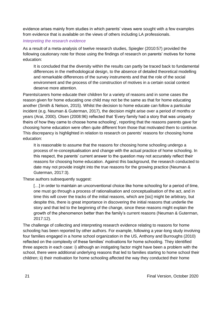evidence arises mainly from studies in which parents' views were sought with a few examples from evidence that is available on the views of others including LA professionals.

#### *Interpreting the research evidence*

As a result of a meta-analysis of twelve research studies, Spiegler (2010:57) provided the following cautionary note for those using the findings of research on parents' motives for home education:

It is concluded that the diversity within the results can partly be traced back to fundamental differences in the methodological design, to the absence of detailed theoretical modelling and remarkable differences of the survey instruments and that the role of the social environment and the process of the construction of motives in a certain social context deserve more attention.

Parents/carers home educate their children for a variety of reasons and in some cases the reason given for home educating one child may not be the same as that for home educating another (Smith & Nelson, 2015). Whilst the decision to home educate can follow a particular incident (e.g. Neuman & Guterman, 2017), the decision might arise over a period of months or years (Arai, 2000). Olsen (2008:96) reflected that 'Every family had a story that was uniquely theirs of how they came to choose home schooling', reporting that the reasons parents gave for choosing home education were often quite different from those that motivated them to continue. This discrepancy is highlighted in relation to research on parents' reasons for choosing home education:

It is reasonable to assume that the reasons for choosing home schooling undergo a process of re-conceptualisation and change with the actual practice of home schooling. In this respect, the parents' current answer to the question may not accurately reflect their reasons for choosing home education. Against this background, the research conducted to date may not provide insight into the true reasons for the growing practice (Neuman & Guterman, 2017:3).

These authors subsequently suggest:

[...] in order to maintain an unconventional choice like home schooling for a period of time, one must go through a process of rationalisation and conceptualisation of the act, and in time this will cover the tracks of the initial reasons, which are [sic] might be arbitrary, but despite this, there is great importance in discovering the initial reasons that underlie the story and that led to the beginning of the change, since these reasons might explain the growth of the phenomenon better than the family's current reasons (Neuman & Guterman, 2017:12).

The challenge of collecting and interpreting research evidence relating to reasons for home schooling has been reported by other authors. For example, following a year-long study involving four families engaged in a home school organization in the US, Anthony and Burroughs (2010) reflected on the complexity of these families' motivations for home schooling. They identified three aspects in each case: i) although an instigating factor might have been a problem with the school, there were additional underlying reasons that led to families starting to home school their children; ii) their motivation for home schooling affected the way they conducted their home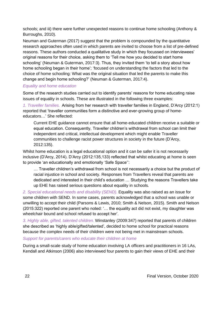schools; and iii) there were further unexpected reasons to continue home schooling (Anthony & Burroughs, 2010).

Neuman and Guterman (2017) suggest that the problem is compounded by the quantitative research approaches often used in which parents are invited to choose from a list of pre-defined reasons. These authors conducted a qualitative study in which they focussed on interviewees' original reasons for their choice, asking them to 'Tell me how you decided to start home schooling' (Neuman & Guterman, 2017:3). Thus, they invited them 'to tell a story about how home schooling began in their home'; 'focused on understanding the factors that led to the choice of home schooling: What was the original situation that led the parents to make this change and begin home schooling?' (Neuman & Guterman, 2017:4).

#### *Equality and home education*

Some of the research studies carried out to identify parents' reasons for home educating raise issues of equality in schools. These are illustrated in the following three examples:

*1. Traveller families.* Arising from her research with traveller families in England, D'Arcy (2012:1) reported that 'traveller communities form a distinctive and ever-growing group of homeeducators…' She reflected:

Current EHE guidance cannot ensure that all home-educated children receive a suitable or equal education. Consequently, Traveller children's withdrawal from school can limit their independent and critical, intellectual development which might enable Traveller communities to challenge racist power structures in society in the future (D'Arcy, 2012:135).

Whilst home education is a legal educational option and it can be safer it is not necessarily inclusive (D'Arcy, 2014). D'Arcy (2012:135,133) reflected that whilst educating at home is seen to provide 'an educationally and emotionally 'Safe Space'':

… Traveller children's withdrawal from school is not necessarily a choice but the product of racial injustice in school and society. Responses from Travellers reveal that parents are dedicated and interested in their child's education … Studying the reasons Travellers take up EHE has raised serious questions about equality in schools.

*2. Special educational needs and disability (SEND).* Equality was also raised as an issue for some children with SEND. In some cases, parents acknowledged that a school was unable or unwilling to accept their child (Parsons & Lewis, 2010; Smith & Nelson, 2015). Smith and Nelson (2015:322) reported one parent who noted: '… the equality act did not exist, my daughter was wheelchair bound and school refused to accept her'.

*3. Highly able, gifted, talented children.* Winstanley (2009:347) reported that parents of children she described as 'highly able/gifted/talented', decided to home school for practical reasons because the complex needs of their children were not being met in mainstream schools.

#### *Support for parents/carers who educate their children at home*

During a small-scale study of home education involving LA officers and practitioners in 16 LAs, Kendall and Atkinson (2006) also interviewed four parents to gain their views of EHE and their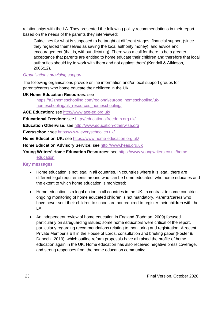relationships with the LA. They presented the following policy recommendations in their report, based on the needs of the parents they interviewed:

Guidelines for what is supposed to be taught at different stages, financial support (since they regarded themselves as saving the local authority money), and advice and encouragement (that is, without dictating). There was a call for there to be a greater acceptance that parents are entitled to home educate their children and therefore that local authorities should try to work with them and not against them' (Kendall & Atkinson, 2006:12).

## *Organisations providing support*

The following organisations provide online information and/or local support groups for parents/carers who home educate their children in the UK.

#### **UK Home Education Resources**: see

[https://a2zhomeschooling.com/regional/europe\\_homeschooling/uk](https://a2zhomeschooling.com/regional/europe_homeschooling/uk-homeschooling/uk_resources_homeschooling/)[homeschooling/uk\\_resources\\_homeschooling/](https://a2zhomeschooling.com/regional/europe_homeschooling/uk-homeschooling/uk_resources_homeschooling/)

**ACE Education:** see<http://www.ace-ed.org.uk/>

**Educational Freedom**: see<http://educationalfreedom.org.uk/>

**Education Otherwise:** see [http://www.education-otherwise.org](http://www.education-otherwise.org/)

**Everyschool:** see<https://www.everyschool.co.uk/>

**Home Education UK:** see <https://www.home-education.org.uk/>

**Home Education Advisory Service:** see [http://www.heas.org.uk](http://www.heas.org.uk/)

**Young Writers' Home Education Resources:** see [https://www.youngwriters.co.uk/home-](https://www.youngwriters.co.uk/home-education)

## Key messages

**[education](https://www.youngwriters.co.uk/home-education)** 

- Home education is not legal in all countries. In countries where it is legal, there are different legal requirements around who can be home educated, who home educates and the extent to which home education is monitored;
- Home education is a legal option in all countries in the UK. In contrast to some countries, ongoing monitoring of home educated children is not mandatory. Parents/carers who have never sent their children to school are not required to register their children with the LA;
- An independent review of home education in England (Badman, 2009) focused particularly on safeguarding issues; some home educators were critical of the report, particularly regarding recommendations relating to monitoring and registration. A recent Private Member's Bill in the House of Lords, consultation and briefing paper (Foster & Danechi, 2019), which outline reform proposals have all raised the profile of home education again in the UK. Home education has also received negative press coverage, and strong responses from the home education community;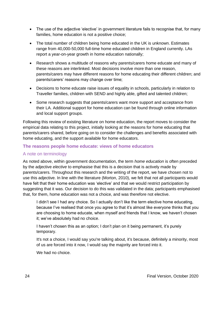- The use of the adjective 'elective' in government literature fails to recognise that, for many families, home education is not a positive choice;
- The total number of children being home educated in the UK is unknown. Estimates range from 40,000-50,000 full-time home educated children in England currently. LAs report a year-on-year growth in home education nationally;
- Research shows a multitude of reasons why parents/carers home educate and many of these reasons are interlinked. Most decisions involve more than one reason, parents/carers may have different reasons for home educating their different children; and parents/carers' reasons may change over time;
- Decisions to home educate raise issues of equality in schools, particularly in relation to Traveller families, children with SEND and highly able, gifted and talented children;
- Some research suggests that parents/carers want more support and acceptance from their LA. Additional support for home education can be found through online information and local support groups.

Following this review of existing literature on home education, the report moves to consider the empirical data relating to this project, initially looking at the reasons for home educating that parents/carers shared, before going on to consider the challenges and benefits associated with home educating, and the support available for home educators.

## **The reasons people home educate: views of home educators**

## A note on terminology

As noted above, within government documentation, the term *home education* is often preceded by the adjective *elective* to emphasise that this is a decision that is actively made by parents/carers. Throughout this research and the writing of the report, we have chosen not to use this adjective. In line with the literature (Morton, 2010), we felt that not all participants would have felt that their home education was 'elective' and that we would restrict participation by suggesting that it was. Our decision to do this was validated in the data; participants emphasised that, for them, home education was not a choice, and was therefore not elective.

I didn't see I had any choice. So I actually don't like the term elective home educating, because I've realised that once you agree to that it's almost like everyone thinks that you are choosing to home educate, when myself and friends that I know, we haven't chosen it; we've absolutely had no choice.

I haven't chosen this as an option; I don't plan on it being permanent, it's purely temporary.

It's not a choice, I would say you're talking about, it's because, definitely a minority, most of us are forced into it now, I would say the majority are forced into it.

We had no choice.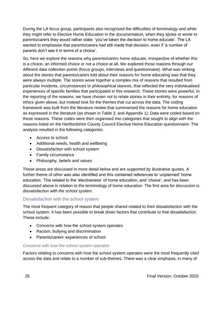During the LA focus group, participants also recognised the difficulties of terminology and while they might refer to Elective Home Education in the documentation, when they spoke or wrote to parents/carers they would rather state: 'you've taken the decision to home educate'. The LA wanted to emphasise that parents/carers had still made that decision, even if 'a number of parents don't see it in terms of a choice'.

So, here we explore the reasons why parents/carers home educate, irrespective of whether this is a choice, an informed choice or not a choice at all. We explored those reasons through our different data collection points (focus groups, interviews and questionnaire). What was striking about the stories that parents/carers told about their reasons for home educating was that they were always multiple. The stories wove together a complex mix of reasons that resulted from particular incidents, circumstances or philosophical stances, that reflected the very individualised experiences of specific families that participated in this research. These stories were powerful. In the reporting of the reasons, we have chosen not to relate stories in their entirety, for reasons of ethics given above, but instead look for the themes that cut across the data. The coding framework was built from the literature review that summarised the reasons for home education as expressed in the literature (as shown in Table 3, and Appendix 1). Data were coded based on these reasons. These codes were then organised into categories that sought to align with the reasons listed on the Hertfordshire County Council Elective Home Education questionnaire. The analysis resulted in the following categories:

- Access to school
- Additional needs, health and wellbeing
- Dissatisfaction with school system
- Family circumstance
- Philosophy, beliefs and values

These areas are discussed in more detail below and are supported by illustrative quotes. A further theme of *other* was also identified and this contained references to 'unplanned' home education. This related to the 'electiveness' of home education, and 'choice', and has been discussed above in relation to the terminology of home education. The first area for discussion is *dissatisfaction with the school system*.

## Dissatisfaction with the school system

The most frequent category of reason that people shared related to their dissatisfaction with the school system. It has been possible to break down factors that contribute to that dissatisfaction. These include:

- Concerns with how the school system operates
- Racism, bullying and discrimination
- Parents/carers' experiences of school

## *Concerns with how the school system operates*

Factors relating to concerns with how the school system operates were the most frequently cited across the data and relate to a number of sub-themes. There was a clear emphasis, in many of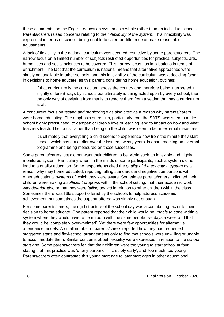these comments, on the English education system as a whole rather than on individual schools. Parents/carers raised concerns relating to the *inflexibility of the system*. This inflexibility was expressed in terms of schools being unable to cater for difference or make reasonable adjustments.

A lack of flexibility in the national curriculum was deemed restrictive by some parents/carers. The narrow focus on a limited number of subjects restricted opportunities for practical subjects, arts, humanities and social sciences to be covered. This narrow focus has implications in terms of enrichment. The fact that the curriculum is national means that alternative approaches were simply not available in other schools, and this inflexibility of the curriculum was a deciding factor in decisions to home educate, as this parent, considering home education, outlines:

If that curriculum is the curriculum across the country and therefore being interpreted in slightly different ways by schools but ultimately is being acted upon by every school, then the only way of deviating from that is to remove them from a setting that has a curriculum at all.

A concurrent focus on *testing and monitoring* was also cited as a reason why parents/carers were home educating. The emphasis on results, particularly from the SATS, was seen to make school highly pressurised, to dampen children's love of learning, and to impact on how and what teachers teach. The focus, rather than being on the child, was seen to be on external measures.

It's ultimately that everything a child seems to experience now from the minute they start school, which has got earlier over the last ten, twenty years, is about meeting an external programme and being measured on those successes.

Some parents/carers just did not want their children to be within such an inflexible and highly monitored system. Particularly when, in the minds of some participants, such a system did not lead to a quality education. Some respondents cited the *quality of the education system* as a reason why they home educated, reporting falling standards and negative comparisons with other educational systems of which they were aware. Sometimes parents/carers indicated their children were making *insufficient progress* within the school setting, that their academic work was *deteriorating* or that they were *falling behind* in relation to other children within the class. Sometimes there was little support offered by the schools to help address academic achievement, but sometimes the support offered was simply not enough.

For some parents/carers, the rigid structure of the school day was a contributing factor to their decision to home educate. One parent reported that their child would be *unable to cope* within a system where they would have to be in room with the same people five days a week and that they would be 'completely overwhelmed'. Yet there were few opportunities for alternative attendance models. A small number of parents/carers reported how they had requested staggered starts and flexi-school arrangements only to find that schools were unwilling or unable to accommodate them. Similar concerns about flexibility were expressed in relation to the *school start age*. Some parents/carers felt that their children were too young to start school at four, stating that this practice was 'utterly barbaric', 'incredibly early', and 'too much, too young'. Parents/carers often contrasted this young start age to later start ages in other educational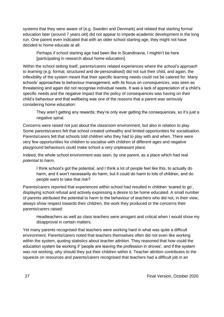systems that they were aware of (e.g. Sweden and Denmark) and related that starting formal education later (around 7 years old) did not appear to impede academic development in the long run. One parent even indicated that with an older school starting age, they might not have decided to home educate at all:

Perhaps if school starting age had been like in Scandinavia, I mightn't be here [participating in research about home education].

Within the school setting itself, parents/carers related experiences where the *school's approach to learning* (e.g. formal, structured and de-personalised) did not suit their child, and again, the inflexibility of the system meant that their specific learning needs could not be catered for. Many schools' approaches to behaviour management, with its focus on *consequences*, was seen as threatening and again did not recognise individual needs. It was a lack of appreciation of a child's specific needs and the negative impact that the policy of consequences was having on their child's behaviour and that wellbeing was one of the reasons that a parent was seriously considering home education:

They aren't getting any rewards; they're only ever getting the consequences, so it's just a negative spiral.

Concerns were raised not just about the classroom environment, but also in relation to play. Some parents/carers felt that school created unhealthy and limited opportunities for *socialisation*. Parents/carers felt that schools told children who they had to play with and when. There were very few opportunities for children to socialise with children of different ages and negative playground behaviours could make school a very unpleasant place.

Indeed, the whole school environment was seen, by one parent, as a place which had real *potential to harm*.

I think school's got the potential, and I think a lot of people feel like this, to actually do harm, and it won't necessarily do harm, but it could do harm to lots of children, and do people want to take that risk?

Parents/carers reported that experiences within school had resulted in children 'scared to go', displaying school refusal and actively expressing a desire to be home educated. A small number of parents attributed the potential to harm to the behaviour of *teachers* who did not, in their view, always show respect towards their children, the work they produced or the concerns their parents/carers raised:

Headteachers as well as class teachers were arrogant and critical when I would show my disapproval in certain matters.

Yet many parents recognised that teachers were working hard in what was quite a difficult environment. Parents/carers noted that teachers themselves often did not even like working within the system, quoting statistics about *teacher attrition*. They reasoned that how could the education system be working if 'people are leaving the profession in droves', and if the system was not working, why should they put their children within it. Teacher attrition contributes to the squeeze on resources and parents/carers recognised that teachers had a difficult job in an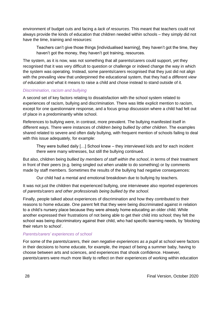environment of budget cuts and facing a *lack of resources*. This meant that teachers could not always provide the kinds of education that children needed within schools – they simply did not have the time, training and resources:

Teachers can't give those things [individualised learning], they haven't got the time, they haven't got the money, they haven't got training, resources.

The system, as it is now, was not something that all parents/carers could support, yet they recognised that it was very difficult to question or challenge or indeed change the way in which the system was operating. Instead, some parents/carers recognised that they just did not align with the prevailing view that underpinned the educational system, that they had a *different view of education* and what it means to raise a child and chose instead to stand outside of it.

## *Discrimination, racism and bullying*

A second set of key factors relating to dissatisfaction with the school system related to experiences of racism, bullying and discrimination. There was little explicit mention to *racism*, except for one questionnaire response, and a focus group discussion where a child had felt out of place in a predominantly white school.

References to bullying were, in contrast, more prevalent. The bullying manifested itself in different ways. There were instances of *children being bullied by other children*. The examples shared related to severe and often daily bullying, with frequent mention of schools failing to deal with this issue adequately, for example:

They were bullied daily […] School knew – they interviewed kids and for each incident there were many witnesses, but still the bullying continued.

But also, children being *bullied by members of staff within the school*, in terms of their treatment in front of their peers (e.g. being singled out when unable to do something) or by comments made by staff members. Sometimes the results of the bullying had negative consequences:

Our child had a mental and emotional breakdown due to bullying by teachers.

It was not just the children that experienced bullying, one interviewee also reported experiences of *parents/carers and other professionals being bullied by the school*.

Finally, people talked about experiences of discrimination and how they contributed to their reasons to home educate. One parent felt that they were being discriminated against in relation to a child's nursery place because they were already home educating an older child. While another expressed their frustrations of not being able to get their child into school; they felt the school was being discriminatory against their child, who had specific learning needs, by 'blocking their return to school'.

#### *Parents/carers' experiences of school*

For some of the parents/carers, their *own negative experiences as a pupil* at school were factors in their decisions to home educate, for example, the impact of being a summer baby, having to choose between arts and sciences, and experiences that shook confidence. However, parents/carers were much more likely to reflect on their experiences of working within education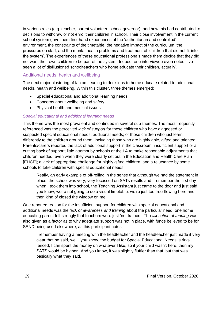in various roles (e.g. teacher, parent volunteer, school governor), and how this had contributed to decisions to withdraw or not enrol their children in school. Their close involvement in the current school system gave them first-hand experiences of the 'authoritarian and controlled' environment, the constraints of the timetable, the negative impact of the curriculum, the pressures on staff, and the mental health problems and treatment of 'children that did not fit into the system'. The experiences of these educational professionals made them decide that they did not want their own children to be part of the system. Indeed, one interviewee even noted 'I've seen a lot of disillusioned schoolteachers who home educate their children, actually'.

## Additional needs, health and wellbeing

The next major clustering of factors leading to decisions to home educate related to additional needs, health and wellbeing. Within this cluster, three themes emerged:

- Special educational and additional learning needs
- Concerns about wellbeing and safety
- Physical health and medical issues

## *Special educational and additional learning needs*

This theme was the most prevalent and continued in several sub-themes. The most frequently referenced was the perceived *lack of support* for those children who have diagnosed or suspected special educational needs; additional needs; or those children who just learn differently to the children around them, including those who are highly able, gifted and talented. Parents/carers reported the lack of additional support in the classroom, insufficient support or a cutting back of support; little attempt by schools or the LA to make reasonable adjustments that children needed, even when they were clearly set out in the Education and Health Care Plan [EHCP]; a lack of appropriate challenge for highly gifted children, and a reluctance by some schools to take children with special educational needs:

Really, an early example of off-rolling in the sense that although we had the statement in place, the school was very, very focussed on SATs results and I remember the first day when I took them into school, the Teaching Assistant just came to the door and just said, you know, we're not going to do a visual timetable, we're just too free-flowing here and then kind of closed the window on me.

One reported reason for the insufficient support for children with special educational and additional needs was the *lack of awareness and training* about the particular need; one home educating parent felt strongly that teachers were just 'not trained'. The *allocation of funding* was also given as a factor as to why adequate support was not in place, with funds believed to be for SEND being used elsewhere, as this participant notes:

I remember having a meeting with the headteacher and the headteacher just made it very clear that he said, well, 'you know, the budget for Special Educational Needs is ringfenced; I can spent the money on whatever I like, so if your child wasn't here, then my SATS would be higher'. And you know, it was slightly fluffier than that, but that was basically what they said.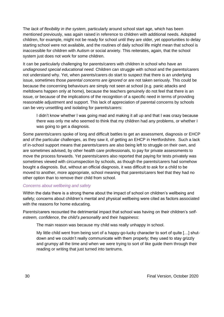The *lack of flexibility in the system*, particularly around school start age, which has been mentioned previously, was again raised in reference to children with additional needs. Adopted children, for example, might not be ready for school until they are older, yet opportunities to delay starting school were not available, and the routines of daily school life might mean that school is inaccessible for children with Autism or social anxiety. This reiterates, again, that the school system just does not work for some children.

It can be particularly challenging for parents/carers with children in school who have an *undiagnosed special educational need.* Children can struggle with school and the parents/carers not understand why. Yet, when parents/carers do start to suspect that there is an underlying issue, sometimes those *parental concerns are ignored* or are not taken seriously. This could be because the concerning behaviours are simply not seen at school (e.g. panic attacks and meltdowns happen only at home), because the teachers genuinely do not feel that there is an issue, or because of the implications of the recognition of a specific need in terms of providing reasonable adjustment and support. This lack of appreciation of parental concerns by schools can be very unsettling and isolating for parents/carers:

I didn't know whether I was going mad and making it all up and that I was crazy because there was only me who seemed to think that my children had any problems, or whether I was going to get a diagnosis.

Some parents/carers spoke of long and difficult battles to get an assessment, diagnosis or EHCP and of the particular challenges, as they saw it, of getting an EHCP in Hertfordshire. Such a lack of in-school support means that parents/carers are also being left to struggle on their own, and are sometimes advised, by other health care professionals, to pay for private assessments to move the process forwards. Yet parents/carers also reported that paying for tests privately was sometimes viewed with circumspection by schools, as though the parents/carers had somehow bought a diagnosis. But, without an official diagnosis, it was difficult to ask for a child to be moved to another, more appropriate, school meaning that parents/carers feel that they had no other option than to remove their child from school.

#### *Concerns about wellbeing and safety*

Within the data there is a strong theme about the impact of school on children's wellbeing and safety; concerns about children's mental and physical wellbeing were cited as factors associated with the reasons for home educating.

Parents/carers recounted the detrimental impact that school was having on their children's *selfesteem, confidence*, the *child's personality* and their *happiness*:

The main reason was because my child was really unhappy in school.

My little child went from being sort of a happy-go-lucky character to sort of quite […] shutdown and we couldn't really communicate with them properly; they used to stay grizzly and grumpy all the time and when we were trying to sort of like guide them through their reading or writing that just turned into tantrums.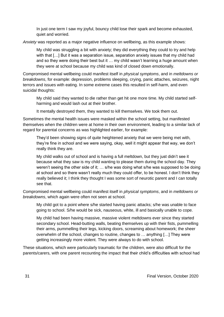In just one term I saw my joyful, bouncy child lose their spark and become exhausted, quiet and worried.

*Anxiety* was reported as a major negative influence on wellbeing, as this example shows:

My child was struggling a bit with anxiety; they did everything they could to try and help with that […] But it was a separation issue, separation anxiety issues that my child had and so they were doing their best but it … my child wasn't learning a huge amount when they were at school because my child was kind of closed down emotionally.

Compromised mental wellbeing could manifest itself in *physical symptoms*, and in *meltdowns or breakdowns*, for example: depression, problems sleeping, crying, panic attaches, seizures, night terrors and issues with eating. In some extreme cases this resulted in self-harm, and even suicidal thoughts:

My child said they wanted to die rather than get hit one more time. My child started selfharming and would lash out at their brother.

It mentally destroyed them, they wanted to kill themselves. We took them out.

Sometimes the mental health issues were masked within the school setting, but manifested themselves when the children were at home in their own environment, leading to a similar lack of regard for parental concerns as was highlighted earlier, for example:

They'd been showing signs of quite heightened anxiety that we were being met with, they're fine in school and we were saying, okay, well it might appear that way, we don't really think they are.

My child walks out of school and is having a full meltdown, but they just didn't see it because what they saw is my child wanting to please them during the school day. They weren't seeing the other side of it; … s/he was doing what s/he was supposed to be doing at school and so there wasn't really much they could offer, to be honest. I don't think they really believed it; I think they thought I was some sort of neurotic parent and I can totally see that.

Compromised mental wellbeing could manifest itself in *physical symptoms*, and in *meltdowns or breakdowns*, which again were often not seen at school.

My child got to a point where s/he started having panic attacks; s/he was unable to face going to school. S/he would be sick, nauseous, white, ill and basically unable to cope.

My child had been having massive, massive violent meltdowns ever since they started secondary school. Head-butting walls, beating themselves up with their fists, pummelling their arms, pummelling their legs, kicking doors, screaming about homework; the sheer overwhelm of the school, changes to routine, changes to … anything […] They were getting increasingly more violent. They were always to do with school.

These situations, which were particularly traumatic for the children, were also difficult for the parents/carers, with one parent recounting the impact that their child's difficulties with school had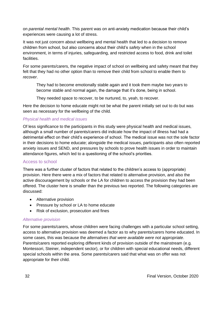on *parental mental health*. This parent was on anti-anxiety medication because their child's experiences were causing a lot of stress.

It was not just concern about wellbeing and mental health that led to a decision to remove children from school, but also concerns about their child's *safety* when in the school environment, in terms of injuries, safeguarding, and restricted access to food, drink and toilet facilities.

For some parents/carers, the negative impact of school on wellbeing and safety meant that they felt that they had no other option than to remove their child from school to enable them to *recover*.

They had to become emotionally stable again and it took them maybe two years to become stable and normal again, the damage that it's done, being in school.

They needed space to recover, to be nurtured, to, yeah, to recover.

Here the decision to home educate might not be what the parent initially set out to do but was seen as necessary for the wellbeing of the child.

## *Physical health and medical issues*

Of less significance to the participants in this study were physical health and medical issues, although a small number of parents/carers did indicate how the impact of illness had had a detrimental effect on their child's experience of school. The medical issue was not the sole factor in their decisions to home educate; alongside the medical issues, participants also often reported anxiety issues and SEND, and pressures by schools to prove health issues in order to maintain attendance figures, which led to a questioning of the school's priorities.

## Access to school

There was a further cluster of factors that related to the children's access to (appropriate) provision. Here there were a mix of factors that related to alternative provision, and also the active discouragement by schools or the LA for children to access the provision they had been offered. The cluster here is smaller than the previous two reported. The following categories are discussed:

- Alternative provision
- Pressure by school or LA to home educate
- Risk of exclusion, prosecution and fines

#### *Alternative provision*

For some parents/carers, whose children were facing challenges with a particular school setting, access to alternative provision was deemed a factor as to why parents/carers home educated. In some cases, this was because the *alternatives that were available were not appropriate*. Parents/carers reported exploring different kinds of provision outside of the mainstream (e.g. Montessori, Steiner, independent sector), or for children with special educational needs, different special schools within the area. Some parents/carers said that what was on offer was not appropriate for their child.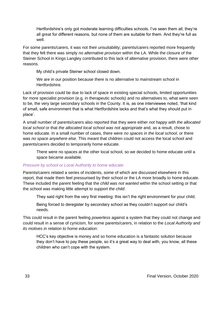Hertfordshire's only got moderate learning difficulties schools. I've seen them all; they're all great for different reasons, but none of them are suitable for them. And they're full as well.

For some parents/carers, it was not their unsuitability; parents/carers reported more frequently that they felt there was simply *no alternative provision* within the LA. While the closure of the Steiner School in Kings Langley contributed to this lack of alternative provision, there were other reasons.

My child's private Steiner school closed down.

We are in our position because there is no alternative to mainstream school in Hertfordshire.

Lack of provision could be due to lack of space in existing special schools, limited opportunities for more specialist provision (e.g. in therapeutic schools) and no alternatives to, what were seen to be, the very large secondary schools in the County. It is, as one interviewee noted, 'that kind of small, safe environment that is what Hertfordshire lacks and that's what they should put in place'.

A small number of parents/carers also reported that they were either *not happy with the allocated local school* or that *the allocated local school was not appropriate* and, as a result, chose to home educate. In a small number of cases, there were *no spaces in the local school*, or there was *no space anywhere else*. This meant that children could not access the local school and parents/carers decided to temporarily home educate.

There were no spaces at the other local school, so we decided to home educate until a space became available.

#### *Pressure by school or Local Authority to home educate*

Parents/carers related a series of incidents, some of which are discussed elsewhere in this report, that made them feel pressurised by their school or the LA more broadly to home educate. These included the parent feeling that the *child was not wanted* within the school setting or that the school was making little attempt to *support the child*:

They said right from the very first meeting: this isn't the right environment for your child.

Being forced to deregister by secondary school as they couldn't support our child's needs.

This could result in the parent feeling *powerless* against a system that they could not change and could result in a sense of cynicism, for some parents/carers, in relation to the *Local Authority and its motives in relation to home education*:

HCC's key objective is money and so home education is a fantastic solution because they don't have to pay these people, so it's a great way to deal with, you know, all these children who can't cope with the system.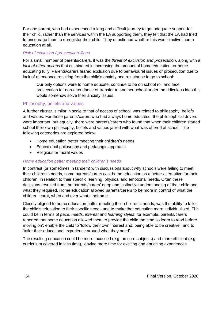For one parent, who had experienced a long and difficult journey to get adequate support for their child, rather than the services within the LA supporting them, they felt that the LA had tried to encourage them to deregister their child. They questioned whether this was 'elective' home education at all.

## *Risk of exclusion / prosecution /fines*

For a small number of parents/carers, it was the *threat of exclusion and prosecution*, along with a *lack of other options* that culminated in increasing the amount of home education, or home educating fully. Parents/carers feared exclusion due to behavioural issues or prosecution due to lack of attendance resulting from the child's anxiety and reluctance to go to school:

Our only options were to home educate, continue to be on school roll and face prosecution for non-attendance or transfer to another school under the ridiculous idea this would somehow solve their anxiety issues.

# Philosophy, beliefs and values

A further cluster, similar in scale to that of access of school, was related to philosophy, beliefs and values. For those parents/carers who had always home educated, the philosophical drivers were important, but equally, there were parents/carers who found that when their children started school their own philosophy, beliefs and values jarred with what was offered at school. The following categories are explored below:

- Home education better meeting their children's needs
- Educational philosophy and pedagogic approach
- Religious or moral values

## *Home education better meeting their children's needs*

In contrast (or sometimes in tandem) with discussions about why schools were failing to meet their children's needs, some parents/carers cast home education as a better alternative for their children, in relation to their specific learning, physical and emotional needs. Often these decisions resulted from the parents/carers' deep and instinctive understanding of their child and what they required. Home education allowed parents/carers to be more in control of what the children learnt, when and over what timeframe

Closely aligned to home education better meeting their children's needs, was the ability to tailor the child's education to their specific needs and to make that education more individualised. This could be in terms of *pace*, *needs*, *interest* and *learning styles*; for example, parents/carers reported that home education allowed them to provide the child the time 'to learn to read before moving on'; enable the child to 'follow their own interest and, being able to be creative'; and to 'tailor their educational experience around what they need'.

The resulting education could be more focussed (e.g. on core subjects) and more efficient (e.g. curriculum covered in less time), leaving more time for exciting and enriching experiences.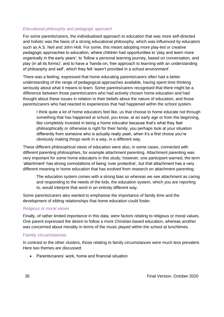#### *Educational philosophy and pedagogic approach*

For some parents/carers, the individualised approach to education that was more self-directed and holistic was the basis of a strong educational philosophy, which was influenced by educators such as A.S. Neil and John Holt. For some, this meant adopting more play-led or creative pedagogic approaches to education, where children had opportunities to 'play and learn more organically in the early years'; to 'follow a personal learning journey, based on conversation, and play (in all its forms)'; and to have a 'hands-on, free approach to learning with an understanding of philosophy and self', which they felt 'wasn't provided in a school environment'.

There was a feeling, expressed that home educating parents/carers often had a better understanding of the range of pedagogical approaches available, having spent time thinking seriously about what it means to learn. Some parents/carers recognised that there might be a difference between those parents/carers who had actively chosen home education and had thought about these issues in relation to their beliefs about the nature of education, and those parents/carers who had reacted to experiences that had happened within the school system.

I think quite a lot of home educators feel like, us that choose to home educate not through something that has happened at school, you know, at an early age or from the beginning, like completely invested in being a home educator because that's what they feel philosophically or otherwise is right for their family, you perhaps look at your situation differently from someone who is actually really yeah, when it's a first choice you're obviously making things work in a way, in a different way.

These different philosophical views of education were also, in some cases, connected with different parenting philosophies, for example attachment parenting. Attachment parenting was very important for some home educators in this study; however, one participant warned, the term 'attachment' has strong connotations of being 'over protective', but that attachment has a very different meaning in home education that has evolved from research on attachment parenting:

The education system comes with a strong bias so whereas we see attachment as caring and responding to the needs of the kids, the education system, which you are reporting to, would interpret that word in an entirely different way.

Some parents/carers also wanted to emphasise the importance of family time and the development of sibling relationships that home education could foster.

## *Religious or moral values*

Finally, of rather limited importance in this data, were factors relating to religious or moral values. One parent expressed the desire to follow a more Christian-based education, whereas another was concerned about morality in terms of the music played within the school at lunchtimes.

#### Family circumstances

In contrast to the other clusters, those relating to family circumstances were much less prevalent. Here two themes are discussed:

• Parents/carers' work, home and financial situation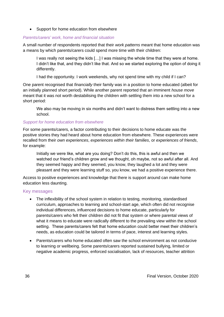• Support for home education from elsewhere

## *Parents/carers' work, home and financial situation*

A small number of respondents reported that their *work patterns* meant that home education was a means by which parents/carers could spend more time with their children:

I was really not seeing the kids […] I was missing the whole time that they were at home. I didn't like that, and they didn't like that. And so we started exploring the option of doing it differently.

I had the opportunity. I work weekends, why not spend time with my child if I can?

One parent recognised that *financially* their family was in a position to home educated (albeit for an initially planned short period). While another parent reported that an imminent *house move* meant that it was not worth destabilising the children with settling them into a new school for a short period:

We also may be moving in six months and didn't want to distress them settling into a new school.

## *Support for home education from elsewhere*

For some parents/carers, a factor contributing to their decisions to home educate was the positive stories they had heard about home education from elsewhere. These experiences were recalled from their *own experiences*, *experiences within their families*, or *experiences of friends*, for example:

Initially we were like, what are you doing? Don't do this, this is awful and then we watched our friend's children grow and we thought, oh maybe, not so awful after all. And they seemed happy and they seemed, you know, they laughed a lot and they were pleasant and they were learning stuff so, you know, we had a positive experience there.

Access to positive experiences and knowledge that there is support around can make home education less daunting.

## Key messages

- The inflexibility of the school system in relation to testing, monitoring, standardised curriculum, approaches to learning and school-start age, which often did not recognise individual differences, influenced decisions to home educate, particularly for parents/carers who felt their children did not fit that system or where parental views of what it means to educate were radically different to the prevailing view within the school setting. These parents/carers felt that home education could better meet their children's needs, as education could be tailored in terms of pace, interest and learning styles.
- Parents/carers who home educated often saw the school environment as not conducive to learning or wellbeing. Some parents/carers reported sustained bullying, limited or negative academic progress, enforced socialisation, lack of resources, teacher attrition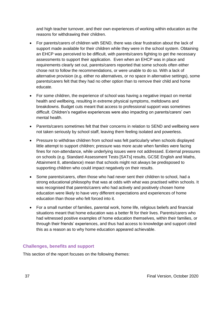and high teacher turnover, and their own experiences of working within education as the reasons for withdrawing their children.

- For parents/carers of children with SEND, there was clear frustration about the lack of support made available for their children while they were in the school system. Obtaining an EHCP was perceived to be difficult, with parents/carers fighting to get the necessary assessments to support their application. Even when an EHCP was in place and requirements clearly set out, parents/carers reported that some schools often either chose not to follow the recommendations, or were unable to do so. With a lack of alternative provision (e.g. either no alternatives, or no space in alternative settings), some parents/carers felt that they had no other option than to remove their child and home educate.
- For some children, the experience of school was having a negative impact on mental health and wellbeing, resulting in extreme physical symptoms, meltdowns and breakdowns. Budget cuts meant that access to professional support was sometimes difficult. Children's negative experiences were also impacting on parents/carers' own mental health.
- Parents/carers sometimes felt that their concerns in relation to SEND and wellbeing were not taken seriously by school staff, leaving them feeling isolated and powerless.
- Pressure to withdraw children from school was felt particularly when schools displayed little attempt to support children; pressure was more acute when families were facing fines for non-attendance, while underlying issues were not addressed. External pressures on schools (e.g. Standard Assessment Tests [SATs] results, GCSE English and Maths, Attainment 8, attendance) mean that schools might not always be predisposed to supporting children who could impact negatively on their results.
- Some parents/carers, often those who had never sent their children to school, had a strong educational philosophy that was at odds with what was practised within schools. It was recognised that parents/carers who had actively and positively chosen home education were likely to have very different expectations and experiences of home education than those who felt forced into it.
- For a small number of families, parental work, home life, religious beliefs and financial situations meant that home education was a better fit for their lives. Parents/carers who had witnessed positive examples of home education themselves, within their families, or through their friends' experiences, and thus had access to knowledge and support cited this as a reason as to why home education appeared achievable.

### **Challenges, benefits and support**

This section of the report focuses on the following themes: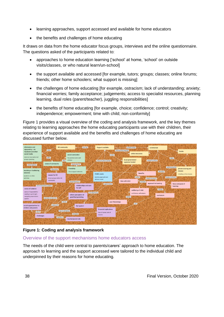- learning approaches, support accessed and available for home educators
- the benefits and challenges of home educating

It draws on data from the home educator focus groups, interviews and the online questionnaire. The questions asked of the participants related to:

- approaches to home education learning ['school' at home, 'school' on outside visits/classes, or who natural learn/un-school]
- the support available and accessed [for example, tutors; groups; classes; online forums; friends; other home schoolers; what support is missing]
- the challenges of home educating [for example, ostracism; lack of understanding; anxiety; financial worries; family acceptance; judgements; access to specialist resources, planning learning, dual roles (parent/teacher), juggling responsibilities]
- the benefits of home educating [for example, choice; confidence; control; creativity; independence; empowerment; time with child; non-conformity]

Figure 1 provides a visual overview of the coding and analysis framework, and the key themes relating to learning approaches the home educating participants use with their children, their experience of support available and the benefits and challenges of home educating are discussed further below.



**Figure 1: Coding and analysis framework**

# Overview of the support mechanisms home educators access

The needs of the child were central to parents/carers' approach to home education. The approach to learning and the support accessed were tailored to the individual child and underpinned by their reasons for home educating.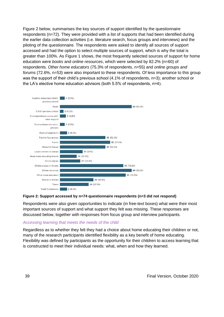Figure 2 below, summarises the key sources of support identified by the questionnaire respondents (n=72). They were provided with a list of supports that had been identified during the earlier data collection activities (i.e. literature search, focus groups and interviews) and the piloting of the questionnaire. The respondents were asked to identify all sources of support accessed and had the option to select multiple sources of support, which is why the total is greater than 100%. As Figure 1 shows, the most frequently selected sources of support for home education were *books* and *online resources*, which were selected by 82.2% (n=60) of respondents. *Other home educators* (75.3% of respondents, n=55) and *online groups and forums* (72.6%, n=53) were also important to these respondents. Of less importance to this group was the support of their child's previous school (4.1% of respondents, n=3); another school or the LA's elective home education advisors (both 5.5% of respondents, n=4).



#### **Figure 2: Support accessed by n=74 questionnaire respondents (n=3 did not respond)**

Respondents were also given opportunities to indicate (in free-text boxes) what were their most important sources of support and what support they felt was missing. These responses are discussed below, together with responses from focus group and interview participants.

#### *Accessing learning that meets the needs of the child*

Regardless as to whether they felt they had a choice about home educating their children or not, many of the research participants identified flexibility as a key benefit of home educating. Flexibility was defined by participants as the opportunity for their children to access learning that is constructed to meet their individual needs: what, when and how they learned.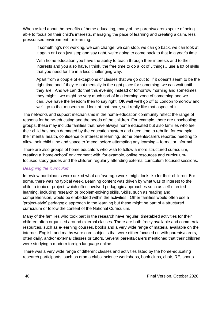When asked about the benefits of home educating, many of the parents/carers spoke of being able to focus on their child's interests, managing the pace of learning and creating a calm, less pressurised environment for learning:

If something's not working, we can change, we can stop, we can go back, we can look at it again or I can just stop and say right, we're going to come back to that in a year's time.

With home education you have the ability to teach through their interests and to their interests and you also have, I think, the free time to do a lot of…things…use a lot of skills that you need for life in a less challenging way.

Apart from a couple of exceptions of classes that we go out to, if it doesn't seem to be the right time and if they're not mentally in the right place for something, we can wait until they are. And we can do that this evening instead or tomorrow morning and sometimes they might…we might be very much sort of in a learning zone of something and we can…we have the freedom then to say right, OK well we'll go off to London tomorrow and we'll go to that museum and look at that more, so I really like that aspect of it.

The networks and support mechanisms in the home-education community reflect the range of reasons for home-educating and the needs of the children. For example, there are unschooling groups, these may include families that have always home educated but also families who feel their child has been damaged by the education system and need time to rebuild, for example, their mental health, confidence or interest in learning. Some parents/carers reported needing to allow their child time and space to 'mend' before attempting any learning – formal or informal.

There are also groups of home educators who wish to follow a more structured curriculum, creating a 'home-school' environment with, for example, online resources and curriculumfocused study guides and the children regularly attending external curriculum-focused sessions.

### *Designing the 'curriculum'*

Interview participants were asked what an 'average week' might look like for their children. For some, there was no typical week. Learning content was driven by what was of interest to the child, a topic or project, which often involved pedagogic approaches such as self-directed learning, including research or problem-solving skills. Skills, such as reading and comprehension, would be embedded within the activities. Other families would often use a 'project-style' pedagogic approach to the learning but these might be part of a structured curriculum or follow the content of the National Curriculum.

Many of the families who took part in the research have regular, timetabled activities for their children often organised around external classes. There are both freely available and commercial resources, such as e-learning courses, books and a very wide range of material available on the internet. English and maths were core subjects that were either focused on with parents/carers, often daily, and/or external classes or tutors. Several parents/carers mentioned that their children were studying a modern foreign language online.

There was a very wide range of different classes and activities listed by the home-educating research participants, such as drama clubs, science workshops, book clubs, choir, RE, sports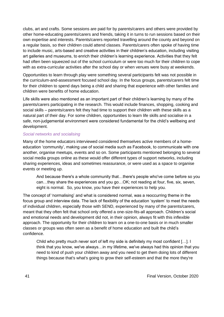clubs, art and crafts. Some sessions are paid for by parents/carers and others were provided by other home-educating parents/carers and friends, taking it in turns to run sessions based on their own expertise and interests. Parents/carers reported travelling around the county and beyond on a regular basis, so their children could attend classes. Parents/carers often spoke of having time to include music, arts-based and creative activities in their children's education, including visiting art galleries and museums, to enrich their children's learning experience. Activities that they felt had often been squeezed out of the school curriculum or were too much for their children to cope with as extra-curricular activities after the school day or when venues were busy at weekends.

Opportunities to learn through play were something several participants felt was not possible in the curriculum-and-assessment focused school day. In the focus groups, parents/carers felt time for their children to spend days being a child and sharing that experience with other families and children were benefits of home education.

Life skills were also mentioned as an important part of their children's learning by many of the parents/carers participating in the research. This would include finances, shopping, cooking and social skills – parents/carers felt they had time to support their children with these skills as a natural part of their day. For some children, opportunities to learn life skills and socialise in a safe, non-judgemental environment were considered fundamental for the child's wellbeing and development.

#### *Social networks and socialising*

Many of the home educators interviewed considered themselves active members of a homeeducation 'community', making use of social media such as Facebook, to communicate with one another, organise meetups, events and so on. Some participants mentioned belonging to several social media groups online as these would offer different types of support networks, including sharing experiences, ideas and sometimes reassurance, or were used as a space to organise events or meeting up.

And because there's a whole community that…there's people who've come before so you can…they share the experiences and you go…OK; not reading at four, five, six, seven, eight is normal. So, you know, you have their experiences to help you.

The concept of 'normalising' and what is considered normal, was a reoccurring theme in the focus group and interview data. The lack of flexibility of the education 'system' to meet the needs of individual children, especially those with SEND, experienced by many of the parents/carers, meant that they often felt that school only offered a one-size-fits-all approach. Children's social and emotional needs and development did not, in their opinion, always fit with this inflexible approach. The opportunity for their children to learn on a one-to-one basis or in much smaller classes or groups was often seen as a benefit of home education and built the child's confidence.

Child who pretty much never sort of left my side is definitely my most confident […]. I think that you know, we've always…in my lifetime, we've always had this opinion that you need to kind of push your children away and you need to get them doing lots of different things because that's what's going to grow their self-esteem and that the more they're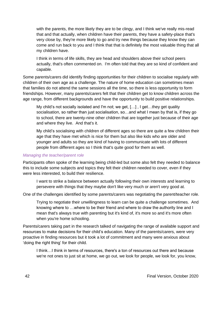with the parents, the more likely they are to be clingy, and I think we've really mis-read that and that actually, when children have their parents, they have a safety-place that's very close by, they're more likely to go and try new things because they know they can come and run back to you and I think that that is definitely the most valuable thing that all my children have.

I think in terms of life skills, they are head and shoulders above their school peers actually, that's often commented on. I'm often told that they are so kind of confident and capable.

Some parents/carers did identify finding opportunities for their children to socialise regularly with children of their own age as a challenge. The nature of home education can sometimes mean that families do not attend the same sessions all the time, so there is less opportunity to form friendships. However, many parents/carers felt that their children get to know children across the age range, from different backgrounds and have the opportunity to build positive relationships.

My child's not socially isolated and I'm not; we get, […] , I get…they get quality socialisation, so rather than just socialisation, so…and what I mean by that is, if they go to school, there are twenty-nine other children that are together just because of their age and where they live. And that's it.

My child's socialising with children of different ages so there are quite a few children their age that they have met which is nice for them but also like kids who are older and younger and adults so they are kind of having to communicate with lots of different people from different ages so I think that's quite good for them as well.

#### *Managing the teacher/parent role*

Participants often spoke of the learning being child-led but some also felt they needed to balance this to include some subjects and topics they felt their children needed to cover, even if they were less interested, to build their resilience.

I want to strike a balance between actually following their own interests and learning to persevere with things that they maybe don't like very much or aren't very good at.

One of the challenges identified by some parents/carers was negotiating the parent/teacher role.

Trying to negotiate their unwillingness to learn can be quite a challenge sometimes. And knowing where to …where to be their friend and where to draw the authority line and I mean that's always true with parenting but it's kind of, it's more so and it's more often when you're home schooling.

Parents/carers taking part in the research talked of navigating the range of available support and resources to make decisions for their child's education. Many of the parents/carers, were very proactive in finding resources but it took a lot of commitment and many were anxious about 'doing the right thing' for their child.

I think…I think in terms of resources, there's a ton of resources out there and because we're not ones to just sit at home, we go out, we look for people, we look for, you know,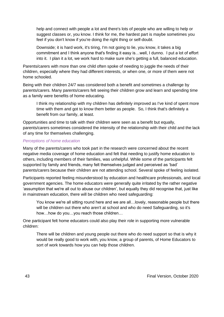help and connect with people a lot and there's lots of people who are willing to help or suggest classes or, you know. I think for me, the hardest part is maybe sometimes you feel if you don't know if you're doing the right thing or self-doubt.

Downside; it is hard work, it's tiring, I'm not going to lie, you know, it takes a big commitment and I think anyone that's finding it easy is…well, I dunno. I put a lot of effort into it. I plan it a lot, we work hard to make sure she's getting a full, balanced education.

Parents/carers with more than one child often spoke of needing to juggle the needs of their children, especially where they had different interests, or when one, or more of them were not home schooled.

Being with their children 24/7 was considered both a benefit and sometimes a challenge by parents/carers. Many parents/carers felt seeing their children grow and learn and spending time as a family were benefits of home educating.

I think my relationship with my children has definitely improved as I've kind of spent more time with them and got to know them better as people. So, I think that's definitely a benefit from our family, at least.

Opportunities and time to talk with their children were seen as a benefit but equally, parents/carers sometimes considered the intensity of the relationship with their child and the lack of any time for themselves challenging.

#### *Perceptions of home education*

Many of the parents/carers who took part in the research were concerned about the recent negative media coverage of home education and felt that needing to justify home education to others, including members of their families, was unhelpful. While some of the participants felt supported by family and friends, many felt themselves judged and perceived as 'bad' parents/carers because their children are not attending school. Several spoke of feeling isolated.

Participants reported feeling misunderstood by education and healthcare professionals, and local government agencies. The home educators were generally quite irritated by the rather negative 'assumption that we're all out to abuse our children', but equally they did recognise that, just like in mainstream education, there will be children who need safeguarding:

You know we're all sitting round here and we are all…lovely, reasonable people but there will be children out there who aren't at school and who do need Safeguarding, so it's how…how do you…you reach those children…

One participant felt home educators could also play their role in supporting more vulnerable children:

There will be children and young people out there who do need support so that is why it would be really good to work with, you know, a group of parents, of Home Educators to sort of work towards how you can help those children.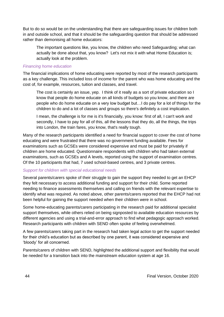But to do so would be on the understanding that there are safeguarding issues for children both in and outside school, and that it should be the safeguarding question that should be addressed rather than demonising all home educators:

The important questions like, you know, the children who need Safeguarding; what can actually be done about that, you know? Let's not mix it with what Home Education is; actually look at the problem.

#### *Financing home education*

The financial implications of home educating were reported by most of the research participants as a key challenge. This included loss of income for the parent who was home educating and the cost of, for example, resources, tuition and classes, and travel.

The cost is certainly an issue, yep. I think of it really as a sort of private education so I know that people do home educate on all kinds of budgets so you know, and there are people who do home educate on a very low budget but…I do pay for a lot of things for the children to do and a lot of classes and groups so there's definitely a cost implication.

I mean, the challenge is for me is it's financially, you know: first of all, I can't work and secondly, I have to pay for all of this, all the lessons that they do, all the things, the trips into London, the train fares, you know, that's really tough.

Many of the research participants identified a need for financial support to cover the cost of home educating and were frustrated that there was no government funding available. Fees for examinations such as GCSEs were considered expensive and must be paid for privately if children are home educated. Questionnaire respondents with children who had taken external examinations, such as GCSEs and A levels, reported using the support of examination centres. Of the 10 participants that had, 7 used school-based centres, and 3 private centres.

### *Support for children with special educational needs*

Several parents/carers spoke of their struggle to gain the support they needed to get an EHCP they felt necessary to access additional funding and support for their child. Some reported needing to finance assessments themselves and calling on friends with the relevant expertise to identify what was required. As noted above, other parents/carers reported that the EHCP had not been helpful for gaining the support needed when their children were in school.

Some home-educating parents/carers participating in the research paid for additional specialist support themselves, while others relied on being signposted to available education resources by different agencies and using a trial-and-error approach to find what pedagogic approach worked. Research participants with children with SEND often spoke of feeling overwhelmed.

A few parents/carers taking part in the research had taken legal action to get the support needed for their child's education but as described by one parent, it was considered expensive and 'bloody' for all concerned.

Parents/carers of children with SEND, highlighted the additional support and flexibility that would be needed for a transition back into the mainstream education system at age 16.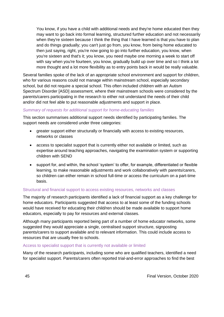You know, if you have a child with additional needs and they're home educated then they may want to go back into formal learning, structured further education and not necessarily when they're sixteen because I think the thing that I have learned is that you have to plan and do things gradually; you can't just go from, you know, from being home educated to then just saying, right, you're now going to go into further education, you know, when you're sixteen and that's it; you know, you need maybe one morning a week to start off with say when you're fourteen, you know, gradually build up over time and so I think a lot more thought and a lot more flexibility as to entry points back in would be really valuable.

Several families spoke of the lack of an appropriate school environment and support for children, who for various reasons could not manage within mainstream school, especially secondary school, but did not require a special school. This often included children with an Autism Spectrum Disorder [ASD] assessment, where their mainstream schools were considered by the parents/carers participating in the research to either not understand the needs of their child and/or did not feel able to put reasonable adjustments and support in place.

#### *Summary of requests for additional support for home-educating families*

This section summarises additional support needs identified by participating families. The support needs are considered under three categories:

- greater support either structurally or financially with access to existing resources, networks or classes
- access to specialist support that is currently either not available or limited, such as expertise around teaching approaches, navigating the examination system or supporting children with SEND
- support for, and within, the school 'system' to offer, for example, differentiated or flexible learning, to make reasonable adjustments and work collaboratively with parents/carers, so children can either remain in school full-time or access the curriculum on a part-time basis.

### Structural and financial support to access existing resources, networks and classes

The majority of research participants identified a lack of financial support as a key challenge for home educators. Participants suggested that access to at least some of the funding schools would have received for educating their child/ren should be made available to support home educators, especially to pay for resources and external classes.

Although many participants reported being part of a number of home educator networks, some suggested they would appreciate a single, centralised support structure, signposting parents/carers to support available and to relevant information. This could include access to resources that are usually free to schools.

#### Access to specialist support that is currently not available or limited

Many of the research participants, including some who are qualified teachers, identified a need for specialist support. Parents/carers often reported trial-and-error approaches to find the best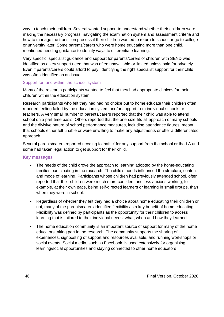way to teach their children. Several wanted support to understand whether their child/ren were making the necessary progress, navigating the examination system and assessment criteria and how to manage the transition process if their children wanted to return to school or go to college or university later. Some parents/carers who were home educating more than one child, mentioned needing guidance to identify ways to differentiate learning.

Very specific, specialist guidance and support for parents/carers of children with SEND was identified as a key support need that was often unavailable or limited unless paid for privately. Even if parents/carers could afford to pay, identifying the right specialist support for their child was often identified as an issue.

#### Support for, and within, the school 'system'

Many of the research participants wanted to feel that they had appropriate choices for their children within the education system.

Research participants who felt they had had no choice but to home educate their children often reported feeling failed by the education system and/or support from individual schools or teachers. A very small number of parents/carers reported that their child was able to attend school on a part-time basis. Others reported that the one-size-fits-all approach of many schools and the divisive nature of school performance measures, including attendance figures, meant that schools either felt unable or were unwilling to make any adjustments or offer a differentiated approach.

Several parents/carers reported needing to 'battle' for any support from the school or the LA and some had taken legal action to get support for their child.

#### Key messages

- The needs of the child drove the approach to learning adopted by the home-educating families participating in the research. The child's needs influenced the structure, content and mode of learning. Participants whose children had previously attended school, often reported that their children were much more confident and less anxious working, for example, at their own pace, being self-directed learners or learning in small groups, than when they were in school.
- Regardless of whether they felt they had a choice about home educating their children or not, many of the parents/carers identified flexibility as a key benefit of home educating. Flexibility was defined by participants as the opportunity for their children to access learning that is tailored to their individual needs: what, when and how they learned.
- The home education community is an important source of support for many of the home educators taking part in the research. The community supports the sharing of experiences, signposting of support and resources available, and running workshops or social events. Social media, such as Facebook, is used extensively for organising learning/social opportunities and staying connected to other home educators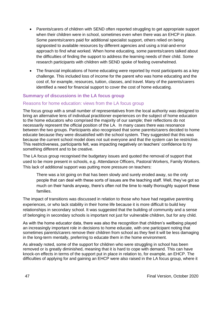- Parents/carers of children with SEND often reported struggling to get appropriate support when their children were in school, sometimes even when there was an EHCP in place. Some parents/carers paid for additional specialist support, others relied on being signposted to available resources by different agencies and using a trial-and-error approach to find what worked. When home educating, some parents/carers talked about the difficulties of finding the support to address the learning needs of their child. Some research participants with children with SEND spoke of feeling overwhelmed.
- The financial implications of home educating were reported by most participants as a key challenge. This included loss of income for the parent who was home educating and the cost of, for example, resources, tuition, classes, and travel. Many of the parents/carers identified a need for financial support to cover the cost of home educating.

# **Summary of discussions in the LA focus group**

### Reasons for home education: views from the LA focus group

The focus group with a small number of representatives from the local authority was designed to bring an alternative lens of individual practitioner experiences on the subject of home education to the home educators who comprised the majority of our sample; their reflections do not necessarily represent the official position of the LA. In many cases there was resonance between the two groups. Participants also recognised that some parents/carers decided to home educate because they were dissatisfied with the school system. They suggested that this was because the current school model does not suit everyone and that the system can be restrictive. This restrictiveness, participants felt, was impacting negatively on teachers' confidence to try something different and to be creative.

The LA focus group recognised the budgetary issues and quoted the removal of support that used to be more present in schools, e.g. Attendance Officers, Pastoral Workers, Family Workers. This lack of additional support was putting more pressure on teachers:

There was a lot going on that has been slowly and surely eroded away, so the only people that can deal with these sorts of issues are the teaching staff. Well, they've got so much on their hands anyway, there's often not the time to really thoroughly support these families.

The impact of transitions was discussed in relation to those who have had negative parenting experiences, or who lack stability in their home life because it is more difficult to build key relationships in secondary school. It was suggested that the building of community and a sense of belonging in secondary schools is important not just for vulnerable children, but for any child.

As with the home educator data, there was also the recognition that children's wellbeing played an increasingly important role in decisions to home educate, with one participant noting that sometimes parents/carers remove their children from school as they feel it will be less damaging in the long-term mentally, preferring to educate them in the home environment.

As already noted, some of the support for children who were struggling in school has been removed or is greatly diminished, meaning that it is hard to cope with demand. This can have knock-on effects in terms of the support put in place in relation to, for example, an EHCP. The difficulties of applying for and gaining an EHCP were also raised in the LA focus group, where it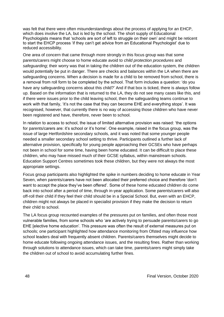was felt that there were often misunderstandings about the process of applying for an EHCP, which does involve the LA, but is led by the school. The short supply of Educational Psychologists means that 'schools are sort of left to struggle on their own' and might be reticent to start the EHCP process 'if they can't get advice from an Educational Psychologist' due to reduced accessibility.

One area of concern that came through more strongly in this focus group was that some parents/carers might choose to home educate avoid to *child protection procedures* and *safeguarding*; their worry was that in taking the children out of the education system, the children would potentially be put in danger. There are checks and balances within the LA when there are safeguarding concerns. When a decision is made for a child to be removed from school, there is a removal from roll form to be completed by the school. That form includes a question: 'do you have any safeguarding concerns about this child?' And if that box is ticked, there is always follow up. Based on the information that is returned to the LA, they do not see many cases like this, and if there were issues prior to the child leaving school, then the safeguarding teams continue to work with that family, 'it's not the case that they can become EHE and everything stops'. It was recognised, however, that currently there is no way of accessing those children who have never been registered and have, therefore, never been to school.

In relation to access to school, the issue of limited alternative provision was raised: 'the options for parents/carers are: it's school or it's home'. One example, raised in the focus group, was the issue of large Hertfordshire secondary schools, and it was noted that some younger people needed a smaller secondary school setting to thrive. Participants outlined a further lack of alternative provision, specifically for young people approaching their GCSEs who have perhaps not been in school for some time, having been home educated. It can be difficult to place these children, who may have missed much of their GCSE syllabus, within mainstream schools. Education Support Centres sometimes took these children, but they were not always the most appropriate settings.

Focus group participants also highlighted the spike in numbers deciding to home educate in Year Seven, when parents/carers have not been allocated their preferred choice and therefore 'don't want to accept the place they've been offered'. Some of these home educated children do come back into school after a period of time, through in-year application. Some parents/carers will also off-roll their child if they feel their child should be in a Special School. But, even with an EHCP, children might not always be placed in specialist provision if they make the decision to return their child to school.

The LA focus group recounted examples of the pressures put on families, and often those most vulnerable families, from some schools who 'are actively trying to persuade parents/carers to go EHE [elective home education'. This pressure was often the result of external measures put on schools; one participant highlighted how attendance monitoring from Ofsted may influence how school leaders deal with frequently absent children. Parents/carers themselves might decide to home educate following ongoing attendance issues, and the resulting fines. Rather than working through solutions to attendance issues, which can take time, parents/carers might simply take the children out of school to avoid accumulating further fines.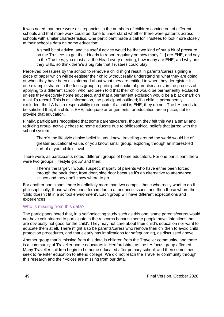It was noted that there were discrepancies in the numbers of children coming out of different schools and that more work could be done to understand whether there were patterns across schools with similar characteristics. One participant made a call for Trustees to look more closely at their school's data on home education:

A small bit of advice, and it's useful advice would be that we kind of put a bit of pressure on the Trustees to get their Heads to report regularly on how many […] are EHE, and say to the Trustees, you must ask the Head every meeting, how many are EHE, and why are they EHE, so think there's a big role that Trustees could play.

Perceived pressures by the school to remove a child might result in parents/carers signing a piece of paper which will de-register their child without really understanding what they are doing, or when they have been misinformed about what they are entitled to when they deregister. In one example shared in the focus group, a participant spoke of parents/carers, in the process of applying to a different school, who had been told that their child would be permanently excluded unless they electively home educated, and that a permanent exclusion would be a black mark on a child's record. This is misinformation, the participant outlined; if a child is permanently excluded, the LA has a responsibility to educate, if a child is EHE, they do not. The LA needs to be satisfied that, if a child is EHE, adequate arrangements for education are in place, not to provide that education.

Finally, participants recognised that some parents/carers, though they felt this was a small and reducing group, actively chose to home educate due to philosophical beliefs that jarred with the school system:

There's the lifestyle choice belief in, you know, travelling around the world would be of greater educational value, or you know, small group, exploring through an interest-led sort of at your child's level.

There were, as participants noted, different groups of home educators. For one participant there were two groups, 'lifestyle group' and then:

There's the larger, I would suspect, majority of parents who have either been forced through the back door, front door, side door because it's an alternative to attendance issues and they don't know where to go.

For another participant 'there is definitely more than two camps', those who really want to do it philosophically, those who've been forced due to attendance issues, and then those where the 'child doesn't fit in a school environment'. Each group will have different expectations and experiences.

#### Who is missing from this data?

The participants noted that, in a self-selecting study such as this one, some parents/carers would not have volunteered to participate in the research because some people have 'intentions that are obviously not good for the child'. They may not care about their child's education nor want to educate them at all. There might also be parents/carers who remove their children to avoid child protection procedures, and that clearly has implications for safeguarding, as discussed above.

Another group that is missing from this data is children from the Traveller community, and there is a community of Traveller home educators in Hertfordshire, as the LA focus group affirmed. Many Traveller children begin to be home educated after primary school, and then sometimes seek to re-enter education to attend college. We did not reach the Traveller community through this research and their voices are missing from our data.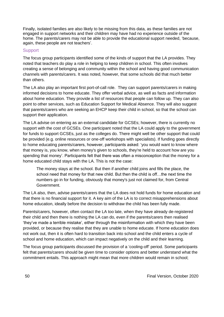Finally, isolated families are also likely to be missing from this data, as these families are not engaged in support networks and their children may have had no experience outside of the home. The parents/carers may not be able to provide the educational support needed, 'because, again, these people are not teachers'.

## **Support**

The focus group participants identified some of the kinds of support that the LA provides. They noted that teachers do play a role in helping to keep children in school. This often involves creating a sense of belonging and community within the school and having good communication channels with parents/carers. It was noted, however, that some schools did that much better than others.

The LA also play an important first port-of-call role. They can support parents/carers in making informed decisions to home educate. They offer verbal advice, as well as facts and information about home education. They provide a list of resources that people can follow up. They can also point to other services, such as Education Support for Medical Absence. They will also suggest that parents/carers who are seeking an EHCP keep their child in school, so that the school can support their application.

The LA advise on entering as an external candidate for GCSEs; however, there is currently no support with the cost of GCSEs. One participant noted that the LA could apply to the government for funds to support GCSEs, just as the colleges do. There might well be other support that could be provided (e.g. online resources or one-off workshops with specialists). If funding goes directly to home educating parents/carers, however, participants asked: 'you would want to know where that money is, you know, when money's given to schools, they're held to account how are you spending that money'. Participants felt that there was often a misconception that the money for a home educated child stays with the LA. This is not the case:

The money stays at the school. But then if another child joins and fills the place, the school need that money for that new child. But then the child is off...the next time the numbers go in for funding, obviously that money's just not claimed for, from Central Government.

The LA also, then, advise parents/carers that the LA does not hold funds for home education and that there is no financial support for it. A key aim of the LA is to correct misapprehensions about home education, ideally before the decision to withdraw the child has been fully made.

Parents/carers, however, often contact the LA too late, when they have already de-registered their child and then there is nothing the LA can do, even if the parents/carers then realised 'they've made a terrible mistake', either through the misinformation with which they have been provided, or because they realise that they are unable to home educate. If home education does not work out, then it is often hard to transition back into school and the child enters a cycle of school and home education, which can impact negatively on the child and their learning.

The focus group participants discussed the provision of a 'cooling-off' period. Some participants felt that parents/carers should be given time to consider options and better understand what the commitment entails. This approach might mean that more children would remain in school;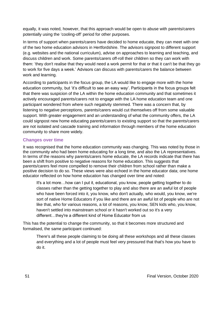equally, it was noted, however, that this approach would be open to abuse with parents/carers potentially using the 'cooling-off' period for other purposes.

In terms of support when parents/carers have decided to home educate, they can meet with one of the two home education advisors in Hertfordshire. The advisors signpost to different support (e.g. websites and the national curriculum), advise on approaches to learning and teaching, and discuss children and work. Some parents/carers off-roll their children so they can work with them: 'they don't realise that they would need a work permit for that or that it can't be that they go to work for five days a week.' Advisors can discuss with parents/carers the balance between work and learning.

According to participants in the focus group, the LA would like to engage more with the home education community, but 'it's difficult to see an easy way'. Participants in the focus groups felt that there was suspicion of the LA within the home education community and that sometimes it actively encouraged parents/carers not to engage with the LA home education team and one participant wondered from where such negativity stemmed. There was a concern that, by listening to negative perceptions, parents/carers would cut themselves off from some valuable support. With greater engagement and an understanding of what the community offers, the LA could signpost new home educating parents/carers to existing support so that the parents/carers are not isolated and cascade training and information through members of the home education community to share more widely.

# **Changes over time**

It was recognised that the home education community was changing. This was noted by those in the community who had been home educating for a long time, and also the LA representatives. In terms of the reasons why parents/carers home educate, the LA records indicate that there has been a shift from positive to negative reasons for home education. This suggests that parents/carers feel more compelled to remove their children from school rather than make a positive decision to do so. These views were also echoed in the home educator data; one home educator reflected on how home education has changed over time and noted:

It's a lot more…how can I put it, educational, you know, people getting together to do classes rather than the getting together to play and also there are an awful lot of people who have been forced into it, you know, who don't actually, who would, you know, we're sort of native Home Educators if you like and there are an awful lot of people who are not like that, who for various reasons, a lot of reasons, you know, SEN kids who, you know, haven't settled into mainstream school or it hasn't worked out so it's a very different…they're a different kind of Home Educator from us

This has the potential to change the community, so that it becomes more structured and formalised, the same participant continued:

There's all these people claiming to be doing all these workshops and all these classes and everything and a lot of people must feel very pressured that that's how you have to do it.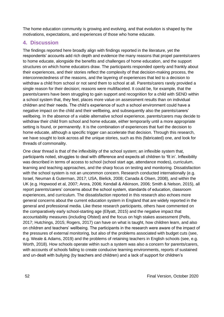The home education community is growing and evolving, and that evolution is shaped by the motivations, expectations, and experiences of those who home educate.

# **4. Discussion**

The findings reported here broadly align with findings reported in the literature, yet the respondents' accounts add rich depth and evidence the many reasons that propel parents/carers to home educate, alongside the benefits and challenges of home education, and the support structures on which home educators draw. The participants responded openly and frankly about their experiences, and their stories reflect the complexity of that decision-making process, the interconnectedness of the reasons, and the layering of experiences that led to a decision to withdraw a child from school or not send them to school at all. Parents/carers rarely provided a single reason for their decision; reasons were multifaceted. It could be, for example, that the parents/carers have been struggling to gain support and recognition for a child with SEND within a school system that, they feel, places more value on assessment results than on individual children and their needs. The child's experience of such a school environment could have a negative impact on the child and their wellbeing, and subsequently also the parents/carers' wellbeing. In the absence of a viable alternative school experience, parents/carers may decide to withdraw their child from school and home educate, either temporarily until a more appropriate setting is found, or permanently. It is the combination of experiences that fuel the decision to home educate, although a specific trigger can accelerate that decision. Through this research, we have sought to look across all the unique stories, such as this (fabricated) one, and look for threads of commonality.

One clear thread is that of the inflexibility of the school system; an inflexible system that, participants noted, struggles to deal with difference and expects all children to 'fit in'. Inflexibility was described in terms of access to school (school start age, attendance modes), curriculum, learning and teaching approaches, and the sharp focus on testing and monitoring. Dissatisfaction with the school system is not an uncommon concern. Research conducted internationally (e.g. Israel, Neuman & Guterman, 2017; USA, Bielick, 2008; Canada & Olsen, 2008), and within the UK (e.g. Hopwood et al, 2007; Arora, 2006; Kendall & Atkinson, 2006; Smith & Nelson, 2015), all report parents/carers' concerns about the school system, standards of education, classroom experiences, and curriculum. The dissatisfaction reported in this research also echoes more general concerns about the current education system in England that are widely reported in the general and professional media. Like these research participants, others have commented on the comparatively early school-starting age (Ellyatt, 2015) and the negative impact that accountability measures (including Ofsted) and the focus on high stakes assessment (Pells, 2017; Hutchings, 2015; Rogers, 2017) can have on what is taught, how children learn, and also on children and teachers' wellbeing. The participants in the research were aware of the impact of the pressures of external monitoring, but also of the problems associated with budget cuts (see, e.g. Weale & Adams, 2019) and the problems of retaining teachers in English schools (see, e.g. Worth, 2018). How schools operate within such a system was also a concern for parents/carers, with accounts of schools failing to create conducive learning environments, reports of sustained and un-dealt with bullying (by teachers and children) and a lack of support for children's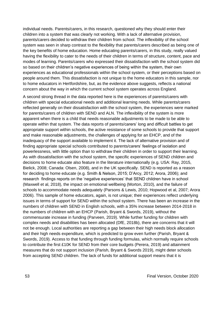individual needs. Parents/carers, in this research, questioned why they should enter their children into a system that was clearly not working. With a lack of alternative provision, parents/carers decided to withdraw their children from school. The inflexibility of the school system was seen in sharp contrast to the flexibility that parents/carers described as being one of the key benefits of home education. Home educating parents/carers, in this study, really valued having the flexibility to cater to the needs of their children in terms of structure, content, pace and modes of learning. Parents/carers who expressed their dissatisfaction with the school system did so based on their children's negative experiences of being within the system, their own experiences as educational professionals within the school system, or their perceptions based on people around them. This dissatisfaction is not unique to the home educators in this sample, nor to home educators in Hertfordshire, but, as the evidence above suggests, reflects a national concern about the way in which the current school system operates across England.

A second strong thread in the data reported here is the experiences of parents/carers with children with special educational needs and additional learning needs. While parents/carers reflected generally on their dissatisfaction with the school system, the experiences were marked for parents/carers of children with SEND and ALN. The inflexibility of the system is more apparent when there is a child that needs reasonable adjustments to be made to be able to operate within that system. The data reports of parents/carers' long and difficult battles to get appropriate support within schools, the active resistance of some schools to provide that support and make reasonable adjustments, the challenges of applying for an EHCP, and of the inadequacy of the support available to implement it. The lack of alternative provision and of finding appropriate special schools contributed to parents/carers' feelings of isolation and powerlessness, with little option than to withdraw their children in order to support their learning. As with dissatisfaction with the school system, the specific experiences of SEND children and decisions to home educate also feature in the literature internationally (e.g. USA: Ray, 2015, Bielick, 2008; Canada: Olsen, 2008), and in the UK specifically. SEND is reported as a reason for deciding to home educate (e.g. Smith & Nelson, 2015; D'Arcy, 2012; Arora, 2006); and research findings reports on the 'negative experiences' that SEND children have in school (Maxwell et al, 2018), the impact on emotional wellbeing (Morton, 2010), and the failure of schools to accommodate needs adequately (Parsons & Lewis, 2010; Hopwood et al, 2007; Arora 2006). This sample of home educators, again, is not unique; their experiences reflect underlying issues in terms of support for SEND within the school system. There has been an increase in the numbers of children with SEND in English schools, with a 35% increase between 2014-2018 in the numbers of children with an EHCP (Parish, Bryant & Swords, 2019), without the commensurate increase in funding (Parveen, 2019). While further funding for children with complex needs and disabilities has been allocated (DfE, 2018b), there are concerns that it will not be enough. Local authorities are reporting a gap between their high needs block allocation and their high needs expenditure, which is predicted to grow even further (Parish, Bryant & Swords, 2019). Access to that funding through funding formulas, which normally require schools to contribute the first £10K for SEND from their core budgets (Perera, 2019) and attainment measures that do not support inclusion (Parish, Bryant & Swords 2019), might deter schools from accepting SEND children. The lack of funds for additional support means that it is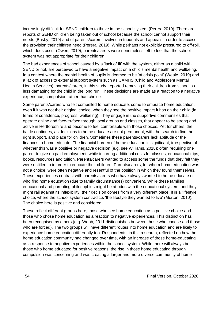increasingly difficult for SEND children to thrive in the school system (Perera 2019). There are reports of SEND children being taken out of school because the school cannot support their needs (Busby, 2019) and of parents/carers involved in tribunals and appeals in order to access the provision their children need (Perera, 2019). While perhaps not explicitly pressured to off-roll, which does occur (Owen, 2019), parents/carers were nonetheless left to feel that the school system was not appropriate for their children.

The bad experiences of school caused by a 'lack of fit' with the system, either as a child with SEND or not, are perceived to have a negative impact on a child's mental health and wellbeing. In a context where the mental health of pupils is deemed to be 'at crisis point' (Weale, 2019) and a lack of access to external support system such as CAMHS (Child and Adolescent Mental Health Services), parents/carers, in this study, reported removing their children from school as less damaging for the child in the long run. These decisions are made as a reaction to a negative experience; compulsion rather than choice.

Some parents/carers who felt compelled to home educate, come to embrace home education, even if it was not their original choice, when they see the positive impact it has on their child (in terms of confidence, progress, wellbeing). They engage in the supportive communities that operate online and face-to-face through local groups and classes, that appear to be strong and active in Hertfordshire and become to feel comfortable with those choices. Yet for others, the battle continues, as decisions to home educate are not permanent, with the search to find the right support, and place for children. Sometimes these parents/carers lack aptitude or the finances to home educate. The financial burden of home education is significant, irrespective of whether this was a positive or negative decision (e.g. see Williams, 2018); often requiring one parent to give up paid employment, while incurring additional costs for classes, educational trips, books, resources and tuition. Parents/carers wanted to access some the funds that they felt they were entitled to in order to educate their children. Parents/carers, for whom home education was not a choice, were often negative and resentful of the position in which they found themselves. These experiences contrast with parents/carers who have always wanted to home educate or who find home education (due to family circumstances) convenient. While these families educational and parenting philosophies might be at odds with the educational system, and they might rail against its inflexibility, their decision comes from a very different place. It is a 'lifestyle' choice, where the school system contradicts 'the lifestyle they wanted to live' (Morton, 2010). The choice here is positive and considered.

These reflect different groups here, those who see home education as a positive choice and those who chose home education as a reaction to negative experiences. This distinction has been recognised by others (e.g. Webb, 2011 distinguishes between those who choose and those who are forced). The two groups will have different routes into home education and are likely to experience home education differently too. Respondents, in this research, reflected on how the home education community had changed over time, with an increase of those home-educating as a response to negative experiences within the school system. While there will always be those who home educated for positive reasons, the rise in those home educating through compulsion was concerning and was creating a larger and more diverse community of home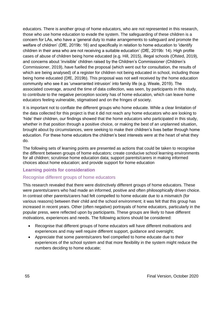educators. There is another group of home educators, who are not represented in this research, those who use home education to evade the system. The safeguarding of these children is a concern for LAs, who have a 'general duty to make arrangements to safeguard and promote the welfare of children' (DfE, 2019b: 16) and specifically in relation to home education to 'identify children in their area who are not receiving a suitable education' (DfE, 2019b: 14). High profile cases of abuse of children being home educated (e.g. Hill, 2015), illegal schools (Ofsted, 2019), and concerns about 'invisible' children raised by the Children's Commissioner (Children's Commissioner, 2019), have fuelled the proposal (which went out for consultation, the results of which are being analysed) of a register for children not being educated in school, including those being home educated (DfE, 2019b). This proposal was not well received by the home education community who see it as 'unwarranted intrusion' into family life (e.g. Weale, 2019). The associated coverage, around the time of data collection, was seen, by participants in this study, to contribute to the negative perception society has of home education, which can leave home educators feeling vulnerable, stigmatised and on the fringes of society.

It is important not to conflate the different groups who home educate. While a clear limitation of the data collected for this project is that it did not reach any home educators who are looking to 'hide' their children, our findings showed that the home educators who participated in this study, whether in that position through a positive choice, or making the best of an unplanned situation, brought about by circumstances, were seeking to make their children's lives better through home education. For these home educators the children's best interests were at the heart of what they do.

The following sets of learning points are presented as actions that could be taken to recognise the different between groups of home educators; create conducive school learning environments for all children; scrutinise home education data; support parents/carers in making informed choices about home education; and provide support for home education

### **Learning points for consideration**

### Recognise different groups of home educators

This research revealed that there were distinctively different groups of home educators. These were parents/carers who had made an informed, positive and often philosophically driven choice. In contrast other parents/carers had felt compelled to home educate due to a mismatch (for various reasons) between their child and the school environment; it was felt that this group has increased in recent years. Other (often negative) portrayals of home educators, particularly in the popular press, were reflected upon by participants. These groups are likely to have different motivations, experiences and needs. The following actions should be considered:

- Recognise that different groups of home educators will have different motivations and experiences and may well require different support, guidance and oversight;
- Appreciate that some parents/carers feel compelled to home educate due to their experiences of the school system and that more flexibility in the system might reduce the numbers deciding to home educate;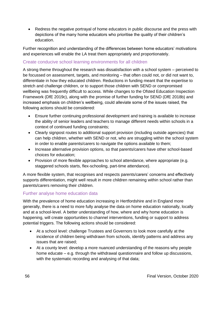• Redress the negative portrayal of home educators in public discourse and the press with depictions of the many home educators who prioritise the quality of their children's education.

Further recognition and understanding of the differences between home educators' motivations and experiences will enable the LA treat them appropriately and proportionately.

# Create conducive school learning environments for all children

A strong theme throughout the research was dissatisfaction with a school system – perceived to be focussed on assessment, targets, and monitoring – that often could not, or did not want to, differentiate in how they educated children. Reductions in funding meant that the expertise to stretch and challenge children, or to support those children with SEND or compromised wellbeing was frequently difficult to access. While changes to the Ofsted Education Inspection Framework (DfE 2019c), along with the promise of further funding for SEND (DfE 2018b) and increased emphasis on children's wellbeing, could alleviate some of the issues raised, the following actions should be considered:

- Ensure further continuing professional development and training is available to increase the ability of senior leaders and teachers to manage different needs within schools in a context of continued funding constraints;
- Clearly signpost routes to additional support provision (including outside agencies) that can help children, whether with SEND or not, who are struggling within the school system in order to enable parents/carers to navigate the options available to them;
- Increase alternative provision options, so that parents/carers have other school-based choices for education;
- Provision of more flexible approaches to school attendance, where appropriate (e.g. staggered schools starts, flex-schooling, part-time attendance).

A more flexible system, that recognises and respects parents/carers' concerns and effectively supports differentiation, might well result in more children remaining within school rather than parents/carers removing their children.

# Further analyse home education data

With the prevalence of home education increasing in Hertfordshire and in England more generally, there is a need to more fully analyse the data on home education nationally, locally and at a school-level. A better understanding of how, where and why home education is happening, will create opportunities to channel interventions, funding or support to address potential triggers. The following actions should be considered:

- At a school level: challenge Trustees and Governors to look more carefully at the incidence of children being withdrawn from schools, identify patterns and address any issues that are raised;
- At a county level: develop a more nuanced understanding of the reasons why people home educate – e.g. through the withdrawal questionnaire and follow up discussions, with the systematic recording and analysing of that data;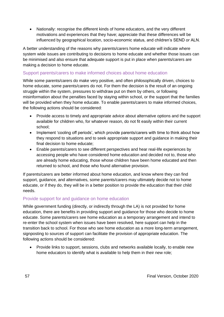• Nationally: recognise the different kinds of home educators, and the very different motivations and experiences that they have; appreciate that these differences will be influenced by geographical location, socio-economic status, and children's SEND or ALN.

A better understanding of the reasons why parents/carers home educate will indicate where system wide issues are contributing to decisions to home educate and whether those issues can be minimised and also ensure that adequate support is put in place when parents/carers are making a decision to home educate.

# Support parents/carers to make informed choices about home education

While some parents/carers do make very positive, and often philosophically driven, choices to home educate, some parents/carers do not. For them the decision is the result of an ongoing struggle within the system, pressures to withdraw put on them by others, or following misinformation about the penalties faced by staying within school, or the support that the families will be provided when they home educate. To enable parents/carers to make informed choices, the following actions should be considered:

- Provide access to timely and appropriate advice about alternative options and the support available for children who, for whatever reason, do not fit easily within their current school;
- Implement 'cooling off periods', which provide parents/carers with time to think about how they respond to situations and to seek appropriate support and guidance in making their final decision to home educate;
- Enable parents/carers to see different perspectives and hear real-life experiences by accessing people who have considered home education and decided not to, those who are already home educating, those whose children have been home educated and then returned to school, and those who found alternative provision.

If parents/carers are better informed about home education, and know where they can find support, guidance, and alternatives, some parents/carers may ultimately decide not to home educate, or if they do, they will be in a better position to provide the education that their child needs.

# Provide support for and guidance on home education

While government funding (directly, or indirectly through the LA) is not provided for home education, there are benefits in providing support and guidance for those who decide to home educate. Some parents/carers see home education as a temporary arrangement and intend to re-enter the school system when issues have been resolved, here support can help in the transition back to school. For those who see home education as a more long-term arrangement, signposting to sources of support can facilitate the provision of appropriate education. The following actions should be considered:

• Provide links to support, sessions, clubs and networks available locally, to enable new home educators to identify what is available to help them in their new role;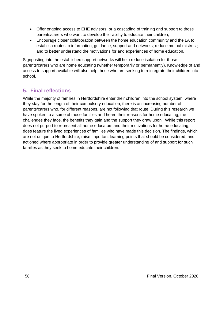- Offer ongoing access to EHE advisors, or a cascading of training and support to those parents/carers who want to develop their ability to educate their children;
- Encourage closer collaboration between the home education community and the LA to establish routes to information, guidance, support and networks; reduce mutual mistrust; and to better understand the motivations for and experiences of home education.

Signposting into the established support networks will help reduce isolation for those parents/carers who are home educating (whether temporarily or permanently). Knowledge of and access to support available will also help those who are seeking to reintegrate their children into school.

# **5. Final reflections**

While the majority of families in Hertfordshire enter their children into the school system, where they stay for the length of their compulsory education, there is an increasing number of parents/carers who, for different reasons, are not following that route. During this research we have spoken to a some of those families and heard their reasons for home educating, the challenges they face, the benefits they gain and the support they draw upon. While this report does not purport to represent all home educators and their motivations for home educating, it does feature the lived experiences of families who have made this decision. The findings, which are not unique to Hertfordshire, raise important learning points that should be considered, and actioned where appropriate in order to provide greater understanding of and support for such families as they seek to home educate their children.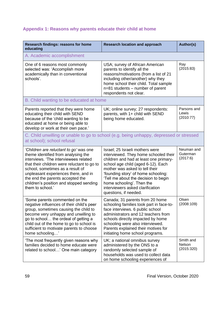# **Appendix 1: Reasons why parents educate their child at home**

| Research findings: reasons for home<br>educating                                                                                                                                                                                                                                                                                                     | <b>Research location and approach</b>                                                                                                                                                                                                                                                                                                                               | Author(s)                          |  |
|------------------------------------------------------------------------------------------------------------------------------------------------------------------------------------------------------------------------------------------------------------------------------------------------------------------------------------------------------|---------------------------------------------------------------------------------------------------------------------------------------------------------------------------------------------------------------------------------------------------------------------------------------------------------------------------------------------------------------------|------------------------------------|--|
| A. Academic accomplishment                                                                                                                                                                                                                                                                                                                           |                                                                                                                                                                                                                                                                                                                                                                     |                                    |  |
| One of 6 reasons most commonly<br>selected was: 'Accomplish more<br>academically than in conventional<br>schools'.                                                                                                                                                                                                                                   | USA; survey of African American<br>parents to identify all the<br>reasons/motivations (from a list of 21<br>including other/another) why they<br>home school their child. Total sample<br>n=81 students – number of parent<br>respondents not clear.                                                                                                                | Ray<br>(2015:83)                   |  |
| B. Child wanting to be educated at home                                                                                                                                                                                                                                                                                                              |                                                                                                                                                                                                                                                                                                                                                                     |                                    |  |
| Parents reported that they were home<br>educating their child with SEND<br>because of the 'child wanting to be<br>educated at home or being able to<br>develop or work at their own pace.'                                                                                                                                                           | UK; online survey; 27 respondents:<br>parents, with 1+ child with SEND<br>being home educated.                                                                                                                                                                                                                                                                      | Parsons and<br>Lewis<br>(2010:77)  |  |
| C. Child unwilling or unable to go to school (e.g. being unhappy, depressed or stressed<br>at school); school refusal                                                                                                                                                                                                                                |                                                                                                                                                                                                                                                                                                                                                                     |                                    |  |
| 'Children are reluctant to go' was one<br>theme identified from analysing the<br>interviews. 'The interviewees related<br>that their children were reluctant to go to<br>school, sometimes as a result of<br>unpleasant experiences there, and in<br>the end the parents accepted the<br>children's position and stopped sending<br>them to school.' | Israel; 25 Israeli mothers were<br>interviewed. They home schooled their<br>children and had at least one primary-<br>school age child (aged 6-12). Each<br>mother was asked to tell their<br>'founding story' of home schooling:<br>'Tell me about the decision to begin<br>home schooling'. Then the<br>interviewers asked clarification<br>questions, if needed. | Neuman and<br>Guterman<br>(2017:6) |  |
| 'Some parents commented on the<br>negative influences of their child's peer<br>group, sometimes causing the child to<br>become very unhappy and unwilling to<br>go to school the ordeal of getting a<br>child out of the home to go to school is<br>sufficient to motivate parents to choose<br>home schooling'                                      | Canada; 31 parents from 20 home<br>schooling families took part in face-to-<br>face interviews. 6 public school<br>administrators and 12 teachers from<br>schools directly impacted by home<br>schooling were also interviewed.<br>Parents explained their motives for<br>initiating home school programs.                                                          | Olsen<br>(2008:109)                |  |
| 'The most frequently given reasons why<br>families decided to home educate were<br>related to school' One main category                                                                                                                                                                                                                              | UK; a national omnibus survey<br>administered by the ONS to a<br>randomly selected sample of<br>households was used to collect data<br>on home schooling experiences of                                                                                                                                                                                             | Smith and<br>Nelson<br>(2015:320)  |  |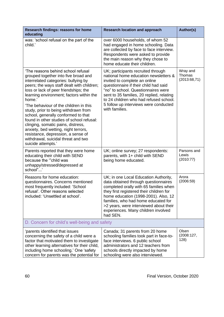| Research findings: reasons for home<br>educating                                                                                                                                                                                                                                                                                                                                                                                                                                                                                                                                                                       | <b>Research location and approach</b>                                                                                                                                                                                                                                                                                                           | Author(s)                          |
|------------------------------------------------------------------------------------------------------------------------------------------------------------------------------------------------------------------------------------------------------------------------------------------------------------------------------------------------------------------------------------------------------------------------------------------------------------------------------------------------------------------------------------------------------------------------------------------------------------------------|-------------------------------------------------------------------------------------------------------------------------------------------------------------------------------------------------------------------------------------------------------------------------------------------------------------------------------------------------|------------------------------------|
| was: 'school refusal on the part of the<br>child.'                                                                                                                                                                                                                                                                                                                                                                                                                                                                                                                                                                     | over 6000 households, of whom 52<br>had engaged in home schooling. Data<br>are collected by face to face interview.<br>Respondents were asked to provide<br>the main reason why they chose to<br>home educate their children.                                                                                                                   |                                    |
| 'The reasons behind school refusal<br>grouped together into five broad and<br>interrelated categories: bullying by<br>peers; the ways staff dealt with children;<br>loss or lack of peer friendships; the<br>learning environment; factors within the<br>home.'<br>'The behaviour of the children in this<br>study, prior to being withdrawn from<br>school, generally conformed to that<br>found in other studies of school refusal:<br>clinging, somatic pains, distress,<br>anxiety, bed wetting, night terrors,<br>resistance, depression, a sense of<br>withdrawal, suicidal threat and two<br>suicide attempts.' | UK; participants recruited through<br>national home education newsletters &<br>invited to complete an online<br>questionnaire if their child had said<br>"no" to school. Questionnaires were<br>sent to 35 families, 20 replied, relating<br>to 24 children who had refused school.<br>5 follow up interviews were conducted<br>with families.  | Wray and<br>Thomas<br>(2013:68,71) |
| Parents reported that they were home<br>educating their child with SEND<br>because the "child was<br>unhappy/stressed/depressed at<br>school"                                                                                                                                                                                                                                                                                                                                                                                                                                                                          | UK; online survey; 27 respondents:<br>parents, with 1+ child with SEND<br>being home educated.                                                                                                                                                                                                                                                  | Parsons and<br>Lewis<br>(2010:77)  |
| Reasons for home education:<br>questionnaires. Concerns mentioned<br>most frequently included: 'School<br>refusal'. Other reasons selected<br>included: 'Unsettled at school'.                                                                                                                                                                                                                                                                                                                                                                                                                                         | UK; in one Local Education Authority,<br>data obtained through questionnaires<br>completed orally with 65 families when<br>they first registered their children for<br>home education (1998-2001). Also, 12<br>families, who had home educated for<br>>2 years, were interviewed about their<br>experiences. Many children involved<br>had SEN. | Arora<br>(2006:59)                 |
| D. Concern for child's well-being and safety                                                                                                                                                                                                                                                                                                                                                                                                                                                                                                                                                                           |                                                                                                                                                                                                                                                                                                                                                 |                                    |
| parents identified that issues<br>concerning the safety of a child were a<br>factor that motivated them to investigate<br>other learning alternatives for their child,<br>including home schooling.' One 'safety<br>concern for parents was the potential for                                                                                                                                                                                                                                                                                                                                                          | Canada; 31 parents from 20 home<br>schooling families took part in face-to-<br>face interviews. 6 public school<br>administrators and 12 teachers from<br>schools directly impacted by home<br>schooling were also interviewed.                                                                                                                 | Olsen<br>(2008:127,<br>128)        |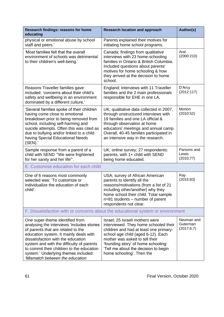| Research findings: reasons for home<br>educating                                                                                                                                                                                                                                                                                                                         | <b>Research location and approach</b>                                                                                                                                                                                                                                                                  | Author(s)                            |
|--------------------------------------------------------------------------------------------------------------------------------------------------------------------------------------------------------------------------------------------------------------------------------------------------------------------------------------------------------------------------|--------------------------------------------------------------------------------------------------------------------------------------------------------------------------------------------------------------------------------------------------------------------------------------------------------|--------------------------------------|
| physical or emotional abuse by school<br>staff and peers.'                                                                                                                                                                                                                                                                                                               | Parents explained their motives for<br>initiating home school programs.                                                                                                                                                                                                                                |                                      |
| 'Most families felt that the overall<br>environment of schools was detrimental<br>to their children's well-being.'                                                                                                                                                                                                                                                       | Canada; findings from qualitative<br>interviews with 23 home-schooling<br>families in Ontario & British Columbia.<br>Included questions about parents'<br>motives for home schooling & how<br>they arrived at the decision to home<br>school.                                                          | Arai<br>(2000:210)                   |
| Reasons Traveller families gave<br>included: 'concerns about their child's<br>safety and wellbeing in an environment<br>dominated by a different culture.'                                                                                                                                                                                                               | England; interviews with 11 Traveller<br>families and the 2 main professionals<br>responsible for EHE in one LA.                                                                                                                                                                                       | D'Arcy<br>(2012:117)                 |
| 'Several families spoke of their children<br>having come close to emotional<br>breakdown prior to being removed from<br>school, including self-harming and<br>suicide attempts. Often this was cited as<br>due to bullying and/or linked to a child<br>having Special Educational Needs<br>(SEN).                                                                        | UK; qualitative data collected in 2007,<br>through unstructured interviews with<br>19 families and one LA official &<br>through observation at home<br>educators' meetings and annual camp.<br>Overall, 40-45 families participated in<br>an intensive way in the research.                            | Morton<br>(2010:52)                  |
| Sample response from a parent of a<br>child with SEND "'We were frightened<br>for her sanity and her life"'.                                                                                                                                                                                                                                                             | UK; online survey; 27 respondents:<br>parents, with 1+ child with SEND<br>being home educated.                                                                                                                                                                                                         | Parsons and<br>Lewis<br>(2010; 77)   |
| E. Customise education for each child                                                                                                                                                                                                                                                                                                                                    |                                                                                                                                                                                                                                                                                                        |                                      |
| One of 6 reasons most commonly<br>selected was: 'To customize or<br>individualize the education of each<br>child'.                                                                                                                                                                                                                                                       | USA; survey of African American<br>parents to identify all the<br>reasons/motivations (from a list of 21<br>including other/another) why they<br>home school their child. Total sample<br>n=81 students - number of parent<br>respondents not clear.                                                   | Ray<br>(2015:83)                     |
| F. Dissatisfaction with or concerns about the educational system or environment                                                                                                                                                                                                                                                                                          |                                                                                                                                                                                                                                                                                                        |                                      |
| One super-theme identified from<br>analysing the interviews 'includes stories<br>of parents that are related to the<br>education system. It mainly deals with<br>dissatisfaction with the education<br>system and with the difficulty of parents<br>to commit their children to the education<br>system.' Underlying themes included:<br>'Mismatch between the education | Israel; 25 Israeli mothers were<br>interviewed. They home schooled their<br>children and had at least one primary-<br>school age child (aged 6-12). Each<br>mother was asked to tell their<br>'founding story' of home schooling:<br>'Tell me about the decision to begin<br>home schooling'. Then the | Neuman and<br>Guterman<br>(2017:6,7) |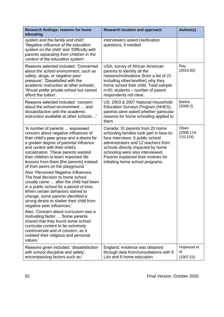| Research findings: reasons for home<br>educating                                                                                                                                                                                                                                                                                                                                                                                                                                                                                                                                                                                                                                                                                                                                                                                                                                                                                              | <b>Research location and approach</b>                                                                                                                                                                                                                                                                      | Author(s)                       |
|-----------------------------------------------------------------------------------------------------------------------------------------------------------------------------------------------------------------------------------------------------------------------------------------------------------------------------------------------------------------------------------------------------------------------------------------------------------------------------------------------------------------------------------------------------------------------------------------------------------------------------------------------------------------------------------------------------------------------------------------------------------------------------------------------------------------------------------------------------------------------------------------------------------------------------------------------|------------------------------------------------------------------------------------------------------------------------------------------------------------------------------------------------------------------------------------------------------------------------------------------------------------|---------------------------------|
| system and the family and child',<br>'Negative influence of the education<br>system on the child' and 'Difficulty with<br>parents separating from children in the<br>context of the education system'.                                                                                                                                                                                                                                                                                                                                                                                                                                                                                                                                                                                                                                                                                                                                        | interviewers asked clarification<br>questions, if needed.                                                                                                                                                                                                                                                  |                                 |
| Reasons selected included: 'Concerned<br>about the school environment, such as<br>safety, drugs, or negative peer<br>pressure'; 'Dissatisfied with the<br>academic instruction at other schools';<br>'Would prefer private school but cannot<br>afford the tuition'.                                                                                                                                                                                                                                                                                                                                                                                                                                                                                                                                                                                                                                                                          | USA; survey of African American<br>parents to identify all the<br>reasons/motivations (from a list of 21<br>including other/another) why they<br>home school their child. Total sample<br>n=81 students – number of parent<br>respondents not clear.                                                       | Ray<br>(2015:83)                |
| Reasons selected included: 'concern<br>about the school environment  and<br>dissatisfaction with the academic<br>instruction available at other schools'                                                                                                                                                                                                                                                                                                                                                                                                                                                                                                                                                                                                                                                                                                                                                                                      | US; 2003 & 2007 National Household<br>Education Surveys Program (NHES),<br>parents were asked whether particular<br>reasons for home schooling applied to<br>them.                                                                                                                                         | <b>Bielick</b><br>(2008:2)      |
| 'A number of parents  expressed<br>concern about negative influences of<br>their child's peer group and a desire for<br>a greater degree of parental influence<br>and control with their child's<br>socialization. These parents wanted<br>their children to learn important life<br>lessons from them [the parents] instead<br>of from peers on the playground.'<br>Also 'Perceived Negative Influences.<br>The final decision to home school<br>usually came  after the child had been<br>in a public school for a period of time.<br>When certain behaviors started to<br>change, some parents identified a<br>strong desire to shelter their child from<br>negative peer influences.'<br>Also, 'Concern about curriculum was a<br>motivating factor  Some parents<br>shared that they found some school<br>curricular content to be extremely<br>controversial and of concern, as it<br>violated their religious and personal<br>values.' | Canada; 31 parents from 20 home<br>schooling families took part in face-to-<br>face interviews. 6 public school<br>administrators and 12 teachers from<br>schools directly impacted by home<br>schooling were also interviewed.<br>Parents explained their motives for<br>initiating home school programs. | Olsen<br>(2008:114,<br>115,124) |
| Reasons given included: 'dissatisfaction<br>with school discipline and safety',<br>encompassing factors such as:                                                                                                                                                                                                                                                                                                                                                                                                                                                                                                                                                                                                                                                                                                                                                                                                                              | England; evidence was obtained<br>through data from/consultations with 9<br>LAs and 6 home education                                                                                                                                                                                                       | Hopwood et<br>al.<br>(2007:23)  |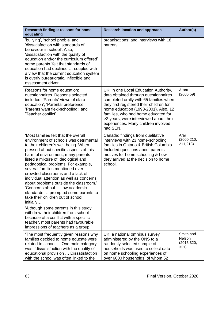| Research findings: reasons for home<br>educating                                                                                                                                                                                                                                                                                                                                                                                                                                                                                                                                                                                                                                                                                                                                    | <b>Research location and approach</b>                                                                                                                                                                                                                                                                                                           | Author(s)                                 |
|-------------------------------------------------------------------------------------------------------------------------------------------------------------------------------------------------------------------------------------------------------------------------------------------------------------------------------------------------------------------------------------------------------------------------------------------------------------------------------------------------------------------------------------------------------------------------------------------------------------------------------------------------------------------------------------------------------------------------------------------------------------------------------------|-------------------------------------------------------------------------------------------------------------------------------------------------------------------------------------------------------------------------------------------------------------------------------------------------------------------------------------------------|-------------------------------------------|
| 'bullying', 'school phobia' and<br>'dissatisfaction with standards of<br>behaviour in school'. Also,<br>'dissatisfaction with the quality of<br>education and/or the curriculum offered'<br>some parents 'felt that standards of<br>education had declined  coupled with<br>a view that the current education system<br>is overly bureaucratic, inflexible and<br>assessment driven'                                                                                                                                                                                                                                                                                                                                                                                                | organisations; and interviews with 18<br>parents.                                                                                                                                                                                                                                                                                               |                                           |
| Reasons for home education:<br>questionnaires. Reasons selected<br>included: 'Parents' views of state<br>education'; 'Parental preference';<br>'Parents want flexi-schooling'; and<br>'Teacher conflict'.                                                                                                                                                                                                                                                                                                                                                                                                                                                                                                                                                                           | UK; in one Local Education Authority,<br>data obtained through questionnaires<br>completed orally with 65 families when<br>they first registered their children for<br>home education (1998-2001). Also, 12<br>families, who had home educated for<br>>2 years, were interviewed about their<br>experiences. Many children involved<br>had SEN. | Arora<br>(2006:59)                        |
| 'Most families felt that the overall<br>environment of schools was detrimental<br>to their children's well-being. When<br>pressed about specific aspects of this<br>harmful environment, many parents<br>listed a mixture of ideological and<br>pedagogical problems. For example,<br>several families mentioned over-<br>crowded classrooms and a lack of<br>individual attention as well as concerns<br>about problems outside the classroom.'<br>'Concerns about  low academic<br>standards  prompted some parents to<br>take their children out of school<br>initially'<br>'Although some parents in this study<br>withdrew their children from school<br>because of a conflict with a specific<br>teacher, most parents had favourable<br>impressions of teachers as a group.' | Canada; findings from qualitative<br>interviews with 23 home-schooling<br>families in Ontario & British Columbia.<br>Included questions about parents'<br>motives for home schooling & how<br>they arrived at the decision to home<br>school.                                                                                                   | Arai<br>(2000:210,<br>211,213)            |
| 'The most frequently given reasons why<br>families decided to home educate were<br>related to school' One main category<br>was: 'dissatisfaction with the quality of<br>educational provision  Dissatisfaction<br>with the school was often linked to the                                                                                                                                                                                                                                                                                                                                                                                                                                                                                                                           | UK; a national omnibus survey<br>administered by the ONS to a<br>randomly selected sample of<br>households was used to collect data<br>on home schooling experiences of<br>over 6000 households, of whom 52                                                                                                                                     | Smith and<br>Nelson<br>(2015:320,<br>321) |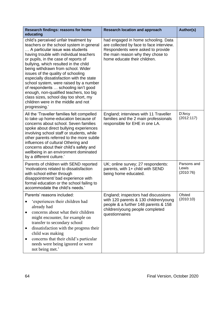| Research findings: reasons for home<br>educating                                                                                                                                                                                                                                                                                                                                                                                                                                                                                                                                                        | <b>Research location and approach</b>                                                                                                                                                     | Author(s)                         |
|---------------------------------------------------------------------------------------------------------------------------------------------------------------------------------------------------------------------------------------------------------------------------------------------------------------------------------------------------------------------------------------------------------------------------------------------------------------------------------------------------------------------------------------------------------------------------------------------------------|-------------------------------------------------------------------------------------------------------------------------------------------------------------------------------------------|-----------------------------------|
| child's perceived unfair treatment by<br>teachers or the school system in general<br>A particular issue was students<br>having trouble with individual teachers<br>or pupils, in the case of reports of<br>bullying, which resulted in the child<br>being withdrawn from school. Wider<br>issues of the quality of schooling<br>especially dissatisfaction with the state<br>school system, were raised by a number<br>of respondents  schooling isn't good<br>enough, non-qualified teachers, too big<br>class sizes, school day too short, my<br>children were in the middle and not<br>progressing.' | had engaged in home schooling. Data<br>are collected by face to face interview.<br>Respondents were asked to provide<br>the main reason why they chose to<br>home educate their children. |                                   |
| All the 'Traveller families felt compelled<br>to take up home-education because of<br>concerns about school. Seven families<br>spoke about direct bullying experiences<br>involving school staff or students, while<br>other parents referred to the more subtle<br>influences of cultural Othering and<br>concerns about their child's safety and<br>wellbeing in an environment dominated<br>by a different culture.'                                                                                                                                                                                 | England; interviews with 11 Traveller<br>families and the 2 main professionals<br>responsible for EHE in one LA.                                                                          | D'Arcy<br>(2012:117)              |
| Parents of children with SEND reported<br>'motivations related to dissatisfaction<br>with school either through<br>disappointment/ bad experience with<br>formal education or the school failing to<br>accommodate the child's needs.'                                                                                                                                                                                                                                                                                                                                                                  | UK; online survey; 27 respondents:<br>parents, with 1+ child with SEND<br>being home educated.                                                                                            | Parsons and<br>Lewis<br>(2010:76) |
| Parents' reasons included:<br>'experiences their children had<br>already had<br>concerns about what their children<br>might encounter, for example on<br>transfer to secondary school<br>dissatisfaction with the progress their<br>child was making<br>concerns that their child's particular<br>$\bullet$<br>needs were being ignored or were<br>not being met.'                                                                                                                                                                                                                                      | England; inspectors had discussions<br>with 120 parents & 130 children/young<br>people & a further 148 parents & 158<br>children/young people completed<br>questionnaires                 | Ofsted<br>(2010:10)               |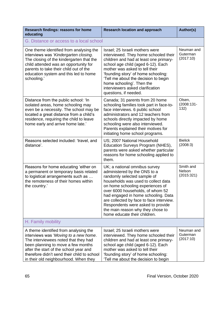| Research findings: reasons for home<br>educating                                                                                                                                                                                                                                               | <b>Research location and approach</b>                                                                                                                                                                                                                                                                                                                                                                    | Author(s)                           |
|------------------------------------------------------------------------------------------------------------------------------------------------------------------------------------------------------------------------------------------------------------------------------------------------|----------------------------------------------------------------------------------------------------------------------------------------------------------------------------------------------------------------------------------------------------------------------------------------------------------------------------------------------------------------------------------------------------------|-------------------------------------|
| G. Distance or access to a local school                                                                                                                                                                                                                                                        |                                                                                                                                                                                                                                                                                                                                                                                                          |                                     |
| One theme identified from analysing the<br>interviews was 'Kindergarten closing.<br>The closing of the kindergarten that the<br>child attended was an opportunity for<br>parents to take their child out of the<br>education system and this led to home<br>schooling.'                        | Israel; 25 Israeli mothers were<br>interviewed. They home schooled their<br>children and had at least one primary-<br>school age child (aged 6-12). Each<br>mother was asked to tell their<br>'founding story' of home schooling:<br>'Tell me about the decision to begin<br>home schooling'. Then the<br>interviewers asked clarification<br>questions, if needed.                                      | Neuman and<br>Guterman<br>(2017:10) |
| Distance from the public school: 'In<br>isolated areas, home schooling may<br>even be a necessity. The school may be<br>located a great distance from a child's<br>residence, requiring the child to leave<br>home early and arrive home late.'                                                | Canada; 31 parents from 20 home<br>schooling families took part in face-to-<br>face interviews. 6 public school<br>administrators and 12 teachers from<br>schools directly impacted by home<br>schooling were also interviewed.<br>Parents explained their motives for<br>initiating home school programs.                                                                                               | Olsen,<br>(2008:131-<br>132)        |
| Reasons selected included: 'travel, and<br>distance'.                                                                                                                                                                                                                                          | US; 2007 National Household<br>Education Surveys Program (NHES),<br>parents were asked whether particular<br>reasons for home schooling applied to<br>them.                                                                                                                                                                                                                                              | <b>Bielick</b><br>(2008:3)          |
| Reasons for home educating 'either on<br>a permanent or temporary basis related<br>to logistical arrangements such as<br>the remoteness of their homes within<br>the country.'                                                                                                                 | UK; a national omnibus survey<br>administered by the ONS to a<br>randomly selected sample of<br>households was used to collect data<br>on home schooling experiences of<br>over 6000 households, of whom 52<br>had engaged in home schooling. Data<br>are collected by face to face interview.<br>Respondents were asked to provide<br>the main reason why they chose to<br>home educate their children. | Smith and<br>Nelson<br>(2015:321)   |
| H. Family mobility                                                                                                                                                                                                                                                                             |                                                                                                                                                                                                                                                                                                                                                                                                          |                                     |
| A theme identified from analysing the<br>interviews was 'Moving to a new home.<br>The interviewees noted that they had<br>been planning to move a few months<br>after the start of the school year and<br>therefore didn't send their child to school<br>in their old neighbourhood. When they | Israel; 25 Israeli mothers were<br>interviewed. They home schooled their<br>children and had at least one primary-<br>school age child (aged 6-12). Each<br>mother was asked to tell their<br>'founding story' of home schooling:<br>'Tell me about the decision to begin                                                                                                                                | Neuman and<br>Guterman<br>(2017:10) |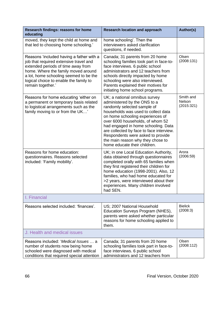| Research findings: reasons for home<br>educating                                                                                                                                                                                                                         | <b>Research location and approach</b>                                                                                                                                                                                                                                                                                                                                                                    | <b>Author(s)</b>                  |
|--------------------------------------------------------------------------------------------------------------------------------------------------------------------------------------------------------------------------------------------------------------------------|----------------------------------------------------------------------------------------------------------------------------------------------------------------------------------------------------------------------------------------------------------------------------------------------------------------------------------------------------------------------------------------------------------|-----------------------------------|
| moved, they kept the child at home and<br>that led to choosing home schooling.'                                                                                                                                                                                          | home schooling'. Then the<br>interviewers asked clarification<br>questions, if needed.                                                                                                                                                                                                                                                                                                                   |                                   |
| Reasons 'included having a father with a<br>job that required extensive travel and<br>extended periods of time away from<br>home. Where the family moved around<br>a lot, home schooling seemed to be the<br>logical choice to enable the family to<br>remain together.' | Canada; 31 parents from 20 home<br>schooling families took part in face-to-<br>face interviews. 6 public school<br>administrators and 12 teachers from<br>schools directly impacted by home<br>schooling were also interviewed.<br>Parents explained their motives for<br>initiating home school programs.                                                                                               | Olsen<br>(2008:131)               |
| Reasons for home educating 'either on<br>a permanent or temporary basis related<br>to logistical arrangements such as the<br>family moving to or from the UK'                                                                                                            | UK; a national omnibus survey<br>administered by the ONS to a<br>randomly selected sample of<br>households was used to collect data<br>on home schooling experiences of<br>over 6000 households, of whom 52<br>had engaged in home schooling. Data<br>are collected by face to face interview.<br>Respondents were asked to provide<br>the main reason why they chose to<br>home educate their children. | Smith and<br>Nelson<br>(2015:321) |
| Reasons for home education:<br>questionnaires. Reasons selected<br>included: 'Family mobility'.                                                                                                                                                                          | UK; in one Local Education Authority,<br>data obtained through questionnaires<br>completed orally with 65 families when<br>they first registered their children for<br>home education (1998-2001). Also, 12<br>families, who had home educated for<br>>2 years, were interviewed about their<br>experiences. Many children involved<br>had SEN.                                                          | Arora<br>(2006:59)                |
| I. Financial                                                                                                                                                                                                                                                             |                                                                                                                                                                                                                                                                                                                                                                                                          |                                   |
| Reasons selected included: 'finances'.                                                                                                                                                                                                                                   | US; 2007 National Household<br>Education Surveys Program (NHES),<br>parents were asked whether particular<br>reasons for home schooling applied to<br>them.                                                                                                                                                                                                                                              | <b>Bielick</b><br>(2008:3)        |
| J. Health and medical issues                                                                                                                                                                                                                                             |                                                                                                                                                                                                                                                                                                                                                                                                          |                                   |
| Reasons included: 'Medical Issues  a<br>number of students now being home<br>schooled were diagnosed with medical<br>conditions that required special attention                                                                                                          | Canada; 31 parents from 20 home<br>schooling families took part in face-to-<br>face interviews. 6 public school<br>administrators and 12 teachers from                                                                                                                                                                                                                                                   | Olsen<br>(2008:112)               |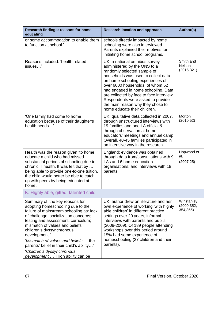| Research findings: reasons for home<br>educating                                                                                                                                                                                                                                                                                                                                                                                         | <b>Research location and approach</b>                                                                                                                                                                                                                                                                                                                                                                    | Author(s)                            |
|------------------------------------------------------------------------------------------------------------------------------------------------------------------------------------------------------------------------------------------------------------------------------------------------------------------------------------------------------------------------------------------------------------------------------------------|----------------------------------------------------------------------------------------------------------------------------------------------------------------------------------------------------------------------------------------------------------------------------------------------------------------------------------------------------------------------------------------------------------|--------------------------------------|
| or some accommodation to enable them<br>to function at school.'                                                                                                                                                                                                                                                                                                                                                                          | schools directly impacted by home<br>schooling were also interviewed.<br>Parents explained their motives for<br>initiating home school programs.                                                                                                                                                                                                                                                         |                                      |
| Reasons included: 'health related<br>issues'                                                                                                                                                                                                                                                                                                                                                                                             | UK; a national omnibus survey<br>administered by the ONS to a<br>randomly selected sample of<br>households was used to collect data<br>on home schooling experiences of<br>over 6000 households, of whom 52<br>had engaged in home schooling. Data<br>are collected by face to face interview.<br>Respondents were asked to provide<br>the main reason why they chose to<br>home educate their children. | Smith and<br>Nelson<br>(2015:321)    |
| 'One family had come to home<br>education because of their daughter's<br>health needs'                                                                                                                                                                                                                                                                                                                                                   | UK; qualitative data collected in 2007,<br>through unstructured interviews with<br>19 families and one LA official &<br>through observation at home<br>educators' meetings and annual camp.<br>Overall, 40-45 families participated in<br>an intensive way in the research.                                                                                                                              | Morton<br>(2010:52)                  |
| Health was the reason given 'to home<br>educate a child who had missed<br>substantial periods of schooling due to<br>chronic ill health. It was felt that by<br>being able to provide one-to-one tuition,<br>the child would better be able to catch<br>up with peers by being educated at<br>home'.                                                                                                                                     | England; evidence was obtained<br>through data from/consultations with 9<br>LAs and 6 home education<br>organisations; and interviews with 18<br>parents.                                                                                                                                                                                                                                                | Hopwood et<br>al.<br>(2007:25)       |
| K. Highly able, gifted, talented child                                                                                                                                                                                                                                                                                                                                                                                                   |                                                                                                                                                                                                                                                                                                                                                                                                          |                                      |
| Summary of 'the key reasons for<br>adopting homeschooling due to the<br>failure of mainstream schooling as: lack<br>of challenge; socialization concerns;<br>testing and assessment; curriculum;<br>mismatch of values and beliefs;<br>children's dyssynchronous<br>development.'<br>'Mismatch of values and beliefs  the<br>parents' belief in their child's ability'<br>'Children's dyssynchronous<br>development  High ability can be | UK; author drew on literature and her<br>own experience of working 'with highly<br>able children' in different practice<br>settings over 20 years, informal<br>interviews with parents and pupils<br>(2008-2009). Of 189 people attending<br>workshops over this period around<br>15% had some experience of<br>homeschooling (27 children and their<br>parents).                                        | Winstanley<br>(2009:352,<br>354,355) |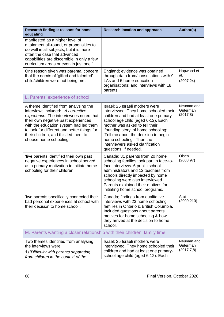| Research findings: reasons for home<br>educating                                                                                                                                                                                                                                                                          | <b>Research location and approach</b>                                                                                                                                                                                                                                                                                                                               | <b>Author(s)</b>                     |
|---------------------------------------------------------------------------------------------------------------------------------------------------------------------------------------------------------------------------------------------------------------------------------------------------------------------------|---------------------------------------------------------------------------------------------------------------------------------------------------------------------------------------------------------------------------------------------------------------------------------------------------------------------------------------------------------------------|--------------------------------------|
| manifested as a higher level of<br>attainment all-round, or propensities to<br>do well in all subjects, but it is more<br>often the case that advanced<br>capabilities are discernible in only a few<br>curriculum areas or even in just one.'                                                                            |                                                                                                                                                                                                                                                                                                                                                                     |                                      |
| One reason given was parental concern<br>that the needs of 'gifted and talented'<br>child/children were not being met.                                                                                                                                                                                                    | England; evidence was obtained<br>through data from/consultations with 9<br>LAs and 6 home education<br>organisations; and interviews with 18<br>parents.                                                                                                                                                                                                           | Hopwood et<br>al.<br>(2007:24)       |
| L. Parents' experience of school                                                                                                                                                                                                                                                                                          |                                                                                                                                                                                                                                                                                                                                                                     |                                      |
| A theme identified from analysing the<br>interviews included: 'A corrective<br>experience. The interviewees noted that<br>their own negative past experiences<br>with the education system had led them<br>to look for different and better things for<br>their children, and this led them to<br>choose home schooling.' | Israel; 25 Israeli mothers were<br>interviewed. They home schooled their<br>children and had at least one primary-<br>school age child (aged 6-12). Each<br>mother was asked to tell their<br>'founding story' of home schooling:<br>'Tell me about the decision to begin<br>home schooling'. Then the<br>interviewers asked clarification<br>questions, if needed. | Neuman and<br>Guterman<br>(2017:8)   |
| five parents identified their own past<br>negative experiences in school served<br>as a primary motivation to initiate home<br>schooling for their children.'                                                                                                                                                             | Canada; 31 parents from 20 home<br>schooling families took part in face-to-<br>face interviews. 6 public school<br>administrators and 12 teachers from<br>schools directly impacted by home<br>schooling were also interviewed.<br>Parents explained their motives for<br>initiating home school programs.                                                          | Olsen<br>(2008:97)                   |
| 'two parents specifically connected their<br>bad personal experiences at school with<br>their decision to home school'.                                                                                                                                                                                                   | Canada; findings from qualitative<br>interviews with 23 home-schooling<br>families in Ontario & British Columbia.<br>Included questions about parents'<br>motives for home schooling & how<br>they arrived at the decision to home<br>school.                                                                                                                       | Arai<br>(2000:210)                   |
| M. Parents wanting a closer relationship with their children, family time                                                                                                                                                                                                                                                 |                                                                                                                                                                                                                                                                                                                                                                     |                                      |
| Two themes identified from analysing<br>the interviews were:<br>1) 'Difficulty with parents separating<br>from children in the context of the                                                                                                                                                                             | Israel; 25 Israeli mothers were<br>interviewed. They home schooled their<br>children and had at least one primary-<br>school age child (aged 6-12). Each                                                                                                                                                                                                            | Neuman and<br>Guterman<br>(2017:7,8) |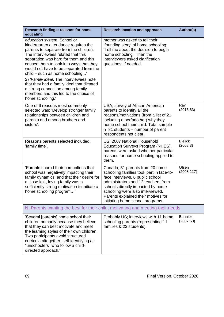| Research findings: reasons for home<br>educating                                                                                                                                                                                                                                                                                                                                                                                                                                                                | <b>Research location and approach</b>                                                                                                                                                                                                                                                                      | Author(s)                   |
|-----------------------------------------------------------------------------------------------------------------------------------------------------------------------------------------------------------------------------------------------------------------------------------------------------------------------------------------------------------------------------------------------------------------------------------------------------------------------------------------------------------------|------------------------------------------------------------------------------------------------------------------------------------------------------------------------------------------------------------------------------------------------------------------------------------------------------------|-----------------------------|
| education system. School or<br>kindergarten attendance requires the<br>parents to separate from the children.<br>The interviewees related that this<br>separation was hard for them and this<br>caused them to look into ways that they<br>would not have to be separated from the<br>child - such as home schooling'<br>2) 'Family ideal. The interviewees note<br>that they had a family ideal that dictated<br>a strong connection among family<br>members and this led to the choice of<br>home schooling.' | mother was asked to tell their<br>'founding story' of home schooling:<br>'Tell me about the decision to begin<br>home schooling'. Then the<br>interviewers asked clarification<br>questions, if needed.                                                                                                    |                             |
| One of 6 reasons most commonly<br>selected was: 'Develop stronger family<br>relationships between children and<br>parents and among brothers and<br>sisters'.                                                                                                                                                                                                                                                                                                                                                   | USA; survey of African American<br>parents to identify all the<br>reasons/motivations (from a list of 21<br>including other/another) why they<br>home school their child. Total sample<br>n=81 students – number of parent<br>respondents not clear.                                                       | Ray<br>(2015:83)            |
| Reasons parents selected included:<br>'family time'.                                                                                                                                                                                                                                                                                                                                                                                                                                                            | US; 2007 National Household<br>Education Surveys Program (NHES),<br>parents were asked whether particular<br>reasons for home schooling applied to<br>them.                                                                                                                                                | <b>Bielick</b><br>(2008:3)  |
| 'Parents shared their perceptions that<br>school was negatively impacting their<br>family dynamics, and that their desire for<br>a close knit, loving family was a<br>sufficiently strong motivation to initiate a<br>home schooling program'                                                                                                                                                                                                                                                                   | Canada; 31 parents from 20 home<br>schooling families took part in face-to-<br>face interviews. 6 public school<br>administrators and 12 teachers from<br>schools directly impacted by home<br>schooling were also interviewed.<br>Parents explained their motives for<br>initiating home school programs. | Olsen<br>(2008:117)         |
| N. Parents wanting the best for their child, motivating and meeting their needs                                                                                                                                                                                                                                                                                                                                                                                                                                 |                                                                                                                                                                                                                                                                                                            |                             |
| 'Several [parents] home school their<br>children primarily because they believe<br>that they can best motivate and meet<br>the leaming styles of their own children.<br>Two participants avoid structured<br>curricula altogether, self-identifying as<br>"unschoolers" who follow a child-<br>directed approach.'                                                                                                                                                                                              | Probably US; interviews with 11 home<br>schooling parents (representing 11<br>families & 23 students).                                                                                                                                                                                                     | <b>Bannier</b><br>(2007:63) |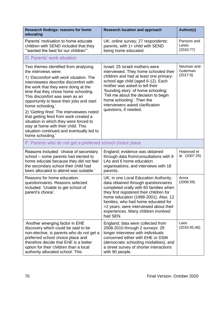| Research findings: reasons for home<br>educating                                                                                                                                                                                                                                                                                                                                                                                                                                                                                                                             | <b>Research location and approach</b>                                                                                                                                                                                                                                                                                                                               | Author(s)                          |
|------------------------------------------------------------------------------------------------------------------------------------------------------------------------------------------------------------------------------------------------------------------------------------------------------------------------------------------------------------------------------------------------------------------------------------------------------------------------------------------------------------------------------------------------------------------------------|---------------------------------------------------------------------------------------------------------------------------------------------------------------------------------------------------------------------------------------------------------------------------------------------------------------------------------------------------------------------|------------------------------------|
| Parents' motivation to home educate<br>children with SEND included that they<br>"wanted the best for our children"'.                                                                                                                                                                                                                                                                                                                                                                                                                                                         | UK; online survey; 27 respondents:<br>parents, with 1+ child with SEND<br>being home educated.                                                                                                                                                                                                                                                                      | Parsons and<br>Lewis<br>(2010:77)  |
| O. Parents' work situation                                                                                                                                                                                                                                                                                                                                                                                                                                                                                                                                                   |                                                                                                                                                                                                                                                                                                                                                                     |                                    |
| Two themes identified from analysing<br>the interviews were:<br>1) 'Discomfort with work situation. The<br>interviewees describe discomfort with<br>the work that they were doing at the<br>time that they chose home schooling.<br>This discomfort was seen as an<br>opportunity to leave their jobs and start<br>home schooling.'<br>2) 'Getting fired. The interviewees noted<br>that getting fired from work created a<br>situation in which they were forced to<br>stay at home with their child. This<br>situation continued and eventually led to<br>home schooling.' | Israel; 25 Israeli mothers were<br>interviewed. They home schooled their<br>children and had at least one primary-<br>school age child (aged 6-12). Each<br>mother was asked to tell their<br>'founding story' of home schooling:<br>'Tell me about the decision to begin<br>home schooling'. Then the<br>interviewers asked clarification<br>questions, if needed. | Neuman and<br>Guterman<br>(2017:9) |
| P. Parents who do not get a preferred school choice place                                                                                                                                                                                                                                                                                                                                                                                                                                                                                                                    |                                                                                                                                                                                                                                                                                                                                                                     |                                    |
| Reasons included: 'choice of secondary<br>school – some parents had elected to<br>home educate because they did not feel<br>the secondary school their child had<br>been allocated to attend was suitable.'                                                                                                                                                                                                                                                                                                                                                                  | England; evidence was obtained<br>through data from/consultations with 9<br>LAs and 6 home education<br>organisations; and interviews with 18<br>parents.                                                                                                                                                                                                           | Hopwood et<br>al. (2007:25)        |
| Reasons for home education:<br>questionnaires. Reasons selected<br>included: 'Unable to get school of<br>parent's choice'.                                                                                                                                                                                                                                                                                                                                                                                                                                                   | UK; in one Local Education Authority,<br>data obtained through questionnaires<br>completed orally with 65 families when<br>they first registered their children for<br>home education (1998-2001). Also, 12<br>families, who had home educated for<br>>2 years, were interviewed about their<br>experiences. Many children involved<br>had SEN.                     | Arora<br>(2006:59)                 |
| 'Another emerging factor in EHE<br>discovery which could be said to be<br>non-elective, is parents who do not get a<br>preferred school choice place and<br>therefore decide that EHE is a better<br>option for their children than a local<br>authority allocated school. This                                                                                                                                                                                                                                                                                              | England; data were collected from<br>2008-2010 through 2 surveys: 29<br>longer interviews with individuals<br>concerned either with EHE or DSM<br>(democratic schooling modalities), and<br>a street survey of shorter interactions<br>with 90 people.                                                                                                              | Lees<br>(2010:45,46)               |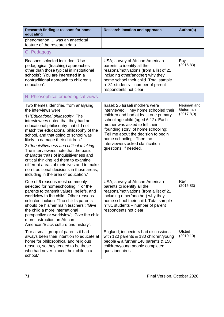| Research findings: reasons for home<br>educating                                                                                                                                                                                                                                                                                                                                                                                                                                                                                                                                                                   | <b>Research location and approach</b>                                                                                                                                                                                                                                                                                                                               | Author(s)                            |
|--------------------------------------------------------------------------------------------------------------------------------------------------------------------------------------------------------------------------------------------------------------------------------------------------------------------------------------------------------------------------------------------------------------------------------------------------------------------------------------------------------------------------------------------------------------------------------------------------------------------|---------------------------------------------------------------------------------------------------------------------------------------------------------------------------------------------------------------------------------------------------------------------------------------------------------------------------------------------------------------------|--------------------------------------|
| phenomenon  was an anecdotal<br>feature of the research data'                                                                                                                                                                                                                                                                                                                                                                                                                                                                                                                                                      |                                                                                                                                                                                                                                                                                                                                                                     |                                      |
| Q. Pedagogy                                                                                                                                                                                                                                                                                                                                                                                                                                                                                                                                                                                                        |                                                                                                                                                                                                                                                                                                                                                                     |                                      |
| Reasons selected included: 'Use<br>pedagogical (teaching) approaches<br>other than those typical in institutional<br>schools'; 'You are interested in a<br>nontraditional approach to children's<br>education'.                                                                                                                                                                                                                                                                                                                                                                                                    | USA; survey of African American<br>parents to identify all the<br>reasons/motivations (from a list of 21<br>including other/another) why they<br>home school their child. Total sample<br>n=81 students – number of parent<br>respondents not clear.                                                                                                                | Ray<br>(2015:83)                     |
| R. Philosophical or ideological views                                                                                                                                                                                                                                                                                                                                                                                                                                                                                                                                                                              |                                                                                                                                                                                                                                                                                                                                                                     |                                      |
| Two themes identified from analysing<br>the interviews were:<br>1) 'Educational philosophy. The<br>interviewees noted that they had an<br>educational philosophy that did not<br>match the educational philosophy of the<br>school, and that going to school was<br>likely to damage their children.'<br>2) 'Inquisitiveness and critical thinking.<br>The interviewees note that the basic<br>character traits of inquisitiveness and<br>critical thinking led them to examine<br>different areas of their lives and to make<br>non-traditional decisions in those areas,<br>including in the area of education.' | Israel; 25 Israeli mothers were<br>interviewed. They home schooled their<br>children and had at least one primary-<br>school age child (aged 6-12). Each<br>mother was asked to tell their<br>'founding story' of home schooling:<br>'Tell me about the decision to begin<br>home schooling'. Then the<br>interviewers asked clarification<br>questions, if needed. | Neuman and<br>Guterman<br>(2017:8,9) |
| One of 6 reasons most commonly<br>selected for homeschooling: 'For the<br>parents to transmit values, beliefs, and<br>worldview to the child'. Other reasons<br>selected include: 'The child's parents<br>should be his/her main teachers'; 'Give<br>the child a more international<br>perspective or worldview'; 'Give the child<br>more instruction on African<br>American/Black culture and history'.                                                                                                                                                                                                           | USA; survey of African American<br>parents to identify all the<br>reasons/motivations (from a list of 21<br>including other/another) why they<br>home school their child. Total sample<br>n=81 students – number of parent<br>respondents not clear.                                                                                                                | Ray<br>(2015:83)                     |
| 'For a small group of parents it had<br>always been their intention to educate at<br>home for philosophical and religious<br>reasons, so they tended to be those<br>who had never placed their child in a<br>school.'                                                                                                                                                                                                                                                                                                                                                                                              | England; inspectors had discussions<br>with 120 parents & 130 children/young<br>people & a further 148 parents & 158<br>children/young people completed<br>questionnaires                                                                                                                                                                                           | Ofsted<br>(2010:10)                  |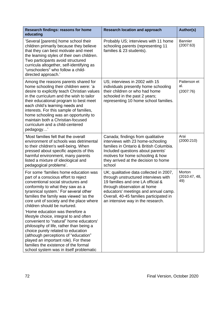| Research findings: reasons for home<br>educating                                                                                                                                                                                                                                                                                                                                                                               | <b>Research location and approach</b>                                                                                                                                                                                                                                       | Author(s)                        |
|--------------------------------------------------------------------------------------------------------------------------------------------------------------------------------------------------------------------------------------------------------------------------------------------------------------------------------------------------------------------------------------------------------------------------------|-----------------------------------------------------------------------------------------------------------------------------------------------------------------------------------------------------------------------------------------------------------------------------|----------------------------------|
| 'Several [parents] home school their<br>children primarily because they believe<br>that they can best motivate and meet<br>the leaming styles of their own children.<br>Two participants avoid structured<br>curricula altogether, self-identifying as<br>"unschoolers" who follow a child-<br>directed approach.'                                                                                                             | Probably US; interviews with 11 home<br>schooling parents (representing 11<br>families & 23 students).                                                                                                                                                                      | <b>Bannier</b><br>(2007:63)      |
| Among the reasons parents shared for<br>home schooling their children were: 'a<br>desire to explicitly teach Christian values<br>in the curriculum and the wish to tailor<br>their educational program to best meet<br>each child's learning needs and<br>interests. For this sample of families,<br>home schooling was an opportunity to<br>maintain both a Christian-focused<br>curriculum and a child-centered<br>pedagogy' | US; interviews in 2002 with 15<br>individuals presently home schooling<br>their children or who had home<br>schooled in the past 2 years;<br>representing 10 home school families.                                                                                          | Patterson et<br>al.<br>(2007:76) |
| 'Most families felt that the overall<br>environment of schools was detrimental<br>to their children's well-being. When<br>pressed about specific aspects of this<br>harmful environment, many parents<br>listed a mixture of ideological and<br>pedagogical problems'.                                                                                                                                                         | Canada; findings from qualitative<br>interviews with 23 home-schooling<br>families in Ontario & British Columbia.<br>Included questions about parents'<br>motives for home schooling & how<br>they arrived at the decision to home<br>school                                | Arai<br>(2000:210)               |
| For some 'families home education was<br>part of a conscious effort to reject<br>conventional social structures and<br>conformity to what they saw as a<br>tyrannical system.' For several other<br>families the family was viewed 'as the<br>core unit of society and the place where<br>children should be nurtured.                                                                                                         | UK; qualitative data collected in 2007,<br>through unstructured interviews with<br>19 families and one LA official &<br>through observation at home<br>educators' meetings and annual camp.<br>Overall, 40-45 families participated in<br>an intensive way in the research. | Morton<br>(2010:47, 48,<br>49)   |
| 'Home education was therefore a<br>lifestyle choice, integral to and often<br>convenient to "natural" home educators'<br>philosophy of life, rather than being a<br>choice purely related to education<br>(although perceptions of "education"<br>played an important role). For these<br>families the existence of the formal<br>school system was in itself problematic                                                      |                                                                                                                                                                                                                                                                             |                                  |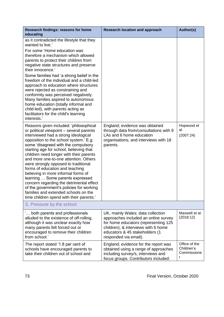| Research findings: reasons for home<br>educating                                                                                                                                                                                                                                                                                                                                                                                                                                                                                                                                                                                                                             | <b>Research location and approach</b>                                                                                                                                                                               | Author(s)                                       |
|------------------------------------------------------------------------------------------------------------------------------------------------------------------------------------------------------------------------------------------------------------------------------------------------------------------------------------------------------------------------------------------------------------------------------------------------------------------------------------------------------------------------------------------------------------------------------------------------------------------------------------------------------------------------------|---------------------------------------------------------------------------------------------------------------------------------------------------------------------------------------------------------------------|-------------------------------------------------|
| as it contradicted the lifestyle that they<br>wanted to live.'<br>For some 'Home education was<br>therefore a mechanism which allowed<br>parents to protect their children from<br>negative state structures and preserve<br>their innocence.'<br>Some families had 'a strong belief in the<br>freedom of the individual and a child-led<br>approach to education where structures<br>were rejected as constraining and<br>conformity was perceived negatively.<br>Many families aspired to autonomous<br>home education (totally informal and<br>child-led), with parents acting as<br>facilitators for the child's learning<br>interests.'                                 |                                                                                                                                                                                                                     |                                                 |
| Reasons given included: 'philosophical<br>or political viewpoint - several parents<br>interviewed had a strong ideological<br>opposition to the school system.' E.g.<br>some 'disagreed with the compulsory<br>starting age for school, believing that<br>children need longer with their parents<br>and more one-to-one attention. Others<br>were strongly opposed to traditional<br>forms of education and teaching<br>believing in more informal forms of<br>learning  Some parents expressed<br>concern regarding the detrimental effect<br>of the government's policies for working<br>families and extended schools on the<br>time children spend with their parents.' | England; evidence was obtained<br>through data from/consultations with 9<br>LAs and 6 home education<br>organisations; and interviews with 18<br>parents.                                                           | Hopwood et<br>al.<br>(2007:24)                  |
| S. Pressure by the school                                                                                                                                                                                                                                                                                                                                                                                                                                                                                                                                                                                                                                                    |                                                                                                                                                                                                                     |                                                 |
| both parents and professionals<br>alluded to the existence of off-rolling,<br>although it was unclear exactly how<br>many parents felt forced out or<br>encouraged to remove their children<br>from school.'                                                                                                                                                                                                                                                                                                                                                                                                                                                                 | UK, mainly Wales; data collection<br>approaches included an online survey<br>for home educators (representing 125<br>children); & interviews with 6 home<br>educators & 45 stakeholders (1<br>responded via email). | Maxwell et al.<br>(2018:12)                     |
| The report stated '1.8 per cent of<br>schools have encouraged parents to<br>take their children out of school and                                                                                                                                                                                                                                                                                                                                                                                                                                                                                                                                                            | England; evidence for the report was<br>obtained using a range of approaches<br>including survey/s, interviews and<br>focus groups. Contributors included:                                                          | Office of the<br>Children's<br>Commissione<br>r |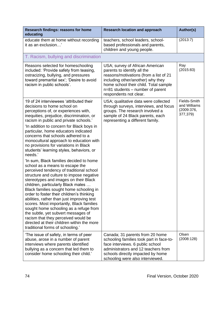| Research findings: reasons for home<br>educating                                                                                                                                                                                                                                                                                                                                                                                                                                                                                                                                                                                                                                                                                                                                                                                                                                                                                                                                                                                                                                                                             | <b>Research location and approach</b>                                                                                                                                                                                                                | Author(s)                                              |
|------------------------------------------------------------------------------------------------------------------------------------------------------------------------------------------------------------------------------------------------------------------------------------------------------------------------------------------------------------------------------------------------------------------------------------------------------------------------------------------------------------------------------------------------------------------------------------------------------------------------------------------------------------------------------------------------------------------------------------------------------------------------------------------------------------------------------------------------------------------------------------------------------------------------------------------------------------------------------------------------------------------------------------------------------------------------------------------------------------------------------|------------------------------------------------------------------------------------------------------------------------------------------------------------------------------------------------------------------------------------------------------|--------------------------------------------------------|
| educate them at home without recording<br>it as an exclusion'                                                                                                                                                                                                                                                                                                                                                                                                                                                                                                                                                                                                                                                                                                                                                                                                                                                                                                                                                                                                                                                                | teachers, school leaders, school-<br>based professionals and parents,<br>children and young people.                                                                                                                                                  | (2013:7)                                               |
| T. Racism, bullying and discrimination                                                                                                                                                                                                                                                                                                                                                                                                                                                                                                                                                                                                                                                                                                                                                                                                                                                                                                                                                                                                                                                                                       |                                                                                                                                                                                                                                                      |                                                        |
| Reasons selected for homeschooling<br>included: 'Provide safety from teasing,<br>ostracizing, bullying, and pressures<br>toward premarital sex'; 'Desire to avoid<br>racism in public schools'.                                                                                                                                                                                                                                                                                                                                                                                                                                                                                                                                                                                                                                                                                                                                                                                                                                                                                                                              | USA; survey of African American<br>parents to identify all the<br>reasons/motivations (from a list of 21<br>including other/another) why they<br>home school their child. Total sample<br>n=81 students – number of parent<br>respondents not clear. | Ray<br>(2015:83)                                       |
| 19 of 24 interviewees 'attributed their<br>decisions to home school on<br>perceptions of, or experiences with,<br>inequities, prejudice, discrimination, or<br>racism in public and private schools.'<br>'In addition to concern for Black boys in<br>particular, home educators indicated<br>concerns that schools adhered to a<br>monocultural approach to education with<br>no provisions for variations in Black<br>students' learning styles, behaviors, or<br>needs.'<br>'In sum, Black families decided to home<br>school as a means to escape the<br>perceived tendency of traditional school<br>structure and culture to impose negative<br>stereotypes and images on their Black<br>children, particularly Black males<br>Black families sought home schooling in<br>order to foster their children's thinking<br>abilities, rather than just improving test<br>scores. Most importantly, Black families<br>sought home schooling as a refuge from<br>the subtle, yet subvert messages of<br>racism that they perceived would be<br>directed at their children within the more<br>traditional forms of schooling.' | USA; qualitative data were collected<br>through surveys, interviews, and focus<br>groups. The research involved a<br>sample of 24 Black parents, each<br>representing a different family.                                                            | Fields-Smith<br>and Williams<br>(2009:376,<br>377,379) |
| 'The issue of safety, in terms of peer<br>abuse, arose in a number of parent<br>interviews where parents identified<br>bullying as a concern that led them to<br>consider home schooling their child.'                                                                                                                                                                                                                                                                                                                                                                                                                                                                                                                                                                                                                                                                                                                                                                                                                                                                                                                       | Canada; 31 parents from 20 home<br>schooling families took part in face-to-<br>face interviews. 6 public school<br>administrators and 12 teachers from<br>schools directly impacted by home<br>schooling were also interviewed.                      | Olsen<br>(2008:128)                                    |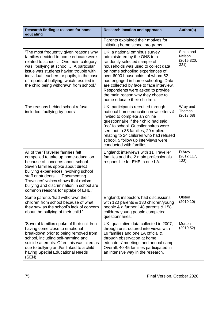| Research findings: reasons for home<br>educating                                                                                                                                                                                                                                                                                                             | <b>Research location and approach</b>                                                                                                                                                                                                                                                                                                                                                                    | Author(s)                                        |
|--------------------------------------------------------------------------------------------------------------------------------------------------------------------------------------------------------------------------------------------------------------------------------------------------------------------------------------------------------------|----------------------------------------------------------------------------------------------------------------------------------------------------------------------------------------------------------------------------------------------------------------------------------------------------------------------------------------------------------------------------------------------------------|--------------------------------------------------|
|                                                                                                                                                                                                                                                                                                                                                              | Parents explained their motives for<br>initiating home school programs.                                                                                                                                                                                                                                                                                                                                  |                                                  |
| 'The most frequently given reasons why<br>families decided to home educate were<br>related to school' One main category<br>was: 'bullying at school  A particular<br>issue was students having trouble with<br>individual teachers or pupils, in the case<br>of reports of bullying, which resulted in<br>the child being withdrawn from school.'            | UK; a national omnibus survey<br>administered by the ONS to a<br>randomly selected sample of<br>households was used to collect data<br>on home schooling experiences of<br>over 6000 households, of whom 52<br>had engaged in home schooling. Data<br>are collected by face to face interview.<br>Respondents were asked to provide<br>the main reason why they chose to<br>home educate their children. | Smith and<br><b>Nelson</b><br>(2015:320,<br>321) |
| The reasons behind school refusal<br>included: 'bullying by peers'.                                                                                                                                                                                                                                                                                          | UK; participants recruited through<br>national home education newsletters &<br>invited to complete an online<br>questionnaire if their child had said<br>"no" to school. Questionnaires were<br>sent out to 35 families, 20 replied,<br>relating to 24 children who had refused<br>school. 5 follow up interviews were<br>conducted with families.                                                       | Wray and<br>Thomas<br>(2013:68)                  |
| All of the 'Traveller families felt<br>compelled to take up home-education<br>because of concerns about school.<br>Seven families spoke about direct<br>bullying experiences involving school<br>staff or students' 'Documenting<br>Travellers' voices shows that racism,<br>bullying and discrimination in school are<br>common reasons for uptake of EHE.' | England; interviews with 11 Traveller<br>families and the 2 main professionals<br>responsible for EHE in one LA.                                                                                                                                                                                                                                                                                         | D'Arcy<br>(2012:117,<br>133)                     |
| Some parents 'had withdrawn their<br>children from school because of what<br>they saw as the school's lack of concern<br>about the bullying of their child.'                                                                                                                                                                                                 | England; inspectors had discussions<br>with 120 parents & 130 children/young<br>people & a further 148 parents & 158<br>children/ young people completed<br>questionnaires.                                                                                                                                                                                                                              | Ofsted<br>(2010:10)                              |
| 'Several families spoke of their children<br>having come close to emotional<br>breakdown prior to being removed from<br>school, including self-harming and<br>suicide attempts. Often this was cited as<br>due to bullying and/or linked to a child<br>having Special Educational Needs<br>(SEN).'                                                           | UK; qualitative data collected in 2007,<br>through unstructured interviews with<br>19 families and one LA official &<br>through observation at home<br>educators' meetings and annual camp.<br>Overall, 40-45 families participated in<br>an intensive way in the research.                                                                                                                              | Morton<br>(2010:52)                              |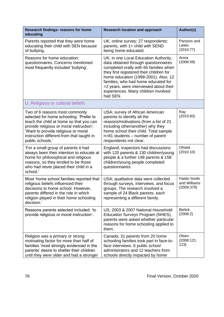| Research findings: reasons for home<br>educating                                                                                                                                                                                                                         | <b>Research location and approach</b>                                                                                                                                                                                                                                                                                                           | Author(s)                                  |
|--------------------------------------------------------------------------------------------------------------------------------------------------------------------------------------------------------------------------------------------------------------------------|-------------------------------------------------------------------------------------------------------------------------------------------------------------------------------------------------------------------------------------------------------------------------------------------------------------------------------------------------|--------------------------------------------|
| Parents reported that they were home<br>educating their child with SEN because<br>of bullying.                                                                                                                                                                           | UK; online survey; 27 respondents:<br>parents, with 1+ child with SEND<br>being home educated.                                                                                                                                                                                                                                                  | Parsons and<br>Lewis<br>(2010:77)          |
| Reasons for home education:<br>questionnaires. Concerns mentioned<br>most frequently included 'bullying'.                                                                                                                                                                | UK; in one Local Education Authority,<br>data obtained through questionnaires<br>completed orally with 65 families when<br>they first registered their children for<br>home education (1998-2001). Also, 12<br>families, who had home educated for<br>>2 years, were interviewed about their<br>experiences. Many children involved<br>had SEN. | Arora<br>(2006:59)                         |
| U. Religious or cultural beliefs                                                                                                                                                                                                                                         |                                                                                                                                                                                                                                                                                                                                                 |                                            |
| Two of 6 reasons most commonly<br>selected for home schooling: 'Prefer to<br>teach the child at home so that you can<br>provide religious or moral instruction';<br>'Want to provide religious or moral<br>instruction different from that taught in<br>public schools.' | USA; survey of African American<br>parents to identify all the<br>reasons/motivations (from a list of 21<br>including other/another) why they<br>home school their child. Total sample<br>n=81 students – number of parent<br>respondents not clear.                                                                                            | Ray<br>(2015:83)                           |
| 'For a small group of parents it had<br>always been their intention to educate at<br>home for philosophical and religious<br>reasons, so they tended to be those<br>who had never placed their child in a<br>school.'                                                    | England; inspectors had discussions<br>with 120 parents & 130 children/young<br>people & a further 148 parents & 158<br>children/young people completed<br>questionnaires                                                                                                                                                                       | Ofsted<br>(2010:10)                        |
| Most 'home school families reported that<br>religious beliefs influenced their<br>decisions to home school. However,<br>parents differed in the role in which<br>religion played in their home schooling<br>decision.'                                                   | USA; qualitative data were collected<br>through surveys, interviews, and focus<br>groups. The research involved a<br>sample of 24 Black parents, each<br>representing a different family.                                                                                                                                                       | Fields-Smith<br>and Williams<br>(2009:379) |
| Reasons parents selected included: 'to<br>provide religious or moral instruction'.                                                                                                                                                                                       | US; 2003 & 2007 National Household<br>Education Surveys Program (NHES),<br>parents were asked whether particular<br>reasons for home schooling applied to<br>them.                                                                                                                                                                              | <b>Bielick</b><br>(2008:2)                 |
| Religion was a primary or strong<br>motivating factor for more than half of<br>families 'most strongly evidenced in the<br>parents' desire to shelter their children<br>until they were older and had a stronger                                                         | Canada; 31 parents from 20 home<br>schooling families took part in face-to-<br>face interviews. 6 public school<br>administrators and 12 teachers from<br>schools directly impacted by home                                                                                                                                                     | Olsen<br>(2008:121,<br>123)                |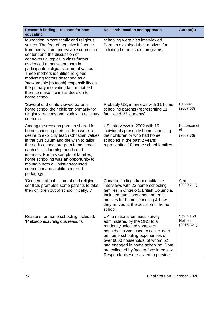| Research findings: reasons for home<br>educating                                                                                                                                                                                                                                                                                                                                                                                                                                                                 | <b>Research location and approach</b>                                                                                                                                                                                                                                                                                               | Author(s)                         |
|------------------------------------------------------------------------------------------------------------------------------------------------------------------------------------------------------------------------------------------------------------------------------------------------------------------------------------------------------------------------------------------------------------------------------------------------------------------------------------------------------------------|-------------------------------------------------------------------------------------------------------------------------------------------------------------------------------------------------------------------------------------------------------------------------------------------------------------------------------------|-----------------------------------|
| foundation in core family and religious<br>values. The fear of negative influence<br>from peers, from undesirable curriculum<br>content and the discussion of<br>controversial topics in class further<br>evidenced a motivation born in<br>participants' religious or moral values.'<br>Three mothers identified religious<br>motivating factors described as a<br>'stewardship [to teach] responsibility as<br>the primary motivating factor that led<br>them to make the initial decision to<br>home school.' | schooling were also interviewed.<br>Parents explained their motives for<br>initiating home school programs.                                                                                                                                                                                                                         |                                   |
| 'Several of the interviewed parents<br>home school their children primarily for<br>religious reasons and work with religious<br>curricula'.                                                                                                                                                                                                                                                                                                                                                                      | Probably US; interviews with 11 home<br>schooling parents (representing 11<br>families & 23 students).                                                                                                                                                                                                                              | <b>Bannier</b><br>(2007:63)       |
| Among the reasons parents shared for<br>home schooling their children were: 'a<br>desire to explicitly teach Christian values<br>in the curriculum and the wish to tailor<br>their educational program to best meet<br>each child's learning needs and<br>interests. For this sample of families,<br>home schooling was an opportunity to<br>maintain both a Christian-focused<br>curriculum and a child-centered<br>pedagogy                                                                                    | US; interviews in 2002 with 15<br>individuals presently home schooling<br>their children or who had home<br>schooled in the past 2 years;<br>representing 10 home school families.                                                                                                                                                  | Patterson et<br>al.<br>(2007:76)  |
| 'Concerns about  moral and religious<br>conflicts prompted some parents to take<br>their children out of school initially'                                                                                                                                                                                                                                                                                                                                                                                       | Canada; findings from qualitative<br>interviews with 23 home-schooling<br>families in Ontario & British Columbia.<br>Included questions about parents'<br>motives for home schooling & how<br>they arrived at the decision to home<br>school.                                                                                       | Arai<br>(2000:211)                |
| Reasons for home schooling included:<br>'Philosophical/religious reasons'.                                                                                                                                                                                                                                                                                                                                                                                                                                       | UK; a national omnibus survey<br>administered by the ONS to a<br>randomly selected sample of<br>households was used to collect data<br>on home schooling experiences of<br>over 6000 households, of whom 52<br>had engaged in home schooling. Data<br>are collected by face to face interview.<br>Respondents were asked to provide | Smith and<br>Nelson<br>(2015:321) |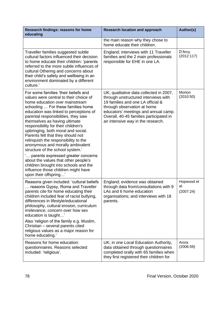| Research findings: reasons for home<br>educating                                                                                                                                                                                                                                                                                                                                                                                                                                                                                                                                                                                                                                                  | <b>Research location and approach</b>                                                                                                                                                                                                                                       | <b>Author(s)</b>               |
|---------------------------------------------------------------------------------------------------------------------------------------------------------------------------------------------------------------------------------------------------------------------------------------------------------------------------------------------------------------------------------------------------------------------------------------------------------------------------------------------------------------------------------------------------------------------------------------------------------------------------------------------------------------------------------------------------|-----------------------------------------------------------------------------------------------------------------------------------------------------------------------------------------------------------------------------------------------------------------------------|--------------------------------|
|                                                                                                                                                                                                                                                                                                                                                                                                                                                                                                                                                                                                                                                                                                   | the main reason why they chose to<br>home educate their children.                                                                                                                                                                                                           |                                |
| Traveller families suggested subtle<br>cultural factors influenced their decision<br>to home educate their children: 'parents<br>referred to the more subtle influences of<br>cultural Othering and concerns about<br>their child's safety and wellbeing in an<br>environment dominated by a different<br>culture.'                                                                                                                                                                                                                                                                                                                                                                               | England; interviews with 11 Traveller<br>families and the 2 main professionals<br>responsible for EHE in one LA.                                                                                                                                                            | D'Arcy<br>(2012:117)           |
| For some families 'their beliefs and<br>values were central to their choice of<br>home education over mainstream<br>schooling  For these families home<br>education was linked to perceptions of<br>parental responsibilities, they saw<br>themselves as having ultimate<br>responsibility for their children's<br>upbringing, both moral and social.<br>Parents felt that they should not<br>relinquish the responsibility to the<br>anonymous and morally ambivalent<br>structure of the school system.'<br>parents expressed greater concerns<br>about the values that other people's<br>children brought into schools and the<br>influence those children might have<br>upon their offspring' | UK; qualitative data collected in 2007,<br>through unstructured interviews with<br>19 families and one LA official &<br>through observation at home<br>educators' meetings and annual camp.<br>Overall, 40-45 families participated in<br>an intensive way in the research. | Morton<br>(2010:50)            |
| Reasons given included: 'cultural beliefs<br>reasons Gypsy, Roma and Traveller<br>parents cite for home educating their<br>children included fear of racist bullying,<br>differences in lifestyle/educational<br>philosophy, cultural erosion, curriculum<br>irrelevance, concern over how sex<br>education is taught'<br>Also 'religion of the family e.g. Muslim,<br>Christian - several parents cited<br>religious values as a major reason for<br>home educating.'                                                                                                                                                                                                                            | England; evidence was obtained<br>through data from/consultations with 9<br>LAs and 6 home education<br>organisations; and interviews with 18<br>parents.                                                                                                                   | Hopwood et<br>al.<br>(2007:24) |
| Reasons for home education:<br>questionnaires. Reasons selected<br>included: 'religious'.                                                                                                                                                                                                                                                                                                                                                                                                                                                                                                                                                                                                         | UK; in one Local Education Authority,<br>data obtained through questionnaires<br>completed orally with 65 families when<br>they first registered their children for                                                                                                         | Arora<br>(2006:59)             |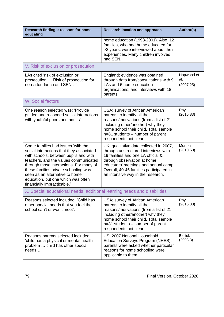| Research findings: reasons for home<br>educating                                                                                                                                                                                                                                                                                                           | <b>Research location and approach</b>                                                                                                                                                                                                                                       | Author(s)                      |
|------------------------------------------------------------------------------------------------------------------------------------------------------------------------------------------------------------------------------------------------------------------------------------------------------------------------------------------------------------|-----------------------------------------------------------------------------------------------------------------------------------------------------------------------------------------------------------------------------------------------------------------------------|--------------------------------|
|                                                                                                                                                                                                                                                                                                                                                            | home education (1998-2001). Also, 12<br>families, who had home educated for<br>>2 years, were interviewed about their<br>experiences. Many children involved<br>had SEN.                                                                                                    |                                |
| V. Risk of exclusion or prosecution                                                                                                                                                                                                                                                                                                                        |                                                                                                                                                                                                                                                                             |                                |
| LAs cited 'risk of exclusion or<br>prosecution'  Risk of prosecution for<br>non-attendance and SEN'.                                                                                                                                                                                                                                                       | England; evidence was obtained<br>through data from/consultations with 9<br>LAs and 6 home education<br>organisations; and interviews with 18<br>parents.                                                                                                                   | Hopwood et<br>al.<br>(2007:25) |
| <b>W. Social factors</b>                                                                                                                                                                                                                                                                                                                                   |                                                                                                                                                                                                                                                                             |                                |
| One reason selected was: 'Provide<br>guided and reasoned social interactions<br>with youthful peers and adults'.                                                                                                                                                                                                                                           | USA; survey of African American<br>parents to identify all the<br>reasons/motivations (from a list of 21<br>including other/another) why they<br>home school their child. Total sample<br>n=81 students - number of parent<br>respondents not clear.                        | Ray<br>(2015:83)               |
| Some families had issues 'with the<br>social interactions that they associated<br>with schools, between pupils and with<br>teachers, and the values communicated<br>through those interactions. For many of<br>these families private schooling was<br>seen as an alternative to home<br>education, but one which was often<br>financially impracticable.' | UK; qualitative data collected in 2007,<br>through unstructured interviews with<br>19 families and one LA official &<br>through observation at home<br>educators' meetings and annual camp.<br>Overall, 40-45 families participated in<br>an intensive way in the research. | Morton<br>(2010:50)            |
| X. Special educational needs, additional learning needs and disabilities                                                                                                                                                                                                                                                                                   |                                                                                                                                                                                                                                                                             |                                |
| Reasons selected included: 'Child has<br>other special needs that you feel the<br>school can't or won't meet'.                                                                                                                                                                                                                                             | USA; survey of African American<br>parents to identify all the<br>reasons/motivations (from a list of 21<br>including other/another) why they<br>home school their child. Total sample<br>$n=81$ students – number of parent<br>respondents not clear.                      | Ray<br>(2015:83)               |
| Reasons parents selected included:<br>'child has a physical or mental health<br>problem  child has other special<br>needs'                                                                                                                                                                                                                                 | US; 2007 National Household<br>Education Surveys Program (NHES),<br>parents were asked whether particular<br>reasons for home schooling were<br>applicable to them.                                                                                                         | <b>Bielick</b><br>(2008:3)     |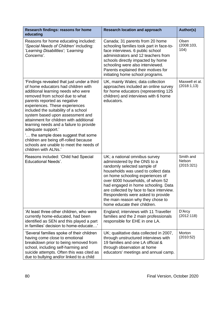| Research findings: reasons for home<br>educating                                                                                                                                                                                                                                                                                                                                                                                                                                                                                                                      | <b>Research location and approach</b>                                                                                                                                                                                                                                                                                                                                                                    | Author(s)                         |
|-----------------------------------------------------------------------------------------------------------------------------------------------------------------------------------------------------------------------------------------------------------------------------------------------------------------------------------------------------------------------------------------------------------------------------------------------------------------------------------------------------------------------------------------------------------------------|----------------------------------------------------------------------------------------------------------------------------------------------------------------------------------------------------------------------------------------------------------------------------------------------------------------------------------------------------------------------------------------------------------|-----------------------------------|
| Reasons for home educating included:<br>'Special Needs of Children' including:<br>'Learning Disabilities'; 'Learning<br>Concerns'.                                                                                                                                                                                                                                                                                                                                                                                                                                    | Canada; 31 parents from 20 home<br>schooling families took part in face-to-<br>face interviews. 6 public school<br>administrators and 12 teachers from<br>schools directly impacted by home<br>schooling were also interviewed.<br>Parents explained their motives for<br>initiating home school programs.                                                                                               | Olsen<br>(2008:103,<br>104)       |
| 'Findings revealed that just under a third<br>of home educators had children with<br>additional learning needs who were<br>removed from school due to what<br>parents reported as negative<br>experiences. These experiences<br>included the suitability of a school<br>system based upon assessment and<br>attainment for children with additional<br>learning needs and a failure to provide<br>adequate support.'<br>the sample does suggest that some<br>children are being off-rolled because<br>schools are unable to meet the needs of<br>children with ALNs.' | UK, mainly Wales; data collection<br>approaches included an online survey<br>for home educators (representing 125<br>children) and interviews with 6 home<br>educators.                                                                                                                                                                                                                                  | Maxwell et al.<br>(2018:1,13)     |
| Reasons included: 'Child had Special<br><b>Educational Needs'.</b>                                                                                                                                                                                                                                                                                                                                                                                                                                                                                                    | UK; a national omnibus survey<br>administered by the ONS to a<br>randomly selected sample of<br>households was used to collect data<br>on home schooling experiences of<br>over 6000 households, of whom 52<br>had engaged in home schooling. Data<br>are collected by face to face interview.<br>Respondents were asked to provide<br>the main reason why they chose to<br>home educate their children. | Smith and<br>Nelson<br>(2015:321) |
| 'At least three other children, who were<br>currently home-educated, had been<br>identified as SEN and this played a part<br>in families' decision to home-educate'                                                                                                                                                                                                                                                                                                                                                                                                   | England; interviews with 11 Traveller<br>families and the 2 main professionals<br>responsible for EHE in one LA.                                                                                                                                                                                                                                                                                         | D'Arcy<br>(2012:118)              |
| 'Several families spoke of their children<br>having come close to emotional<br>breakdown prior to being removed from<br>school, including self-harming and<br>suicide attempts. Often this was cited as<br>due to bullying and/or linked to a child                                                                                                                                                                                                                                                                                                                   | UK; qualitative data collected in 2007,<br>through unstructured interviews with<br>19 families and one LA official &<br>through observation at home<br>educators' meetings and annual camp.                                                                                                                                                                                                              | Morton<br>(2010:52)               |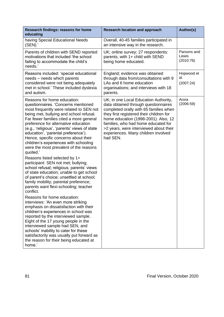| Research findings: reasons for home<br>educating                                                                                                                                                                                                                                                                                                                                                                                                                                                                                                                                                                                                                                                                                                                                                                                                                                                                                                                                                                                                                                                                                                                                                        | <b>Research location and approach</b>                                                                                                                                                                                                                                                                                                           | Author(s)                         |
|---------------------------------------------------------------------------------------------------------------------------------------------------------------------------------------------------------------------------------------------------------------------------------------------------------------------------------------------------------------------------------------------------------------------------------------------------------------------------------------------------------------------------------------------------------------------------------------------------------------------------------------------------------------------------------------------------------------------------------------------------------------------------------------------------------------------------------------------------------------------------------------------------------------------------------------------------------------------------------------------------------------------------------------------------------------------------------------------------------------------------------------------------------------------------------------------------------|-------------------------------------------------------------------------------------------------------------------------------------------------------------------------------------------------------------------------------------------------------------------------------------------------------------------------------------------------|-----------------------------------|
| having Special Educational Needs<br>(SEN).                                                                                                                                                                                                                                                                                                                                                                                                                                                                                                                                                                                                                                                                                                                                                                                                                                                                                                                                                                                                                                                                                                                                                              | Overall, 40-45 families participated in<br>an intensive way in the research.                                                                                                                                                                                                                                                                    |                                   |
| Parents of children with SEND reported<br>motivations that included 'the school<br>failing to accommodate the child's<br>needs.'                                                                                                                                                                                                                                                                                                                                                                                                                                                                                                                                                                                                                                                                                                                                                                                                                                                                                                                                                                                                                                                                        | UK; online survey; 27 respondents:<br>parents, with 1+ child with SEND<br>being home educated.                                                                                                                                                                                                                                                  | Parsons and<br>Lewis<br>(2010:76) |
| Reasons included: 'special educational<br>needs - needs which parents<br>considered were not being adequately<br>met in school.' These included dyslexia<br>and autism.                                                                                                                                                                                                                                                                                                                                                                                                                                                                                                                                                                                                                                                                                                                                                                                                                                                                                                                                                                                                                                 | England; evidence was obtained<br>through data from/consultations with 9<br>LAs and 6 home education<br>organisations; and interviews with 18<br>parents.                                                                                                                                                                                       | Hopwood et<br>al.<br>(2007:24)    |
| Reasons for home education:<br>questionnaires. 'Concerns mentioned<br>most frequently were related to SEN not<br>being met, bullying and school refusal.<br>Far fewer families cited a more general<br>preference for alternative education<br>(e.g., 'religious', 'parents' views of state<br>education', 'parental preference').<br>Hence, specific concerns about their<br>children's experiences with schooling<br>were the most prevalent of the reasons<br>quoted.'<br>Reasons listed selected by 1+<br>participant: SEN not met; bullying;<br>school refusal; religious; parents' views<br>of state education; unable to get school<br>of parent's choice; unsettled at school;<br>family mobility; parental preference;<br>parents want flexi-schooling; teacher<br>conflict.<br>Reasons for home education:<br>interviews: 'An even more striking<br>emphasis on dissatisfaction with their<br>children's experiences in school was<br>reported by the interviewed sample.<br>Eight of the 17 young people in the<br>interviewed sample had SEN, and<br>schools' inability to cater for these<br>satisfactorily was usually put forward as<br>the reason for their being educated at<br>home.' | UK; in one Local Education Authority,<br>data obtained through questionnaires<br>completed orally with 65 families when<br>they first registered their children for<br>home education (1998-2001). Also, 12<br>families, who had home educated for<br>>2 years, were interviewed about their<br>experiences. Many children involved<br>had SEN. | Arora<br>(2006:59)                |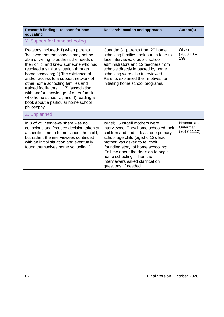| Research findings: reasons for home<br>educating                                                                                                                                                                                                                                                                                                                                                                                                                                                             | <b>Research location and approach</b>                                                                                                                                                                                                                                                                                                                               | Author(s)                              |
|--------------------------------------------------------------------------------------------------------------------------------------------------------------------------------------------------------------------------------------------------------------------------------------------------------------------------------------------------------------------------------------------------------------------------------------------------------------------------------------------------------------|---------------------------------------------------------------------------------------------------------------------------------------------------------------------------------------------------------------------------------------------------------------------------------------------------------------------------------------------------------------------|----------------------------------------|
| Y. Support for home schooling                                                                                                                                                                                                                                                                                                                                                                                                                                                                                |                                                                                                                                                                                                                                                                                                                                                                     |                                        |
| Reasons included: 1) when parents<br>believed that the schools may not be<br>able or willing to address the needs of<br>their child' and knew someone who had<br>resolved a similar situation through<br>home schooling; 2) 'the existence of<br>and/or access to a support network of<br>other home schooling families and<br>trained facilitators'; 3) 'association<br>with and/or knowledge of other families<br>who home school'; and 4) reading a<br>book about a particular home school<br>philosophy. | Canada; 31 parents from 20 home<br>schooling families took part in face-to-<br>face interviews. 6 public school<br>administrators and 12 teachers from<br>schools directly impacted by home<br>schooling were also interviewed.<br>Parents explained their motives for<br>initiating home school programs.                                                          | Olsen<br>(2008:136-<br>139)            |
| Z. Unplanned                                                                                                                                                                                                                                                                                                                                                                                                                                                                                                 |                                                                                                                                                                                                                                                                                                                                                                     |                                        |
| In 8 of 25 interviews 'there was no<br>conscious and focused decision taken at<br>a specific time to home school the child,<br>but rather, the interviewees continued<br>with an initial situation and eventually<br>found themselves home schooling."                                                                                                                                                                                                                                                       | Israel; 25 Israeli mothers were<br>interviewed. They home schooled their<br>children and had at least one primary-<br>school age child (aged 6-12). Each<br>mother was asked to tell their<br>'founding story' of home schooling:<br>'Tell me about the decision to begin<br>home schooling'. Then the<br>interviewers asked clarification<br>questions, if needed. | Neuman and<br>Guterman<br>(2017:11,12) |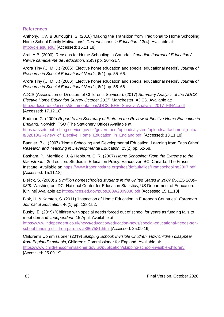## **References**

Anthony, K.V. & Burroughs, S. (2010) 'Making the Transition from Traditional to Home Schooling: Home School Family Motivations'. *Current Issues in Education*, 13(4). Available at: <http://cie.asu.edu/> [Accessed: 15.11.18]

Arai, A.B. (2000) 'Reasons for Home Schooling in Canada'. *Canadian Journal of Education / Revue canadienne de l'éducation*, 25(3) pp. 204-217.

Arora Tiny (C. M. J.) (2006) 'Elective home education and special educational needs'*. Journal of Research in Special Educational Needs*, 6(1) pp. 55–66.

Arora Tiny (C. M. J.) (2006) 'Elective home education and special educational needs'*. Journal of Research in Special Educational Needs*, 6(1) pp. 55–66.

ADCS (Association of Directors of Children's Services). (2017) *Summary Analysis of the ADCS Elective Home Education Survey October 2017*. Manchester: ADCS. Available at: [http://adcs.org.uk/assets/documentation/ADCS\\_EHE\\_Survey\\_Analysis\\_2017\\_FINAL.pdf](http://adcs.org.uk/assets/documentation/ADCS_EHE_Survey_Analysis_2017_FINAL.pdf) [Accessed: 17.12.18]

Badman G. (2009) *Report to the Secretary of State on the Review of Elective Home Education in England*. Norwich: TSO (The Stationery Office) Available at:

[https://assets.publishing.service.gov.uk/government/uploads/system/uploads/attachment\\_data/fil](https://assets.publishing.service.gov.uk/government/uploads/system/uploads/attachment_data/file/328186/Review_of_Elective_Home_Education_in_England.pdf) [e/328186/Review\\_of\\_Elective\\_Home\\_Education\\_in\\_England.pdf](https://assets.publishing.service.gov.uk/government/uploads/system/uploads/attachment_data/file/328186/Review_of_Elective_Home_Education_in_England.pdf) [Accessed: 13.11.18]

Bannier, B.J. (2007) 'Home Schooling and Developmental Education: Learning from Each Other'. *Research and Teaching in Developmental Education*, 23(2) pp. 62-68.

Basham, P., Merrifield, J. & Hepburn, C. R. (2007) *Home Schooling: From the Extreme to the Mainstream*. 2nd edition. Studies in Education Policy. Vancouver, BC, Canada: The Fraser Institute. Available at:<https://www.fraserinstitute.org/sites/default/files/Homeschooling2007.pdf> [Accessed: 15.11.18]

Bielick, S. (2008) *1.5 million homeschooled students in the United States in 2007 (NCES 2009- 030).* Washington, DC: National Center for Education Statistics, US Department of Education. [Online] Available at:<https://nces.ed.gov/pubs2009/2009030.pdf> [Accessed:15.11.18]

Blok, H. & Karsten, S. (2011) 'Inspection of Home Education in European Countries'. *European Journal of Education*, 46(1) pp. 138-152.

Busby, E. (2019) 'Children with special needs forced out of school for years as funding fails to meet demand' *Independent*, 15 April: Available at:

[https://www.independent.co.uk/news/education/education-news/special-educational-needs-sen](https://www.independent.co.uk/news/education/education-news/special-educational-needs-sen-school-funding-children-parents-a8867581.html)[school-funding-children-parents-a8867581.html](https://www.independent.co.uk/news/education/education-news/special-educational-needs-sen-school-funding-children-parents-a8867581.html) [Accessed: 25.09.19]

Children's Commissioner (2019) *Skipping School: Invisible Children. How children disappear from England's schools*, Children's Commissioner for England: Available at: <https://www.childrenscommissioner.gov.uk/publication/skipping-school-invisible-children/> [Accessed: 25.09.19]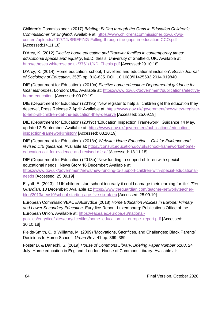Children's Commissioner. (2017) *Briefing: Falling through the Gaps in Education.Children's Commissioner for England*. Available at: [https://www.childrenscommissioner.gov.uk/wp](https://www.childrenscommissioner.gov.uk/wp-content/uploads/2017/11/BRIEFING-Falling-through-the-gaps-in-education-CCO.pdf)[content/uploads/2017/11/BRIEFING-Falling-through-the-gaps-in-education-CCO.pdf](https://www.childrenscommissioner.gov.uk/wp-content/uploads/2017/11/BRIEFING-Falling-through-the-gaps-in-education-CCO.pdf) [Accessed:14.11.18]

D'Arcy, K. (2012) *Elective home education and Traveller families in contemporary times: educational spaces and equality*, Ed.D. thesis. University of Sheffield, UK. Available at: [http://etheses.whiterose.ac.uk/3761/1/KD\\_Thesis.pdf](http://etheses.whiterose.ac.uk/3761/1/KD_Thesis.pdf) [Accessed:29.10.18]

D'Arcy, K. (2014) 'Home education, school, Travellers and educational inclusion'. *British Journal of Sociology of Education*, 35(5) pp. 818-835. DOI: 10.1080/01425692.2014.919840

DfE (Department for Education). (2019a) *Elective home education: Departmental guidance for local authorities*. London: DfE. Available at: [https://www.gov.uk/government/publications/elective](https://www.gov.uk/government/publications/elective-home-education)[home-education.](https://www.gov.uk/government/publications/elective-home-education) [Accessed: 09.09.19]

DfE (Department for Education) (2019b) 'New register to help all children get the education they deserve', Press Release 2 April: Available at: [https://www.gov.uk/government/news/new-register](https://www.gov.uk/government/news/new-register-to-help-all-children-get-the-education-they-deserve)[to-help-all-children-get-the-education-they-deserve](https://www.gov.uk/government/news/new-register-to-help-all-children-get-the-education-they-deserve) [Accessed: 25.09.19]

DfE (Department for Education) (2019c) 'Education Inspection Framework', Guidance 14 May, updated 2 September: Available at: [https://www.gov.uk/government/publications/education](https://www.gov.uk/government/publications/education-inspection-framework#history)[inspection-framework#history](https://www.gov.uk/government/publications/education-inspection-framework#history) [Accessed: 08.10.19].

DfE (Department for Education). (2018a) *Website: Home Education – Call for Evidence and revised DfE guidance*. Available at: [https://consult.education.gov.uk/school-frameworks/home](https://consult.education.gov.uk/school-frameworks/home-education-call-for-evidence-and-revised-dfe-a/)[education-call-for-evidence-and-revised-dfe-a/](https://consult.education.gov.uk/school-frameworks/home-education-call-for-evidence-and-revised-dfe-a/) [Accessed: 13.11.18]

DfE (Department for Education) (2018b) 'New funding to support children with special educational needs', News Story 16 December: Available at:

[https://www.gov.uk/government/news/new-funding-to-support-children-with-special-educational](https://www.gov.uk/government/news/new-funding-to-support-children-with-special-educational-needs)[needs](https://www.gov.uk/government/news/new-funding-to-support-children-with-special-educational-needs) [Accessed: 25.09.19]

Ellyatt, E. (2013) 'If UK children start school too early it could damage their learning for life', *The Guardian*, 10 December: Available at: [https://www.theguardian.com/teacher-network/teacher](https://www.theguardian.com/teacher-network/teacher-blog/2013/dec/10/school-starting-age-five-six-uk-eu)[blog/2013/dec/10/school-starting-age-five-six-uk-eu](https://www.theguardian.com/teacher-network/teacher-blog/2013/dec/10/school-starting-age-five-six-uk-eu) [Accessed: 25.09.19]

European Commission/EACEA/Eurydice (2018) *Home Education Policies in Europe: Primary and Lower Secondary Education*. Eurydice Report. Luxembourg: Publications Office of the European Union. Available at: [https://eacea.ec.europa.eu/national](https://eacea.ec.europa.eu/national-policies/eurydice/sites/eurydice/files/home_education_in_europe_report.pdf)[policies/eurydice/sites/eurydice/files/home\\_education\\_in\\_europe\\_report.pdf](https://eacea.ec.europa.eu/national-policies/eurydice/sites/eurydice/files/home_education_in_europe_report.pdf) [Accessed: 30.10.18]

Fields-Smith, C. & Williams, M. (2009) 'Motivations, Sacrifices, and Challenges: Black Parents' Decisions to Home School'. *Urban Rev*, 41 pp. 369–389.

Foster D. & Danechi, S. (2019) *House of Commons Library. Briefing Paper Number 5108*, 24 July, Home education in England. London: House of Commons Library. Available at: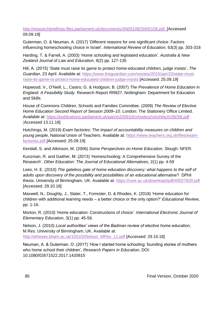[http://researchbriefings.files.parliament.uk/documents/SN05108/SN05108.pdf. \[](http://researchbriefings.files.parliament.uk/documents/SN05108/SN05108.pdf.)Accessed 09.09.19]

Guterman, O. & Neuman, A. (2017) 'Different reasons for one significant choice: Factors influencing homeschooling choice in Israel'. *International Review of Education*, 63(3) pp. 303-318

Harding, T. & Farrell, A. (2003) 'Home schooling and legislated education'. *Australia & New Zealand Journal of Law and Education*, 8(2) pp. 127-135

Hill, A. (2015) 'State must raise its game to protect home-educated children, judge insists', *The Guardian*, 23 April: Available at: [https://www.theguardian.com/society/2015/apr/23/state-must](https://www.theguardian.com/society/2015/apr/23/state-must-raise-its-game-to-protect-home-educated-children-judge-insists)[raise-its-game-to-protect-home-educated-children-judge-insists](https://www.theguardian.com/society/2015/apr/23/state-must-raise-its-game-to-protect-home-educated-children-judge-insists) [Accessed: 25.09.19]

Hopwood, V., O'Neill, L., Castro, G. & Hodgson, B. (2007) *The Prevalence of Home Education in England: A Feasibility Study*. Research Report RR827. Nottingham: Department for Education and Skills

House of Commons Children, Schools and Families Committee. (2009) *The Review of Elective Home Education Second Report of Session 2009–10*. London: The Stationery Office Limited. Available at:<https://publications.parliament.uk/pa/cm200910/cmselect/cmchilsch/39/39i.pdf> [Accessed 13.11.18]

Hutchings, M. (2019) *Exam factories: The impact of accountability measures on children and young people*, National Union of Teachers: Available at: [https://www.teachers.org.uk/files/exam](https://www.teachers.org.uk/files/exam-factories.pdf)[factories.pdf](https://www.teachers.org.uk/files/exam-factories.pdf) [Accessed: 25.09.19]

Kendall, S. and Atkinson, M. (2006) *Some Perspectives on Home Education*. Slough: NFER.

Kunzman, R. and Gaither, M. (2013) 'Homeschooling: A Comprehensive Survey of the Research'. *Other Education: The Journal of Educational Alternatives,* 2(1) pp. 4-59

Lees, H. E. (2010) *The gateless gate of home education discovery: what happens to the self of adults upon discovery of the possibility and possibilities of an educational alternative*? DPhil thesis. University of Birmingham, UK. Available at:<https://core.ac.uk/download/pdf/40027629.pdf> [Accessed: 29.10.18]

Maxwell, N., Doughty, J., Slater, T., Forrester, D. & Rhodes, K. (2018) 'Home education for children with additional learning needs – a better choice or the only option?' *Educational Review*, pp. 1-16.

Morton, R. (2010) 'Home education: Constructions of choice'. *International Electronic Journal of Elementary Education*, 3(1) pp. 45-56.

Nelson, J. (2010) *Local authorities' views of the Badman review of elective home education*, M.Res. University of Birmingham, UK. Available at: [http://etheses.bham.ac.uk/1552/2/Nelson\\_MRes\\_11.pdf](http://etheses.bham.ac.uk/1552/2/Nelson_MRes_11.pdf) [Accessed: 29.10.18]

Neuman, A. & Guterman, O. (2017) 'How I started home schooling: founding stories of mothers who home school their children', *Research Papers in Education*, DOI: 10.1080/02671522.2017.1420815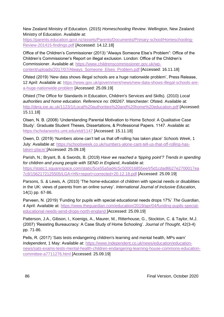New Zealand Ministry of Education. (2015) *Homeschooling Review*. Wellington, New Zealand: Ministry of Education. Available at:

[https://parents.education.govt.nz/assets/Parents/Documents/Primary-school/Homeschooling-](https://parents.education.govt.nz/assets/Parents/Documents/Primary-school/Homeschooling-Review-201415-findings.pdf)[Review-201415-findings.pdf](https://parents.education.govt.nz/assets/Parents/Documents/Primary-school/Homeschooling-Review-201415-findings.pdf) [Accessed: 14.12.18]

Office of the Children's Commissioner (2013) "Always Someone Else's Problem": Office of the Children's Commissioner's Report on illegal exclusion. London: Office of the Children's Commissioner. Available at: [https://www.childrenscommissioner.gov.uk/wp](https://www.childrenscommissioner.gov.uk/wp-content/uploads/2017/07/Always_Someone_Elses_Problem.pdf)[content/uploads/2017/07/Always\\_Someone\\_Elses\\_Problem.pdf](https://www.childrenscommissioner.gov.uk/wp-content/uploads/2017/07/Always_Someone_Elses_Problem.pdf) [Accessed: 16.11.18]

Ofsted (2019) 'New data shows illegal schools are a huge nationwide problem', Press Release, 12 April: Available at: [https://www.gov.uk/government/news/new-data-shows-illegal-schools-are](https://www.gov.uk/government/news/new-data-shows-illegal-schools-are-a-huge-nationwide-problem)[a-huge-nationwide-problem](https://www.gov.uk/government/news/new-data-shows-illegal-schools-are-a-huge-nationwide-problem) [Accessed: 25.09.19]

Ofsted (The Office for Standards in Education, Children's Services and Skills). (2010) *Local authorities and home education. Reference no: 090267*. Manchester: Ofsted. Available at: <http://dera.ioe.ac.uk/1123/1/Local%20authorities%20and%20home%20education.pdf> [Accessed: 15.11.18]

Olsen, N. B. (2008) 'Understanding Parental Motivation to Home School: A Qualitative Case Study'. Graduate Student Theses, Dissertations, & Professional Papers. 1147. Available at: <https://scholarworks.umt.edu/etd/1147> [Accessed: 15.11.18]

Owen, D. (2019) 'Numbers alone can't tell us that off-rolling has taken place' *Schools Week*, 1 July: Available at: [https://schoolsweek.co.uk/numbers-alone-cant-tell-us-that-off-rolling-has](https://schoolsweek.co.uk/numbers-alone-cant-tell-us-that-off-rolling-has-taken-place/)[taken-place/](https://schoolsweek.co.uk/numbers-alone-cant-tell-us-that-off-rolling-has-taken-place/) [Accessed: 25.09.19]

Parish, N.; Bryant, B. & Swords, B. (2019) *Have we reached a 'tipping point'? Trends in spending for children and young people with SEND in England*, Available at: [https://static1.squarespace.com/static/5ce55a5ad4c5c500016855ee/t/5d1cdad6b27e2700017ea](https://static1.squarespace.com/static/5ce55a5ad4c5c500016855ee/t/5d1cdad6b27e2700017ea7c9/1562172125505/LGA+HN+report+corrected+20.12.18.pdf) [7c9/1562172125505/LGA+HN+report+corrected+20.12.18.pdf](https://static1.squarespace.com/static/5ce55a5ad4c5c500016855ee/t/5d1cdad6b27e2700017ea7c9/1562172125505/LGA+HN+report+corrected+20.12.18.pdf) [Accessed: 25.09.19]

Parsons, S. & Lewis, A. (2010) 'The home-education of children with special needs or disabilities in the UK: views of parents from an online survey'. *International Journal of Inclusive Education*, 14(1) pp. 67-86.

Parveen, N. (2019) 'Funding for pupils with special educational needs drops 17%' *The Guardian*, 4 April: Available at: [https://www.theguardian.com/education/2019/apr/04/funding-pupils-special](https://www.theguardian.com/education/2019/apr/04/funding-pupils-special-educational-needs-send-drops-north-england)[educational-needs-send-drops-north-england](https://www.theguardian.com/education/2019/apr/04/funding-pupils-special-educational-needs-send-drops-north-england) [Accessed: 25.09.19]

Patterson, J.A., Gibson, I., Koenigs, A., Maurer, M., Ritterhouse, G., Stockton, C. & Taylor, M.J. (2007) 'Resisting Bureaucracy: A Case Study of Home Schooling'. *Journal of Thought*, 42(3-4) pp. 71-86.

Pells, R. (2017) 'Sats tests endangering children's learning and mental health, MPs warn' *Independent*, 1 May: Available at: [https://www.independent.co.uk/news/education/education](https://www.independent.co.uk/news/education/education-news/sats-exams-tests-mental-health-children-endangering-learning-house-commons-education-committee-a7711276.html)[news/sats-exams-tests-mental-health-children-endangering-learning-house-commons-education](https://www.independent.co.uk/news/education/education-news/sats-exams-tests-mental-health-children-endangering-learning-house-commons-education-committee-a7711276.html)[committee-a7711276.html](https://www.independent.co.uk/news/education/education-news/sats-exams-tests-mental-health-children-endangering-learning-house-commons-education-committee-a7711276.html) [Accessed: 25.09.19]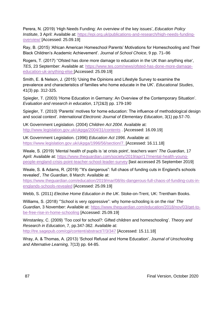Perera, N. (2019) 'High Needs Funding: An overview of the key issues', *Education Policy Institute*, 3 April: Available at: [https://epi.org.uk/publications-and-research/high-needs-funding](https://epi.org.uk/publications-and-research/high-needs-funding-overview/)[overview/](https://epi.org.uk/publications-and-research/high-needs-funding-overview/) [Accessed: 25.09.19]

Ray, B. (2015) 'African American Homeschool Parents' Motivations for Homeschooling and Their Black Children's Academic Achievement'. *Journal of School Choice*, 9 pp. 71–96

Rogers, T. (2017) ''Ofsted has done more damage to education in the UK than anything else', *TES*, 23 September: Available at: [https://www.tes.com/news/ofsted-has-done-more-damage](https://www.tes.com/news/ofsted-has-done-more-damage-education-uk-anything-else)[education-uk-anything-else](https://www.tes.com/news/ofsted-has-done-more-damage-education-uk-anything-else) [Accessed: 25.09.19]

Smith, E. & Nelson, J. (2015) 'Using the Opinions and Lifestyle Survey to examine the prevalence and characteristics of families who home educate in the UK'. *Educational Studies*, 41(3) pp. 312-325.

Spiegler, T. (2003) 'Home Education in Germany: An Overview of the Contemporary Situation'. *Evaluation and research in education*, 17(2&3) pp. 179-190

Spiegler, T. (2010) 'Parents' motives for home education: The influence of methodological design and social context'. *International Electronic Journal of Elementary Education*, 3(1) pp.57-70.

UK Government Legislation. (2004) *Children Act 2004*. Available at: <http://www.legislation.gov.uk/ukpga/2004/31/contents> . [Accessed: 16.09.19]

UK Government Legislation. (1996) *Education Act 1996*. Available at: [https://www.legislation.gov.uk/ukpga/1996/56/section/7.](https://www.legislation.gov.uk/ukpga/1996/56/section/7) [Accessed: 16.11.18]

Weale, S. (2019) 'Mental health of pupils is 'at crisis point', teachers warn' *The Guardian*, 17 April: Available at: [https://www.theguardian.com/society/2019/apr/17/mental-health-young](https://www.theguardian.com/society/2019/apr/17/mental-health-young-people-england-crisis-point-teacher-school-leader-survey)[people-england-crisis-point-teacher-school-leader-survey](https://www.theguardian.com/society/2019/apr/17/mental-health-young-people-england-crisis-point-teacher-school-leader-survey) [last accessed 25 September 2019]

Weale, S. & Adams, R. (2019) '"It's dangerous": full chaos of funding cuts in England's schools revealed', *The Guardian*, 8 March: Available at:

[https://www.theguardian.com/education/2019/mar/08/its-dangerous-full-chaos-of-funding-cuts-in](https://www.theguardian.com/education/2019/mar/08/its-dangerous-full-chaos-of-funding-cuts-in-englands-schools-revealed)[englands-schools-revealed](https://www.theguardian.com/education/2019/mar/08/its-dangerous-full-chaos-of-funding-cuts-in-englands-schools-revealed) [Accessed: 25.09.19]

Webb, S. (2011) *Elective Home Education in the UK*. Stoke-on-Trent, UK: Trentham Books.

Williams, S. (2018) '"School is very oppressive": why home-schooling is on the rise' *The Guardian*, 3 November: Available at: [https://www.theguardian.com/education/2018/nov/03/get-to](https://www.theguardian.com/education/2018/nov/03/get-to-be-free-rise-in-home-schooling)[be-free-rise-in-home-schooling](https://www.theguardian.com/education/2018/nov/03/get-to-be-free-rise-in-home-schooling) [Accessed: 25.09.19]

Winstanley, C. (2009) 'Too cool for school?: Gifted children and homeschooling'. *Theory and Research in Education*, 7, pp.347-362. Available at: <http://tre.sagepub.com/cgi/content/abstract/7/3/347> [Accessed: 15.11.18]

Wray, A. & Thomas, A. (2013) 'School Refusal and Home Education'. *Journal of Unschooling and Alternative Learning,* 7(13) pp. 64-85.